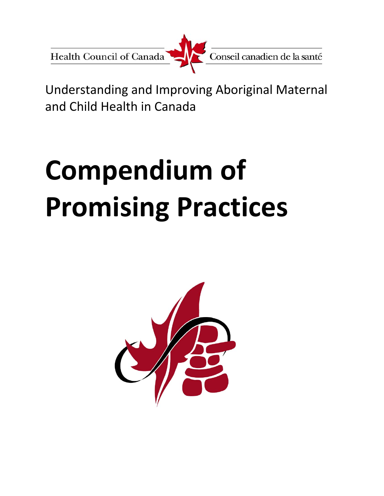Health Council of Canada



Understanding and Improving Aboriginal Maternal and Child Health in Canada

# **Compendium of Promising Practices**

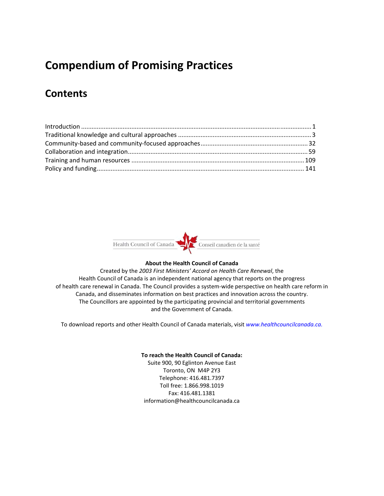# **Compendium of Promising Practices**

# **Contents**



#### **About the Health Council of Canada**

Created by the *2003 First Ministers' Accord on Health Care Renewal*, the Health Council of Canada is an independent national agency that reports on the progress of health care renewal in Canada. The Council provides a system-wide perspective on health care reform in Canada, and disseminates information on best practices and innovation across the country. The Councillors are appointed by the participating provincial and territorial governments and the Government of Canada.

To download reports and other Health Council of Canada materials, visit *www.healthcouncilcanada.ca.*

#### **To reach the Health Council of Canada:**

Suite 900, 90 Eglinton Avenue East Toronto, ON M4P 2Y3 Telephone: 416.481.7397 Toll free: 1.866.998.1019 Fax: 416.481.1381 information@healthcouncilcanada.ca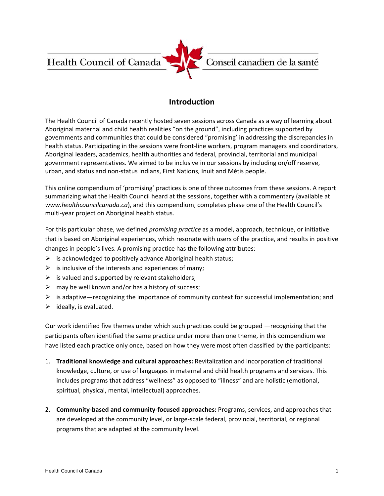Health Council of Canada



#### **Introduction**

The Health Council of Canada recently hosted seven sessions across Canada as a way of learning about Aboriginal maternal and child health realities "on the ground", including practices supported by governments and communities that could be considered "promising' in addressing the discrepancies in health status. Participating in the sessions were front-line workers, program managers and coordinators, Aboriginal leaders, academics, health authorities and federal, provincial, territorial and municipal government representatives. We aimed to be inclusive in our sessions by including on/off reserve, urban, and status and non‐status Indians, First Nations, Inuit and Métis people.

This online compendium of 'promising' practices is one of three outcomes from these sessions. A report summarizing what the Health Council heard at the sessions, together with a commentary (available at *www.healthcouncilcanada.ca*), and this compendium, completes phase one of the Health Council's multi‐year project on Aboriginal health status.

For this particular phase, we defined *promising practice* as a model, approach, technique, or initiative that is based on Aboriginal experiences, which resonate with users of the practice, and results in positive changes in people's lives. A promising practice has the following attributes:

- $\triangleright$  is acknowledged to positively advance Aboriginal health status;
- $\triangleright$  is inclusive of the interests and experiences of many;
- $\triangleright$  is valued and supported by relevant stakeholders;
- $\triangleright$  may be well known and/or has a history of success;
- $\triangleright$  is adaptive—recognizing the importance of community context for successful implementation; and
- $\triangleright$  ideally, is evaluated.

Our work identified five themes under which such practices could be grouped —recognizing that the participants often identified the same practice under more than one theme, in this compendium we have listed each practice only once, based on how they were most often classified by the participants:

- 1. **Traditional knowledge and cultural approaches:** Revitalization and incorporation of traditional knowledge, culture, or use of languages in maternal and child health programs and services. This includes programs that address "wellness" as opposed to "illness" and are holistic (emotional, spiritual, physical, mental, intellectual) approaches.
- 2. **Community‐based and community‐focused approaches:** Programs, services, and approaches that are developed at the community level, or large‐scale federal, provincial, territorial, or regional programs that are adapted at the community level.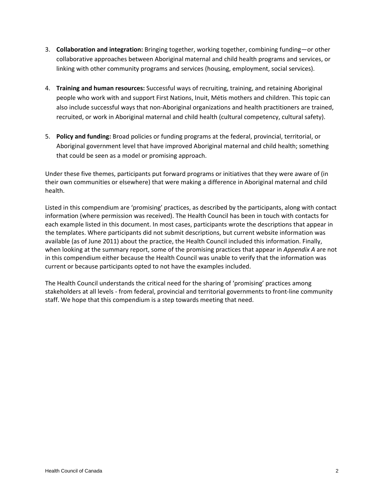- 3. **Collaboration and integration:** Bringing together, working together, combining funding—or other collaborative approaches between Aboriginal maternal and child health programs and services, or linking with other community programs and services (housing, employment, social services).
- 4. **Training and human resources:** Successful ways of recruiting, training, and retaining Aboriginal people who work with and support First Nations, Inuit, Métis mothers and children. This topic can also include successful ways that non‐Aboriginal organizations and health practitioners are trained, recruited, or work in Aboriginal maternal and child health (cultural competency, cultural safety).
- 5. **Policy and funding:** Broad policies or funding programs at the federal, provincial, territorial, or Aboriginal government level that have improved Aboriginal maternal and child health; something that could be seen as a model or promising approach.

Under these five themes, participants put forward programs or initiatives that they were aware of (in their own communities or elsewhere) that were making a difference in Aboriginal maternal and child health.

Listed in this compendium are 'promising' practices, as described by the participants, along with contact information (where permission was received). The Health Council has been in touch with contacts for each example listed in this document. In most cases, participants wrote the descriptions that appear in the templates. Where participants did not submit descriptions, but current website information was available (as of June 2011) about the practice, the Health Council included this information. Finally, when looking at the summary report, some of the promising practices that appear in *Appendix A* are not in this compendium either because the Health Council was unable to verify that the information was current or because participants opted to not have the examples included.

The Health Council understands the critical need for the sharing of 'promising' practices among stakeholders at all levels ‐ from federal, provincial and territorial governments to front‐line community staff. We hope that this compendium is a step towards meeting that need.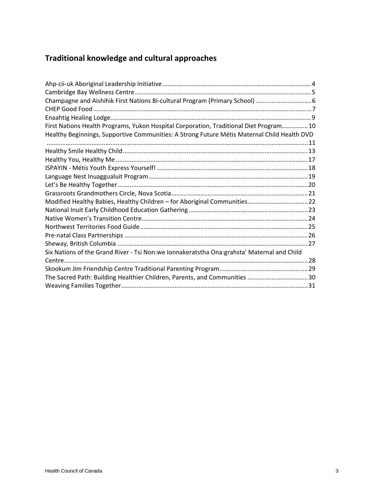# **Traditional knowledge and cultural approaches**

| Champagne and Aishihik First Nations Bi-cultural Program (Primary School)  6                |  |
|---------------------------------------------------------------------------------------------|--|
|                                                                                             |  |
|                                                                                             |  |
| First Nations Health Programs, Yukon Hospital Corporation, Traditional Diet Program 10      |  |
| Healthy Beginnings, Supportive Communities: A Strong Future Métis Maternal Child Health DVD |  |
|                                                                                             |  |
|                                                                                             |  |
|                                                                                             |  |
|                                                                                             |  |
|                                                                                             |  |
|                                                                                             |  |
|                                                                                             |  |
|                                                                                             |  |
|                                                                                             |  |
|                                                                                             |  |
|                                                                                             |  |
|                                                                                             |  |
|                                                                                             |  |
| Six Nations of the Grand River - Tsi Non:we Ionnakeratstha Ona:grahsta' Maternal and Child  |  |
|                                                                                             |  |
|                                                                                             |  |
| The Sacred Path: Building Healthier Children, Parents, and Communities 30                   |  |
|                                                                                             |  |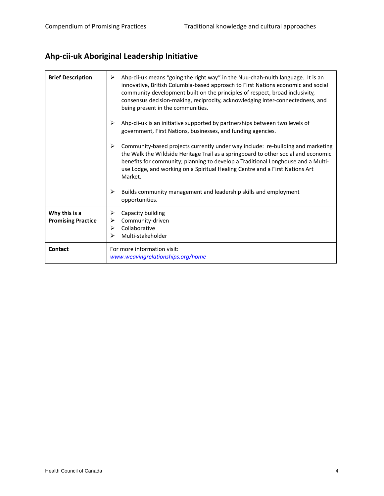# **Ahp‐cii‐uk Aboriginal Leadership Initiative**

| <b>Brief Description</b>                   | Ahp-cii-uk means "going the right way" in the Nuu-chah-nulth language. It is an<br>≻<br>innovative, British Columbia-based approach to First Nations economic and social<br>community development built on the principles of respect, broad inclusivity,<br>consensus decision-making, reciprocity, acknowledging inter-connectedness, and<br>being present in the communities.                                                                      |
|--------------------------------------------|------------------------------------------------------------------------------------------------------------------------------------------------------------------------------------------------------------------------------------------------------------------------------------------------------------------------------------------------------------------------------------------------------------------------------------------------------|
|                                            | Ahp-cii-uk is an initiative supported by partnerships between two levels of<br>➤<br>government, First Nations, businesses, and funding agencies.                                                                                                                                                                                                                                                                                                     |
|                                            | ≻<br>Community-based projects currently under way include: re-building and marketing<br>the Walk the Wildside Heritage Trail as a springboard to other social and economic<br>benefits for community; planning to develop a Traditional Longhouse and a Multi-<br>use Lodge, and working on a Spiritual Healing Centre and a First Nations Art<br>Market.<br>Builds community management and leadership skills and employment<br>➤<br>opportunities. |
| Why this is a<br><b>Promising Practice</b> | Capacity building<br>⋗<br>Community-driven<br>⋗<br>Collaborative<br>⋗<br>Multi-stakeholder                                                                                                                                                                                                                                                                                                                                                           |
| Contact                                    | For more information visit:<br>www.weavingrelationships.org/home                                                                                                                                                                                                                                                                                                                                                                                     |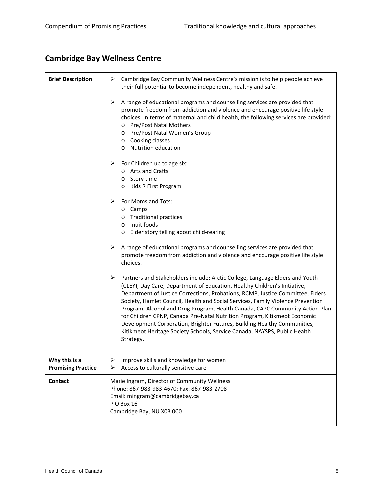# **Cambridge Bay Wellness Centre**

| <b>Brief Description</b>                   | ➤<br>Cambridge Bay Community Wellness Centre's mission is to help people achieve<br>their full potential to become independent, healthy and safe.                                                                                                                                                                                                                                                                                                                                                                                                                                                                                                                      |
|--------------------------------------------|------------------------------------------------------------------------------------------------------------------------------------------------------------------------------------------------------------------------------------------------------------------------------------------------------------------------------------------------------------------------------------------------------------------------------------------------------------------------------------------------------------------------------------------------------------------------------------------------------------------------------------------------------------------------|
|                                            | A range of educational programs and counselling services are provided that<br>➤<br>promote freedom from addiction and violence and encourage positive life style<br>choices. In terms of maternal and child health, the following services are provided:<br>o Pre/Post Natal Mothers<br>o Pre/Post Natal Women's Group<br>o Cooking classes<br>o Nutrition education                                                                                                                                                                                                                                                                                                   |
|                                            | For Children up to age six:<br>➤<br>o Arts and Crafts<br>o Story time<br>o Kids R First Program                                                                                                                                                                                                                                                                                                                                                                                                                                                                                                                                                                        |
|                                            | ➤<br>For Moms and Tots:<br>o Camps<br>o Traditional practices<br>Inuit foods<br>$\circ$<br>o Elder story telling about child-rearing                                                                                                                                                                                                                                                                                                                                                                                                                                                                                                                                   |
|                                            | A range of educational programs and counselling services are provided that<br>➤<br>promote freedom from addiction and violence and encourage positive life style<br>choices.                                                                                                                                                                                                                                                                                                                                                                                                                                                                                           |
|                                            | ➤<br>Partners and Stakeholders include: Arctic College, Language Elders and Youth<br>(CLEY), Day Care, Department of Education, Healthy Children's Initiative,<br>Department of Justice Corrections, Probations, RCMP, Justice Committee, Elders<br>Society, Hamlet Council, Health and Social Services, Family Violence Prevention<br>Program, Alcohol and Drug Program, Health Canada, CAPC Community Action Plan<br>for Children CPNP, Canada Pre-Natal Nutrition Program, Kitikmeot Economic<br>Development Corporation, Brighter Futures, Building Healthy Communities,<br>Kitikmeot Heritage Society Schools, Service Canada, NAYSPS, Public Health<br>Strategy. |
| Why this is a<br><b>Promising Practice</b> | Improve skills and knowledge for women<br>➤<br>Access to culturally sensitive care<br>⋗                                                                                                                                                                                                                                                                                                                                                                                                                                                                                                                                                                                |
| Contact                                    | Marie Ingram, Director of Community Wellness<br>Phone: 867-983-983-4670; Fax: 867-983-2708<br>Email: mingram@cambridgebay.ca<br>PO Box 16<br>Cambridge Bay, NU X0B OCO                                                                                                                                                                                                                                                                                                                                                                                                                                                                                                 |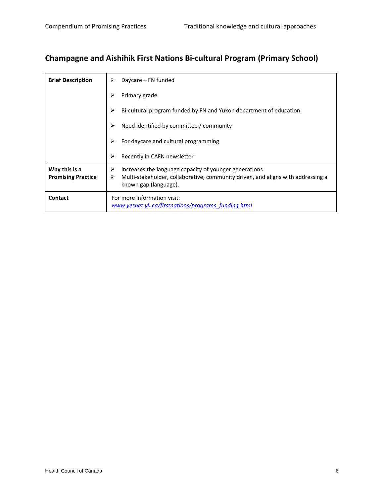# **Champagne and Aishihik First Nations Bi‐cultural Program (Primary School)**

| <b>Brief Description</b>                   | Daycare – FN funded                                                                                                                                                       |
|--------------------------------------------|---------------------------------------------------------------------------------------------------------------------------------------------------------------------------|
|                                            | Primary grade                                                                                                                                                             |
|                                            | Bi-cultural program funded by FN and Yukon department of education                                                                                                        |
|                                            | Need identified by committee / community                                                                                                                                  |
|                                            | For daycare and cultural programming                                                                                                                                      |
|                                            | ↘<br>Recently in CAFN newsletter                                                                                                                                          |
| Why this is a<br><b>Promising Practice</b> | Increases the language capacity of younger generations.<br>➤<br>Multi-stakeholder, collaborative, community driven, and aligns with addressing a<br>known gap (language). |
| Contact                                    | For more information visit:<br>www.yesnet.yk.ca/firstnations/programs funding.html                                                                                        |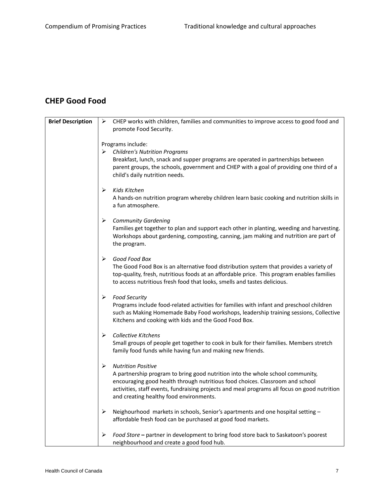#### **CHEP Good Food**

| <b>Brief Description</b> | $\triangleright$ CHEP works with children, families and communities to improve access to good food and                                                          |
|--------------------------|-----------------------------------------------------------------------------------------------------------------------------------------------------------------|
|                          | promote Food Security.                                                                                                                                          |
|                          |                                                                                                                                                                 |
|                          | Programs include:                                                                                                                                               |
|                          | <b>Children's Nutrition Programs</b><br>➤                                                                                                                       |
|                          | Breakfast, lunch, snack and supper programs are operated in partnerships between                                                                                |
|                          | parent groups, the schools, government and CHEP with a goal of providing one third of a                                                                         |
|                          | child's daily nutrition needs.                                                                                                                                  |
|                          | Kids Kitchen<br>⋗                                                                                                                                               |
|                          | A hands-on nutrition program whereby children learn basic cooking and nutrition skills in                                                                       |
|                          | a fun atmosphere.                                                                                                                                               |
|                          |                                                                                                                                                                 |
|                          | <b>Community Gardening</b><br>➤                                                                                                                                 |
|                          | Families get together to plan and support each other in planting, weeding and harvesting.                                                                       |
|                          | Workshops about gardening, composting, canning, jam making and nutrition are part of                                                                            |
|                          | the program.                                                                                                                                                    |
|                          | ➤<br>Good Food Box                                                                                                                                              |
|                          | The Good Food Box is an alternative food distribution system that provides a variety of                                                                         |
|                          | top-quality, fresh, nutritious foods at an affordable price. This program enables families                                                                      |
|                          | to access nutritious fresh food that looks, smells and tastes delicious.                                                                                        |
|                          |                                                                                                                                                                 |
|                          | <b>Food Security</b><br>➤                                                                                                                                       |
|                          | Programs include food-related activities for families with infant and preschool children                                                                        |
|                          | such as Making Homemade Baby Food workshops, leadership training sessions, Collective                                                                           |
|                          | Kitchens and cooking with kids and the Good Food Box.                                                                                                           |
|                          | Collective Kitchens<br>➤                                                                                                                                        |
|                          | Small groups of people get together to cook in bulk for their families. Members stretch                                                                         |
|                          | family food funds while having fun and making new friends.                                                                                                      |
|                          |                                                                                                                                                                 |
|                          | <b>Nutrition Positive</b><br>➤                                                                                                                                  |
|                          | A partnership program to bring good nutrition into the whole school community,<br>encouraging good health through nutritious food choices. Classroom and school |
|                          | activities, staff events, fundraising projects and meal programs all focus on good nutrition                                                                    |
|                          | and creating healthy food environments.                                                                                                                         |
|                          |                                                                                                                                                                 |
|                          | Neighourhood markets in schools, Senior's apartments and one hospital setting -<br>➤                                                                            |
|                          | affordable fresh food can be purchased at good food markets.                                                                                                    |
|                          |                                                                                                                                                                 |
|                          | Food Store - partner in development to bring food store back to Saskatoon's poorest<br>➤<br>neighbourhood and create a good food hub.                           |
|                          |                                                                                                                                                                 |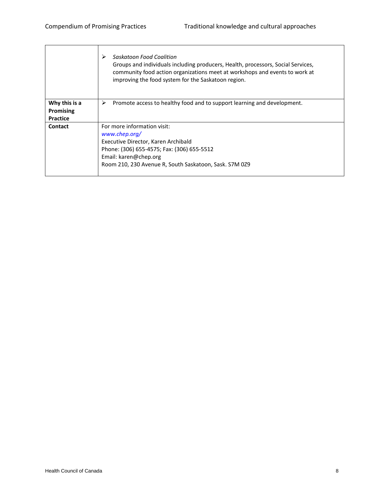|                                               | Saskatoon Food Coalition<br>➤<br>Groups and individuals including producers, Health, processors, Social Services,<br>community food action organizations meet at workshops and events to work at<br>improving the food system for the Saskatoon region. |
|-----------------------------------------------|---------------------------------------------------------------------------------------------------------------------------------------------------------------------------------------------------------------------------------------------------------|
| Why this is a<br><b>Promising</b><br>Practice | Promote access to healthy food and to support learning and development.<br>➤                                                                                                                                                                            |
| Contact                                       | For more information visit:<br>www.chep.org/<br>Executive Director, Karen Archibald<br>Phone: (306) 655-4575; Fax: (306) 655-5512<br>Email: karen@chep.org<br>Room 210, 230 Avenue R, South Saskatoon, Sask. S7M 029                                    |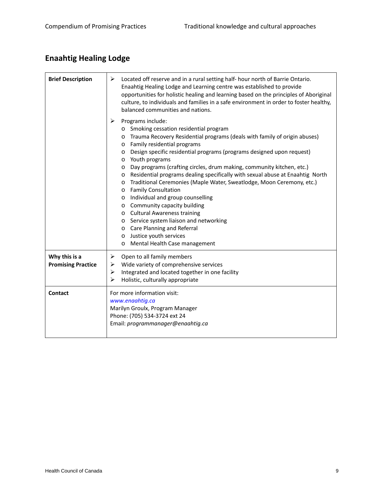# **Enaahtig Healing Lodge**

| <b>Brief Description</b>                   | ➤<br>Located off reserve and in a rural setting half- hour north of Barrie Ontario.<br>Enaahtig Healing Lodge and Learning centre was established to provide<br>opportunities for holistic healing and learning based on the principles of Aboriginal<br>culture, to individuals and families in a safe environment in order to foster healthy,<br>balanced communities and nations.<br>➤<br>Programs include:<br>o Smoking cessation residential program<br>Trauma Recovery Residential programs (deals with family of origin abuses)<br>$\circ$<br>Family residential programs<br>$\circ$<br>Design specific residential programs (programs designed upon request)<br>$\circ$<br>Youth programs<br>$\circ$<br>Day programs (crafting circles, drum making, community kitchen, etc.)<br>$\circ$<br>Residential programs dealing specifically with sexual abuse at Enaahtig North<br>$\circ$<br>Traditional Ceremonies (Maple Water, Sweatlodge, Moon Ceremony, etc.)<br>$\circ$<br><b>Family Consultation</b><br>$\circ$<br>Individual and group counselling<br>$\circ$<br>Community capacity building<br>$\circ$ |
|--------------------------------------------|--------------------------------------------------------------------------------------------------------------------------------------------------------------------------------------------------------------------------------------------------------------------------------------------------------------------------------------------------------------------------------------------------------------------------------------------------------------------------------------------------------------------------------------------------------------------------------------------------------------------------------------------------------------------------------------------------------------------------------------------------------------------------------------------------------------------------------------------------------------------------------------------------------------------------------------------------------------------------------------------------------------------------------------------------------------------------------------------------------------------|
|                                            | o Cultural Awareness training<br>Service system liaison and networking<br>$\circ$<br>Care Planning and Referral<br>$\circ$<br>Justice youth services<br>$\circ$                                                                                                                                                                                                                                                                                                                                                                                                                                                                                                                                                                                                                                                                                                                                                                                                                                                                                                                                                    |
|                                            | Mental Health Case management<br>$\circ$                                                                                                                                                                                                                                                                                                                                                                                                                                                                                                                                                                                                                                                                                                                                                                                                                                                                                                                                                                                                                                                                           |
| Why this is a<br><b>Promising Practice</b> | ➤<br>Open to all family members<br>Wide variety of comprehensive services<br>➤<br>Integrated and located together in one facility<br>➤<br>⋗<br>Holistic, culturally appropriate                                                                                                                                                                                                                                                                                                                                                                                                                                                                                                                                                                                                                                                                                                                                                                                                                                                                                                                                    |
| Contact                                    | For more information visit:<br>www.enaahtig.ca<br>Marilyn Groulx, Program Manager<br>Phone: (705) 534-3724 ext 24<br>Email: programmanager@enaahtig.ca                                                                                                                                                                                                                                                                                                                                                                                                                                                                                                                                                                                                                                                                                                                                                                                                                                                                                                                                                             |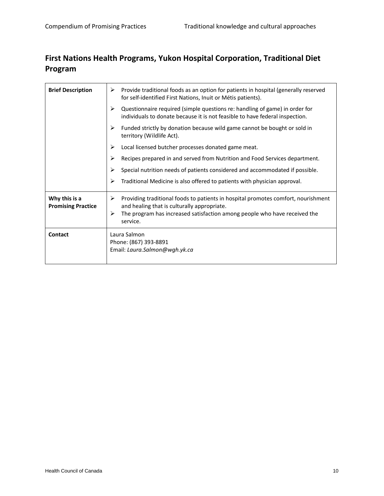#### **First Nations Health Programs, Yukon Hospital Corporation, Traditional Diet Program**

| <b>Brief Description</b>                   | Provide traditional foods as an option for patients in hospital (generally reserved<br>➤<br>for self-identified First Nations, Inuit or Métis patients).                                                                            |
|--------------------------------------------|-------------------------------------------------------------------------------------------------------------------------------------------------------------------------------------------------------------------------------------|
|                                            | ➤<br>Questionnaire required (simple questions re: handling of game) in order for<br>individuals to donate because it is not feasible to have federal inspection.                                                                    |
|                                            | Funded strictly by donation because wild game cannot be bought or sold in<br>➤<br>territory (Wildlife Act).                                                                                                                         |
|                                            | Local licensed butcher processes donated game meat.<br>⋗                                                                                                                                                                            |
|                                            | Recipes prepared in and served from Nutrition and Food Services department.<br>⋗                                                                                                                                                    |
|                                            | Special nutrition needs of patients considered and accommodated if possible.<br>⋗                                                                                                                                                   |
|                                            | Traditional Medicine is also offered to patients with physician approval.<br>⋗                                                                                                                                                      |
| Why this is a<br><b>Promising Practice</b> | Providing traditional foods to patients in hospital promotes comfort, nourishment<br>➤<br>and healing that is culturally appropriate.<br>The program has increased satisfaction among people who have received the<br>≻<br>service. |
| <b>Contact</b>                             | Laura Salmon<br>Phone: (867) 393-8891<br>Email: Laura.Salmon@wgh.yk.ca                                                                                                                                                              |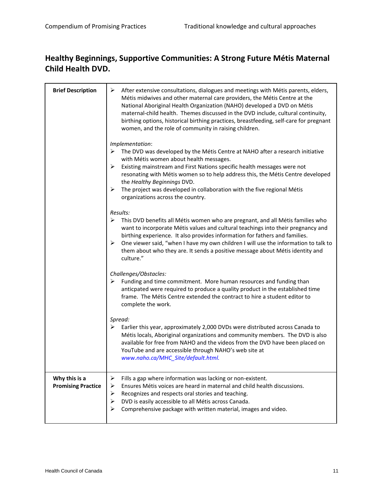#### **Healthy Beginnings, Supportive Communities: A Strong Future Métis Maternal Child Health DVD.**

| <b>Brief Description</b>                   | ➤<br>After extensive consultations, dialogues and meetings with Métis parents, elders,<br>Métis midwives and other maternal care providers, the Métis Centre at the<br>National Aboriginal Health Organization (NAHO) developed a DVD on Métis<br>maternal-child health. Themes discussed in the DVD include, cultural continuity,<br>birthing options, historical birthing practices, breastfeeding, self-care for pregnant<br>women, and the role of community in raising children.             |
|--------------------------------------------|---------------------------------------------------------------------------------------------------------------------------------------------------------------------------------------------------------------------------------------------------------------------------------------------------------------------------------------------------------------------------------------------------------------------------------------------------------------------------------------------------|
|                                            | Implementation:<br>The DVD was developed by the Métis Centre at NAHO after a research initiative<br>➤<br>with Métis women about health messages.<br>Existing mainstream and First Nations specific health messages were not<br>➤<br>resonating with Métis women so to help address this, the Métis Centre developed<br>the Healthy Beginnings DVD.<br>The project was developed in collaboration with the five regional Métis<br>➤                                                                |
|                                            | organizations across the country.<br>Results:<br>➤<br>This DVD benefits all Métis women who are pregnant, and all Métis families who<br>want to incorporate Métis values and cultural teachings into their pregnancy and<br>birthing experience. It also provides information for fathers and families.<br>≻<br>One viewer said, "when I have my own children I will use the information to talk to<br>them about who they are. It sends a positive message about Métis identity and<br>culture." |
|                                            | Challenges/Obstacles:<br>Funding and time commitment. More human resources and funding than<br>➤<br>anticpated were required to produce a quality product in the established time<br>frame. The Métis Centre extended the contract to hire a student editor to<br>complete the work.                                                                                                                                                                                                              |
|                                            | Spread:<br>Earlier this year, approximately 2,000 DVDs were distributed across Canada to<br>➤<br>Métis locals, Aboriginal organizations and community members. The DVD is also<br>available for free from NAHO and the videos from the DVD have been placed on<br>YouTube and are accessible through NAHO's web site at<br>www.naho.ca/MHC_Site/default.html.                                                                                                                                     |
| Why this is a<br><b>Promising Practice</b> | ➤<br>Fills a gap where information was lacking or non-existent.<br>Ensures Métis voices are heard in maternal and child health discussions.<br>⋗<br>Recognizes and respects oral stories and teaching.<br>➤<br>DVD is easily accessible to all Métis across Canada.<br>➤<br>Comprehensive package with written material, images and video.<br>≻                                                                                                                                                   |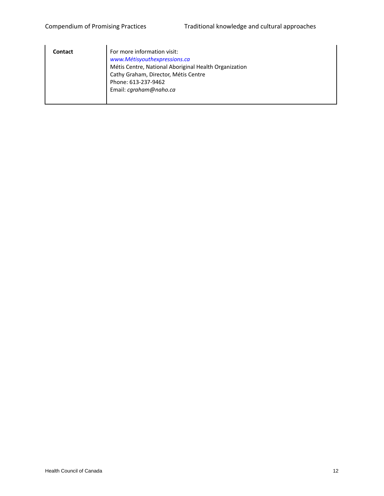| Contact | For more information visit:<br>www.Métisyouthexpressions.ca<br>Métis Centre, National Aboriginal Health Organization<br>Cathy Graham, Director, Métis Centre<br>Phone: 613-237-9462<br>Email: cgraham@naho.ca |
|---------|---------------------------------------------------------------------------------------------------------------------------------------------------------------------------------------------------------------|
|         |                                                                                                                                                                                                               |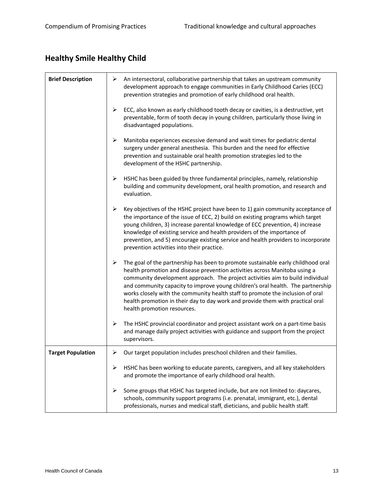# **Healthy Smile Healthy Child**

| <b>Brief Description</b> | ➤<br>An intersectoral, collaborative partnership that takes an upstream community<br>development approach to engage communities in Early Childhood Caries (ECC)<br>prevention strategies and promotion of early childhood oral health.                                                                                                                                                                                                                                                                                                      |
|--------------------------|---------------------------------------------------------------------------------------------------------------------------------------------------------------------------------------------------------------------------------------------------------------------------------------------------------------------------------------------------------------------------------------------------------------------------------------------------------------------------------------------------------------------------------------------|
|                          | ➤<br>ECC, also known as early childhood tooth decay or cavities, is a destructive, yet<br>preventable, form of tooth decay in young children, particularly those living in<br>disadvantaged populations.                                                                                                                                                                                                                                                                                                                                    |
|                          | $\blacktriangleright$<br>Manitoba experiences excessive demand and wait times for pediatric dental<br>surgery under general anesthesia. This burden and the need for effective<br>prevention and sustainable oral health promotion strategies led to the<br>development of the HSHC partnership.                                                                                                                                                                                                                                            |
|                          | ➤<br>HSHC has been guided by three fundamental principles, namely, relationship<br>building and community development, oral health promotion, and research and<br>evaluation.                                                                                                                                                                                                                                                                                                                                                               |
|                          | Key objectives of the HSHC project have been to 1) gain community acceptance of<br>➤<br>the importance of the issue of ECC, 2) build on existing programs which target<br>young children, 3) increase parental knowledge of ECC prevention, 4) increase<br>knowledge of existing service and health providers of the importance of<br>prevention, and 5) encourage existing service and health providers to incorporate<br>prevention activities into their practice.                                                                       |
|                          | ➤<br>The goal of the partnership has been to promote sustainable early childhood oral<br>health promotion and disease prevention activities across Manitoba using a<br>community development approach. The project activities aim to build individual<br>and community capacity to improve young children's oral health. The partnership<br>works closely with the community health staff to promote the inclusion of oral<br>health promotion in their day to day work and provide them with practical oral<br>health promotion resources. |
|                          | ➤<br>The HSHC provincial coordinator and project assistant work on a part-time basis<br>and manage daily project activities with guidance and support from the project<br>supervisors.                                                                                                                                                                                                                                                                                                                                                      |
| <b>Target Population</b> | Our target population includes preschool children and their families.<br>≻                                                                                                                                                                                                                                                                                                                                                                                                                                                                  |
|                          | HSHC has been working to educate parents, caregivers, and all key stakeholders<br>➤<br>and promote the importance of early childhood oral health.                                                                                                                                                                                                                                                                                                                                                                                           |
|                          | Some groups that HSHC has targeted include, but are not limited to: daycares,<br>➤<br>schools, community support programs (i.e. prenatal, immigrant, etc.), dental<br>professionals, nurses and medical staff, dieticians, and public health staff.                                                                                                                                                                                                                                                                                         |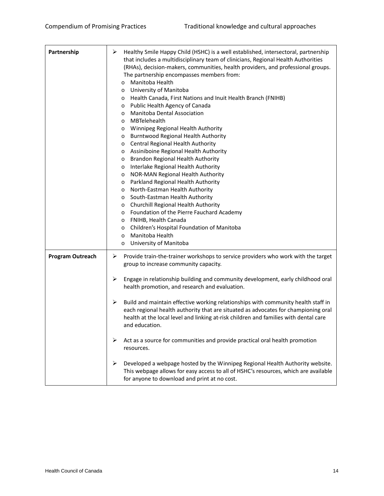| Partnership             | ➤<br>Healthy Smile Happy Child (HSHC) is a well established, intersectoral, partnership<br>that includes a multidisciplinary team of clinicians, Regional Health Authorities<br>(RHAs), decision-makers, communities, health providers, and professional groups.<br>The partnership encompasses members from:<br>Manitoba Health<br>$\circ$<br>University of Manitoba<br>$\circ$<br>Health Canada, First Nations and Inuit Health Branch (FNIHB)<br>$\circ$<br>Public Health Agency of Canada<br>$\circ$<br><b>Manitoba Dental Association</b><br>$\circ$<br>MBTelehealth<br>$\circ$<br>Winnipeg Regional Health Authority<br>$\circ$<br><b>Burntwood Regional Health Authority</b><br>$\circ$<br>Central Regional Health Authority<br>$\circ$<br>Assiniboine Regional Health Authority<br>$\circ$<br>Brandon Regional Health Authority<br>$\circ$<br>Interlake Regional Health Authority<br>$\circ$<br>NOR-MAN Regional Health Authority<br>$\circ$<br>Parkland Regional Health Authority<br>$\circ$<br>North-Eastman Health Authority<br>$\circ$<br>South-Eastman Health Authority<br>$\circ$<br>Churchill Regional Health Authority<br>$\circ$<br>Foundation of the Pierre Fauchard Academy<br>$\circ$<br>FNIHB, Health Canada<br>$\circ$<br>Children's Hospital Foundation of Manitoba<br>$\circ$<br>Manitoba Health<br>$\circ$<br>University of Manitoba<br>$\circ$ |
|-------------------------|--------------------------------------------------------------------------------------------------------------------------------------------------------------------------------------------------------------------------------------------------------------------------------------------------------------------------------------------------------------------------------------------------------------------------------------------------------------------------------------------------------------------------------------------------------------------------------------------------------------------------------------------------------------------------------------------------------------------------------------------------------------------------------------------------------------------------------------------------------------------------------------------------------------------------------------------------------------------------------------------------------------------------------------------------------------------------------------------------------------------------------------------------------------------------------------------------------------------------------------------------------------------------------------------------------------------------------------------------------------------------|
| <b>Program Outreach</b> | Provide train-the-trainer workshops to service providers who work with the target<br>➤<br>group to increase community capacity.<br>➤<br>Engage in relationship building and community development, early childhood oral<br>health promotion, and research and evaluation.<br>➤<br>Build and maintain effective working relationships with community health staff in<br>each regional health authority that are situated as advocates for championing oral<br>health at the local level and linking at-risk children and families with dental care<br>and education.<br>Act as a source for communities and provide practical oral health promotion<br>➤<br>resources.<br>➤<br>Developed a webpage hosted by the Winnipeg Regional Health Authority website.<br>This webpage allows for easy access to all of HSHC's resources, which are available<br>for anyone to download and print at no cost.                                                                                                                                                                                                                                                                                                                                                                                                                                                                       |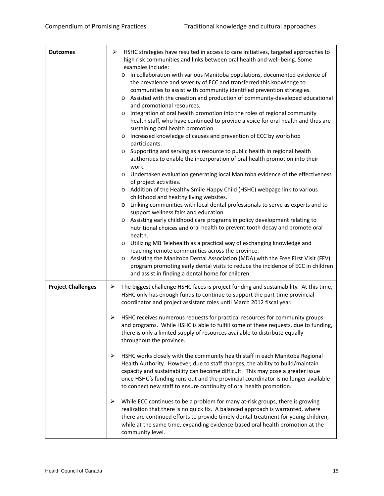| <b>Outcomes</b>           | ➤<br>HSHC strategies have resulted in access to care initiatives, targeted approaches to<br>high risk communities and links between oral health and well-being. Some<br>examples include:                                                                                                                                                                                                                                                                                                                                                                                                                                                                                                                                                                                                                                                                                                                                                                                                                                                                                                                                                                                                                                                                                                                                                                                                                                                                                                                                                                                                                                                                                                                                                                        |
|---------------------------|------------------------------------------------------------------------------------------------------------------------------------------------------------------------------------------------------------------------------------------------------------------------------------------------------------------------------------------------------------------------------------------------------------------------------------------------------------------------------------------------------------------------------------------------------------------------------------------------------------------------------------------------------------------------------------------------------------------------------------------------------------------------------------------------------------------------------------------------------------------------------------------------------------------------------------------------------------------------------------------------------------------------------------------------------------------------------------------------------------------------------------------------------------------------------------------------------------------------------------------------------------------------------------------------------------------------------------------------------------------------------------------------------------------------------------------------------------------------------------------------------------------------------------------------------------------------------------------------------------------------------------------------------------------------------------------------------------------------------------------------------------------|
|                           | o In collaboration with various Manitoba populations, documented evidence of<br>the prevalence and severity of ECC and transferred this knowledge to<br>communities to assist with community identified prevention strategies.<br>Assisted with the creation and production of community-developed educational<br>$\circ$<br>and promotional resources.<br>Integration of oral health promotion into the roles of regional community<br>$\circ$<br>health staff, who have continued to provide a voice for oral health and thus are<br>sustaining oral health promotion.<br>Increased knowledge of causes and prevention of ECC by workshop<br>$\circ$<br>participants.<br>Supporting and serving as a resource to public health in regional health<br>$\circ$<br>authorities to enable the incorporation of oral health promotion into their<br>work.<br>Undertaken evaluation generating local Manitoba evidence of the effectiveness<br>$\circ$<br>of project activities.<br>Addition of the Healthy Smile Happy Child (HSHC) webpage link to various<br>$\circ$<br>childhood and healthy living websites.<br>Linking communities with local dental professionals to serve as experts and to<br>$\circ$<br>support wellness fairs and education.<br>Assisting early childhood care programs in policy development relating to<br>$\circ$<br>nutritional choices and oral health to prevent tooth decay and promote oral<br>health.<br>Utilizing MB Telehealth as a practical way of exchanging knowledge and<br>$\circ$<br>reaching remote communities across the province.<br>Assisting the Manitoba Dental Association (MDA) with the Free First Visit (FFV)<br>$\circ$<br>program promoting early dental visits to reduce the incidence of ECC in children |
| <b>Project Challenges</b> | and assist in finding a dental home for children.<br>The biggest challenge HSHC faces is project funding and sustainability. At this time,<br>➤                                                                                                                                                                                                                                                                                                                                                                                                                                                                                                                                                                                                                                                                                                                                                                                                                                                                                                                                                                                                                                                                                                                                                                                                                                                                                                                                                                                                                                                                                                                                                                                                                  |
|                           | HSHC only has enough funds to continue to support the part-time provincial<br>coordinator and project assistant roles until March 2012 fiscal year.                                                                                                                                                                                                                                                                                                                                                                                                                                                                                                                                                                                                                                                                                                                                                                                                                                                                                                                                                                                                                                                                                                                                                                                                                                                                                                                                                                                                                                                                                                                                                                                                              |
|                           | HSHC receives numerous requests for practical resources for community groups<br>➤<br>and programs. While HSHC is able to fulfill some of these requests, due to funding,<br>there is only a limited supply of resources available to distribute equally<br>throughout the province.                                                                                                                                                                                                                                                                                                                                                                                                                                                                                                                                                                                                                                                                                                                                                                                                                                                                                                                                                                                                                                                                                                                                                                                                                                                                                                                                                                                                                                                                              |
|                           | ≻<br>HSHC works closely with the community health staff in each Manitoba Regional<br>Health Authority. However, due to staff changes, the ability to build/maintain<br>capacity and sustainability can become difficult. This may pose a greater issue<br>once HSHC's funding runs out and the provincial coordinator is no longer available<br>to connect new staff to ensure continuity of oral health promotion.                                                                                                                                                                                                                                                                                                                                                                                                                                                                                                                                                                                                                                                                                                                                                                                                                                                                                                                                                                                                                                                                                                                                                                                                                                                                                                                                              |
|                           | While ECC continues to be a problem for many at-risk groups, there is growing<br>➤<br>realization that there is no quick fix. A balanced approach is warranted, where<br>there are continued efforts to provide timely dental treatment for young children,<br>while at the same time, expanding evidence-based oral health promotion at the<br>community level.                                                                                                                                                                                                                                                                                                                                                                                                                                                                                                                                                                                                                                                                                                                                                                                                                                                                                                                                                                                                                                                                                                                                                                                                                                                                                                                                                                                                 |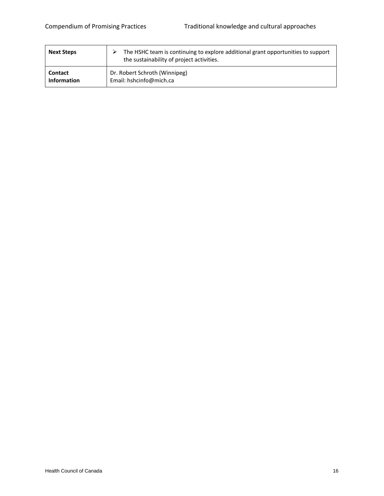| <b>Next Steps</b>  | The HSHC team is continuing to explore additional grant opportunities to support<br>the sustainability of project activities. |
|--------------------|-------------------------------------------------------------------------------------------------------------------------------|
| <b>Contact</b>     | Dr. Robert Schroth (Winnipeg)                                                                                                 |
| <b>Information</b> | Email: hshcinfo@mich.ca                                                                                                       |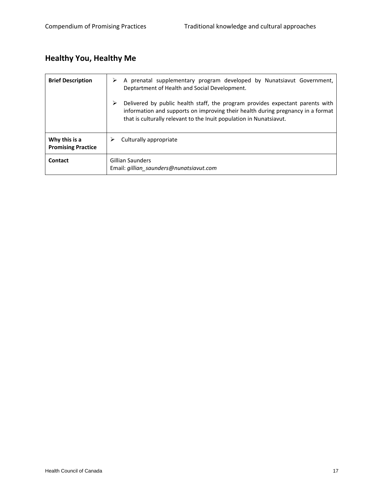# **Healthy You, Healthy Me**

| <b>Brief Description</b>                   | A prenatal supplementary program developed by Nunatsiavut Government,<br>Deptartment of Health and Social Development.                                                                                                                       |
|--------------------------------------------|----------------------------------------------------------------------------------------------------------------------------------------------------------------------------------------------------------------------------------------------|
|                                            | Delivered by public health staff, the program provides expectant parents with<br>⋗<br>information and supports on improving their health during pregnancy in a format<br>that is culturally relevant to the Inuit population in Nunatsiavut. |
| Why this is a<br><b>Promising Practice</b> | Culturally appropriate                                                                                                                                                                                                                       |
| Contact                                    | Gillian Saunders<br>Email: gillian_saunders@nunatsiavut.com                                                                                                                                                                                  |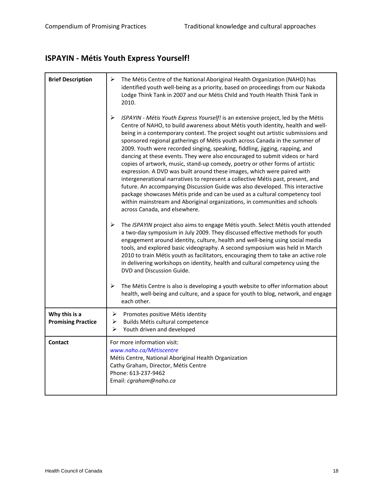# **ISPAYIN ‐ Métis Youth Express Yourself!**

| <b>Brief Description</b>                   | ➤<br>The Métis Centre of the National Aboriginal Health Organization (NAHO) has<br>identified youth well-being as a priority, based on proceedings from our Nakoda<br>Lodge Think Tank in 2007 and our Métis Child and Youth Health Think Tank in<br>2010.                                                                                                                                                                                                                                                                                                                                                                                                                                                                                                                                                                                                                                                                                                                                                                               |
|--------------------------------------------|------------------------------------------------------------------------------------------------------------------------------------------------------------------------------------------------------------------------------------------------------------------------------------------------------------------------------------------------------------------------------------------------------------------------------------------------------------------------------------------------------------------------------------------------------------------------------------------------------------------------------------------------------------------------------------------------------------------------------------------------------------------------------------------------------------------------------------------------------------------------------------------------------------------------------------------------------------------------------------------------------------------------------------------|
|                                            | ➤<br>ISPAYIN - Métis Youth Express Yourself! is an extensive project, led by the Métis<br>Centre of NAHO, to build awareness about Métis youth identity, health and well-<br>being in a contemporary context. The project sought out artistic submissions and<br>sponsored regional gatherings of Métis youth across Canada in the summer of<br>2009. Youth were recorded singing, speaking, fiddling, jigging, rapping, and<br>dancing at these events. They were also encouraged to submit videos or hard<br>copies of artwork, music, stand-up comedy, poetry or other forms of artistic<br>expression. A DVD was built around these images, which were paired with<br>intergenerational narratives to represent a collective Métis past, present, and<br>future. An accompanying Discussion Guide was also developed. This interactive<br>package showcases Métis pride and can be used as a cultural competency tool<br>within mainstream and Aboriginal organizations, in communities and schools<br>across Canada, and elsewhere. |
|                                            | $\blacktriangleright$<br>The ISPAYIN project also aims to engage Métis youth. Select Métis youth attended<br>a two-day symposium in July 2009. They discussed effective methods for youth<br>engagement around identity, culture, health and well-being using social media<br>tools, and explored basic videography. A second symposium was held in March<br>2010 to train Métis youth as facilitators, encouraging them to take an active role<br>in delivering workshops on identity, health and cultural competency using the<br>DVD and Discussion Guide.                                                                                                                                                                                                                                                                                                                                                                                                                                                                            |
|                                            | ➤<br>The Métis Centre is also is developing a youth website to offer information about<br>health, well-being and culture, and a space for youth to blog, network, and engage<br>each other.                                                                                                                                                                                                                                                                                                                                                                                                                                                                                                                                                                                                                                                                                                                                                                                                                                              |
| Why this is a<br><b>Promising Practice</b> | ➤<br>Promotes positive Métis identity<br>➤<br>Builds Métis cultural competence<br>➤<br>Youth driven and developed                                                                                                                                                                                                                                                                                                                                                                                                                                                                                                                                                                                                                                                                                                                                                                                                                                                                                                                        |
| <b>Contact</b>                             | For more information visit:<br>www.naho.ca/Métiscentre<br>Métis Centre, National Aboriginal Health Organization<br>Cathy Graham, Director, Métis Centre<br>Phone: 613-237-9462<br>Email: cgraham@naho.ca                                                                                                                                                                                                                                                                                                                                                                                                                                                                                                                                                                                                                                                                                                                                                                                                                                 |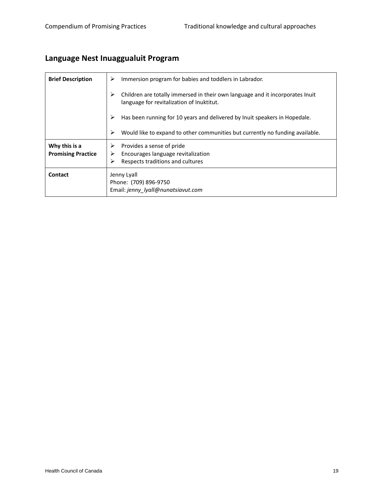# **Language Nest Inuaggualuit Program**

| <b>Brief Description</b>                   | Immersion program for babies and toddlers in Labrador.<br>➤                                                                     |
|--------------------------------------------|---------------------------------------------------------------------------------------------------------------------------------|
|                                            | ⋗<br>Children are totally immersed in their own language and it incorporates Inuit<br>language for revitalization of Inuktitut. |
|                                            | Has been running for 10 years and delivered by Inuit speakers in Hopedale.                                                      |
|                                            | ⋗<br>Would like to expand to other communities but currently no funding available.                                              |
| Why this is a<br><b>Promising Practice</b> | Provides a sense of pride<br>Encourages language revitalization<br>Respects traditions and cultures<br>➤                        |
| Contact                                    | Jenny Lyall<br>Phone: (709) 896-9750<br>Email: jenny lyall@nunatsiavut.com                                                      |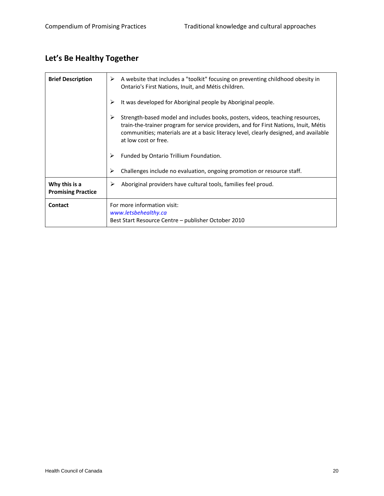# **Let's Be Healthy Together**

| <b>Brief Description</b>                   | A website that includes a "toolkit" focusing on preventing childhood obesity in<br>➤<br>Ontario's First Nations, Inuit, and Métis children.                                                                                                                                                 |
|--------------------------------------------|---------------------------------------------------------------------------------------------------------------------------------------------------------------------------------------------------------------------------------------------------------------------------------------------|
|                                            | It was developed for Aboriginal people by Aboriginal people.<br>≻                                                                                                                                                                                                                           |
|                                            | Strength-based model and includes books, posters, videos, teaching resources,<br>➤<br>train-the-trainer program for service providers, and for First Nations, Inuit, Métis<br>communities; materials are at a basic literacy level, clearly designed, and available<br>at low cost or free. |
|                                            | Funded by Ontario Trillium Foundation.<br>⋗                                                                                                                                                                                                                                                 |
|                                            | Challenges include no evaluation, ongoing promotion or resource staff.<br>➤                                                                                                                                                                                                                 |
| Why this is a<br><b>Promising Practice</b> | Aboriginal providers have cultural tools, families feel proud.<br>➤                                                                                                                                                                                                                         |
| <b>Contact</b>                             | For more information visit:<br>www.letsbehealthy.ca<br>Best Start Resource Centre - publisher October 2010                                                                                                                                                                                  |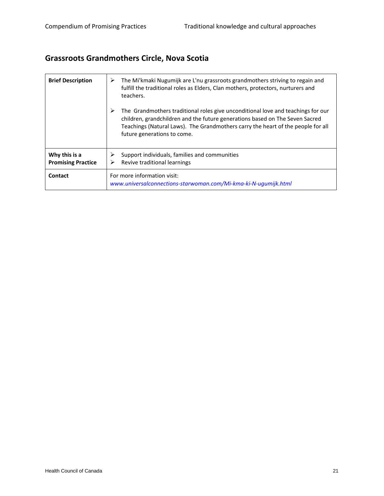# **Grassroots Grandmothers Circle, Nova Scotia**

| <b>Brief Description</b>                   | The Mi'kmaki Nugumijk are L'nu grassroots grandmothers striving to regain and<br>≻<br>fulfill the traditional roles as Elders, Clan mothers, protectors, nurturers and<br>teachers.                                                                                                      |
|--------------------------------------------|------------------------------------------------------------------------------------------------------------------------------------------------------------------------------------------------------------------------------------------------------------------------------------------|
|                                            | ➤<br>The Grandmothers traditional roles give unconditional love and teachings for our<br>children, grandchildren and the future generations based on The Seven Sacred<br>Teachings (Natural Laws). The Grandmothers carry the heart of the people for all<br>future generations to come. |
| Why this is a<br><b>Promising Practice</b> | Support individuals, families and communities<br>⋗<br>Revive traditional learnings<br>⋗                                                                                                                                                                                                  |
| Contact                                    | For more information visit:<br>www.universalconnections-starwoman.com/Mi-kma-ki-N-ugumijk.html                                                                                                                                                                                           |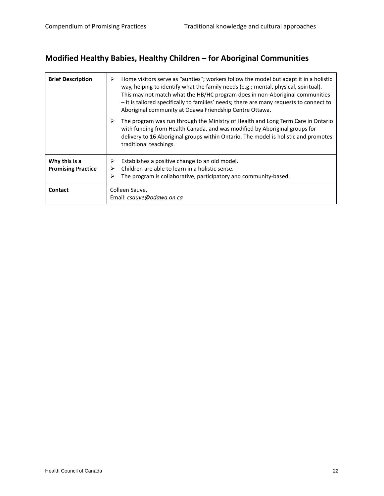#### **Modified Healthy Babies, Healthy Children – for Aboriginal Communities**

| <b>Brief Description</b>  | Home visitors serve as "aunties"; workers follow the model but adapt it in a holistic<br>➤<br>way, helping to identify what the family needs (e.g.; mental, physical, spiritual).<br>This may not match what the HB/HC program does in non-Aboriginal communities<br>- it is tailored specifically to families' needs; there are many requests to connect to<br>Aboriginal community at Odawa Friendship Centre Ottawa. |
|---------------------------|-------------------------------------------------------------------------------------------------------------------------------------------------------------------------------------------------------------------------------------------------------------------------------------------------------------------------------------------------------------------------------------------------------------------------|
|                           | The program was run through the Ministry of Health and Long Term Care in Ontario<br>with funding from Health Canada, and was modified by Aboriginal groups for<br>delivery to 16 Aboriginal groups within Ontario. The model is holistic and promotes<br>traditional teachings.                                                                                                                                         |
| Why this is a             | Establishes a positive change to an old model.<br>⋗                                                                                                                                                                                                                                                                                                                                                                     |
| <b>Promising Practice</b> | Children are able to learn in a holistic sense.<br>The program is collaborative, participatory and community-based.<br>⋗                                                                                                                                                                                                                                                                                                |
| <b>Contact</b>            | Colleen Sauve,<br>Email: csauve@odawa.on.ca                                                                                                                                                                                                                                                                                                                                                                             |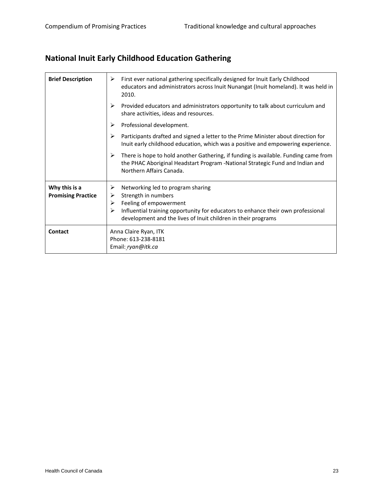# **National Inuit Early Childhood Education Gathering**

| <b>Brief Description</b>                   | First ever national gathering specifically designed for Inuit Early Childhood<br>➤<br>educators and administrators across Inuit Nunangat (Inuit homeland). It was held in<br>2010.                                                                          |
|--------------------------------------------|-------------------------------------------------------------------------------------------------------------------------------------------------------------------------------------------------------------------------------------------------------------|
|                                            | Provided educators and administrators opportunity to talk about curriculum and<br>➤<br>share activities, ideas and resources.                                                                                                                               |
|                                            | Professional development.<br>➤                                                                                                                                                                                                                              |
|                                            | Participants drafted and signed a letter to the Prime Minister about direction for<br>⋗<br>Inuit early childhood education, which was a positive and empowering experience.                                                                                 |
|                                            | There is hope to hold another Gathering, if funding is available. Funding came from<br>➤<br>the PHAC Aboriginal Headstart Program -National Strategic Fund and Indian and<br>Northern Affairs Canada.                                                       |
| Why this is a<br><b>Promising Practice</b> | Networking led to program sharing<br>➤<br>Strength in numbers<br>➤<br>Feeling of empowerment<br>➤<br>Influential training opportunity for educators to enhance their own professional<br>⋗<br>development and the lives of Inuit children in their programs |
| Contact                                    | Anna Claire Ryan, ITK<br>Phone: 613-238-8181<br>Email: ryan@itk.ca                                                                                                                                                                                          |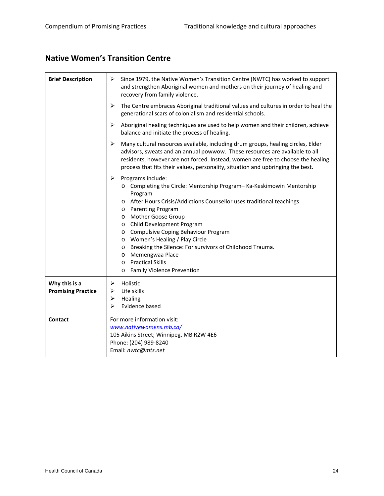#### **Native Women's Transition Centre**

| <b>Brief Description</b>                   | ➤<br>Since 1979, the Native Women's Transition Centre (NWTC) has worked to support<br>and strengthen Aboriginal women and mothers on their journey of healing and<br>recovery from family violence.                                                                                                                                                                                                                                                                                                                                                                                                    |
|--------------------------------------------|--------------------------------------------------------------------------------------------------------------------------------------------------------------------------------------------------------------------------------------------------------------------------------------------------------------------------------------------------------------------------------------------------------------------------------------------------------------------------------------------------------------------------------------------------------------------------------------------------------|
|                                            | The Centre embraces Aboriginal traditional values and cultures in order to heal the<br>➤<br>generational scars of colonialism and residential schools.                                                                                                                                                                                                                                                                                                                                                                                                                                                 |
|                                            | ➤<br>Aboriginal healing techniques are used to help women and their children, achieve<br>balance and initiate the process of healing.                                                                                                                                                                                                                                                                                                                                                                                                                                                                  |
|                                            | $\blacktriangleright$<br>Many cultural resources available, including drum groups, healing circles, Elder<br>advisors, sweats and an annual powwow. These resources are available to all<br>residents, however are not forced. Instead, women are free to choose the healing<br>process that fits their values, personality, situation and upbringing the best.                                                                                                                                                                                                                                        |
|                                            | $\blacktriangleright$<br>Programs include:<br>o Completing the Circle: Mentorship Program-Ka-Keskimowin Mentorship<br>Program<br>After Hours Crisis/Addictions Counsellor uses traditional teachings<br>$\circ$<br>o Parenting Program<br><b>Mother Goose Group</b><br>$\circ$<br>Child Development Program<br>$\circ$<br>Compulsive Coping Behaviour Program<br>$\circ$<br>o Women's Healing / Play Circle<br>Breaking the Silence: For survivors of Childhood Trauma.<br>$\circ$<br>Memengwaa Place<br>$\circ$<br><b>Practical Skills</b><br>$\circ$<br><b>Family Violence Prevention</b><br>$\circ$ |
| Why this is a<br><b>Promising Practice</b> | Holistic<br>➤<br>Life skills<br>⋗<br>➤<br>Healing<br>➤<br>Evidence based                                                                                                                                                                                                                                                                                                                                                                                                                                                                                                                               |
| Contact                                    | For more information visit:<br>www.nativewomens.mb.ca/<br>105 Aikins Street; Winnipeg, MB R2W 4E6<br>Phone: (204) 989-8240<br>Email: nwtc@mts.net                                                                                                                                                                                                                                                                                                                                                                                                                                                      |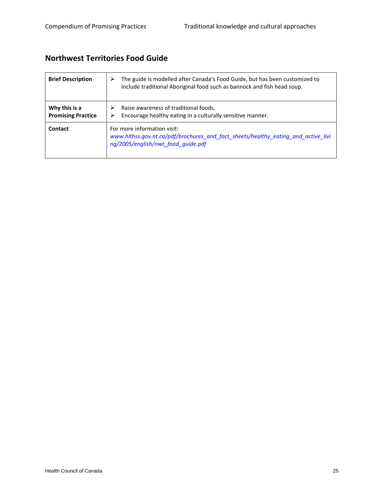#### **Northwest Territories Food Guide**

| <b>Brief Description</b>                   | The guide is modelled after Canada's Food Guide, but has been customized to<br>➤<br>include traditional Aboriginal food such as bannock and fish head soup. |
|--------------------------------------------|-------------------------------------------------------------------------------------------------------------------------------------------------------------|
| Why this is a<br><b>Promising Practice</b> | Raise awareness of traditional foods.<br>⋗<br>Encourage healthy eating in a culturally sensitive manner.<br>⋗                                               |
| Contact                                    | For more information visit:<br>www.hlthss.gov.nt.ca/pdf/brochures_and_fact_sheets/healthy_eating_and_active_livi<br>ng/2005/english/nwt food guide.pdf      |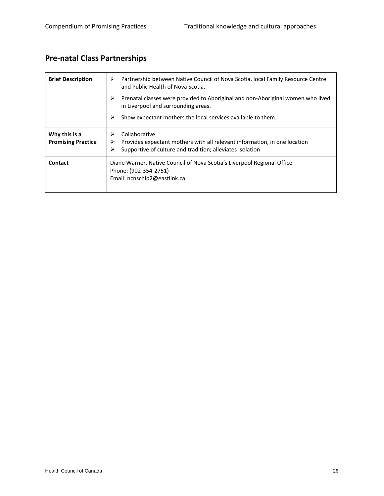# **Pre‐natal Class Partnerships**

| <b>Brief Description</b>                   | Partnership between Native Council of Nova Scotia, local Family Resource Centre<br>⋗<br>and Public Health of Nova Scotia.                                              |
|--------------------------------------------|------------------------------------------------------------------------------------------------------------------------------------------------------------------------|
|                                            | Prenatal classes were provided to Aboriginal and non-Aboriginal women who lived<br>➤<br>in Liverpool and surrounding areas.                                            |
|                                            | Show expectant mothers the local services available to them.<br>➤                                                                                                      |
| Why this is a<br><b>Promising Practice</b> | Collaborative<br>⋗<br>Provides expectant mothers with all relevant information, in one location<br>⋗<br>➤<br>Supportive of culture and tradition; alleviates isolation |
| Contact                                    | Diane Warner, Native Council of Nova Scotia's Liverpool Regional Office<br>Phone: (902-354-2751)<br>Email: ncnschip2@eastlink.ca                                       |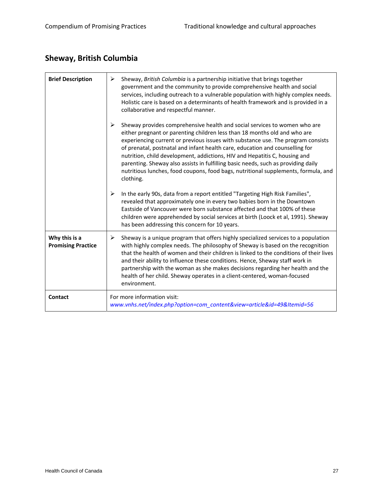# **Sheway, British Columbia**

| <b>Brief Description</b>                   | Sheway, British Columbia is a partnership initiative that brings together<br>➤<br>government and the community to provide comprehensive health and social<br>services, including outreach to a vulnerable population with highly complex needs.<br>Holistic care is based on a determinants of health framework and is provided in a<br>collaborative and respectful manner.                                                                                                                                                                                                                          |
|--------------------------------------------|-------------------------------------------------------------------------------------------------------------------------------------------------------------------------------------------------------------------------------------------------------------------------------------------------------------------------------------------------------------------------------------------------------------------------------------------------------------------------------------------------------------------------------------------------------------------------------------------------------|
|                                            | ➤<br>Sheway provides comprehensive health and social services to women who are<br>either pregnant or parenting children less than 18 months old and who are<br>experiencing current or previous issues with substance use. The program consists<br>of prenatal, postnatal and infant health care, education and counselling for<br>nutrition, child development, addictions, HIV and Hepatitis C, housing and<br>parenting. Sheway also assists in fulfilling basic needs, such as providing daily<br>nutritious lunches, food coupons, food bags, nutritional supplements, formula, and<br>clothing. |
|                                            | $\blacktriangleright$<br>In the early 90s, data from a report entitled "Targeting High Risk Families",<br>revealed that approximately one in every two babies born in the Downtown<br>Eastside of Vancouver were born substance affected and that 100% of these<br>children were apprehended by social services at birth (Loock et al, 1991). Sheway<br>has been addressing this concern for 10 years.                                                                                                                                                                                                |
| Why this is a<br><b>Promising Practice</b> | Sheway is a unique program that offers highly specialized services to a population<br>➤<br>with highly complex needs. The philosophy of Sheway is based on the recognition<br>that the health of women and their children is linked to the conditions of their lives<br>and their ability to influence these conditions. Hence, Sheway staff work in<br>partnership with the woman as she makes decisions regarding her health and the<br>health of her child. Sheway operates in a client-centered, woman-focused<br>environment.                                                                    |
| <b>Contact</b>                             | For more information visit:<br>www.vnhs.net/index.php?option=com_content&view=article&id=49&Itemid=56                                                                                                                                                                                                                                                                                                                                                                                                                                                                                                 |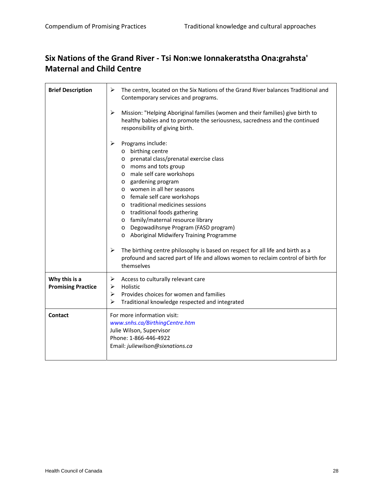#### **Six Nations of the Grand River ‐ Tsi Non:we Ionnakeratstha Ona:grahsta' Maternal and Child Centre**

| <b>Brief Description</b>                   | ➤<br>The centre, located on the Six Nations of the Grand River balances Traditional and<br>Contemporary services and programs.                                                                                                                                                                                                                                                                                                                                                                                                                                                                                                                                                          |
|--------------------------------------------|-----------------------------------------------------------------------------------------------------------------------------------------------------------------------------------------------------------------------------------------------------------------------------------------------------------------------------------------------------------------------------------------------------------------------------------------------------------------------------------------------------------------------------------------------------------------------------------------------------------------------------------------------------------------------------------------|
|                                            | $\blacktriangleright$<br>Mission: "Helping Aboriginal families (women and their families) give birth to<br>healthy babies and to promote the seriousness, sacredness and the continued<br>responsibility of giving birth.                                                                                                                                                                                                                                                                                                                                                                                                                                                               |
|                                            | ➤<br>Programs include:<br>o birthing centre<br>o prenatal class/prenatal exercise class<br>moms and tots group<br>$\circ$<br>male self care workshops<br>$\circ$<br>o gardening program<br>o women in all her seasons<br>o female self care workshops<br>o traditional medicines sessions<br>o traditional foods gathering<br>o family/maternal resource library<br>Degowadihsnye Program (FASD program)<br>$\circ$<br>Aboriginal Midwifery Training Programme<br>$\circ$<br>$\blacktriangleright$<br>The birthing centre philosophy is based on respect for all life and birth as a<br>profound and sacred part of life and allows women to reclaim control of birth for<br>themselves |
| Why this is a<br><b>Promising Practice</b> | Access to culturally relevant care<br>➤<br>Holistic<br>⋗<br>Provides choices for women and families<br>⋗<br>➤<br>Traditional knowledge respected and integrated                                                                                                                                                                                                                                                                                                                                                                                                                                                                                                                         |
| Contact                                    | For more information visit:<br>www.snhs.ca/BirthingCentre.htm<br>Julie Wilson, Supervisor<br>Phone: 1-866-446-4922<br>Email: juliewilson@sixnations.ca                                                                                                                                                                                                                                                                                                                                                                                                                                                                                                                                  |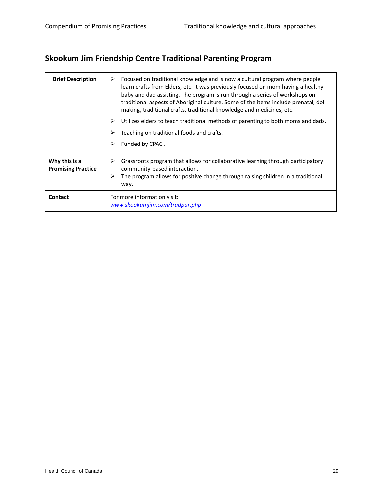# **Skookum Jim Friendship Centre Traditional Parenting Program**

| <b>Brief Description</b>                   | Focused on traditional knowledge and is now a cultural program where people<br>⋗<br>learn crafts from Elders, etc. It was previously focused on mom having a healthy<br>baby and dad assisting. The program is run through a series of workshops on<br>traditional aspects of Aboriginal culture. Some of the items include prenatal, doll<br>making, traditional crafts, traditional knowledge and medicines, etc. |
|--------------------------------------------|---------------------------------------------------------------------------------------------------------------------------------------------------------------------------------------------------------------------------------------------------------------------------------------------------------------------------------------------------------------------------------------------------------------------|
|                                            | Utilizes elders to teach traditional methods of parenting to both moms and dads.<br>⋗                                                                                                                                                                                                                                                                                                                               |
|                                            | Teaching on traditional foods and crafts.<br>⋗                                                                                                                                                                                                                                                                                                                                                                      |
|                                            | Funded by CPAC.<br>⋗                                                                                                                                                                                                                                                                                                                                                                                                |
| Why this is a<br><b>Promising Practice</b> | Grassroots program that allows for collaborative learning through participatory<br>➤<br>community-based interaction.<br>➤<br>The program allows for positive change through raising children in a traditional<br>way.                                                                                                                                                                                               |
| <b>Contact</b>                             | For more information visit:<br>www.skookumjim.com/tradpar.php                                                                                                                                                                                                                                                                                                                                                       |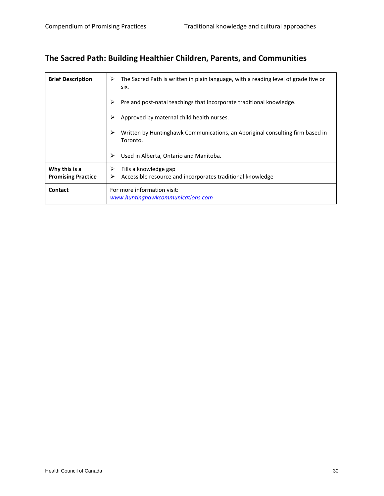#### **The Sacred Path: Building Healthier Children, Parents, and Communities**

| <b>Brief Description</b>                   | The Sacred Path is written in plain language, with a reading level of grade five or<br>➤<br>six. |
|--------------------------------------------|--------------------------------------------------------------------------------------------------|
|                                            | Pre and post-natal teachings that incorporate traditional knowledge.                             |
|                                            | Approved by maternal child health nurses.                                                        |
|                                            | Written by Huntinghawk Communications, an Aboriginal consulting firm based in<br>≻<br>Toronto.   |
|                                            | Used in Alberta, Ontario and Manitoba.<br>⋗                                                      |
| Why this is a<br><b>Promising Practice</b> | Fills a knowledge gap<br>⋗<br>Accessible resource and incorporates traditional knowledge<br>➤    |
| Contact                                    | For more information visit:<br>www.huntinghawkcommunications.com                                 |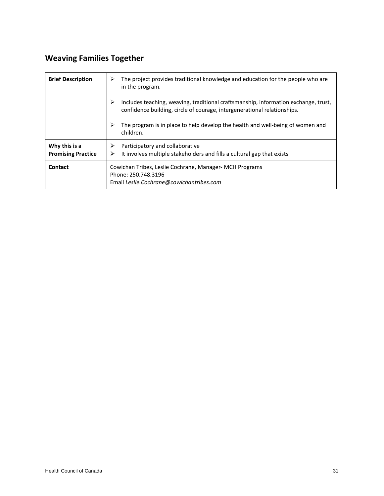# **Weaving Families Together**

| <b>Brief Description</b>                   | The project provides traditional knowledge and education for the people who are<br>⋗<br>in the program.                                                              |
|--------------------------------------------|----------------------------------------------------------------------------------------------------------------------------------------------------------------------|
|                                            | ⋗<br>Includes teaching, weaving, traditional craftsmanship, information exchange, trust,<br>confidence building, circle of courage, intergenerational relationships. |
|                                            | The program is in place to help develop the health and well-being of women and<br>children.                                                                          |
| Why this is a<br><b>Promising Practice</b> | Participatory and collaborative<br>➤<br>It involves multiple stakeholders and fills a cultural gap that exists<br>⋗                                                  |
| Contact                                    | Cowichan Tribes, Leslie Cochrane, Manager- MCH Programs<br>Phone: 250.748.3196<br>Email Leslie.Cochrane@cowichantribes.com                                           |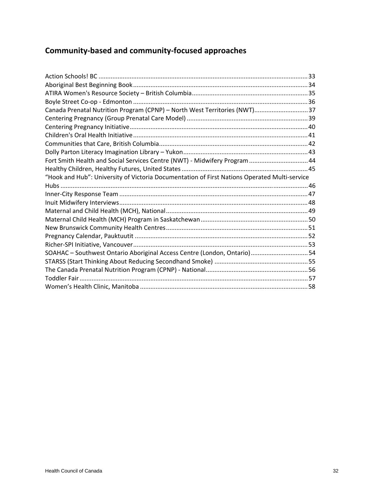# **Community‐based and community‐focused approaches**

| Canada Prenatal Nutrition Program (CPNP) - North West Territories (NWT)37                    |  |
|----------------------------------------------------------------------------------------------|--|
|                                                                                              |  |
|                                                                                              |  |
|                                                                                              |  |
|                                                                                              |  |
|                                                                                              |  |
| Fort Smith Health and Social Services Centre (NWT) - Midwifery Program  44                   |  |
|                                                                                              |  |
| "Hook and Hub": University of Victoria Documentation of First Nations Operated Multi-service |  |
|                                                                                              |  |
|                                                                                              |  |
|                                                                                              |  |
|                                                                                              |  |
|                                                                                              |  |
|                                                                                              |  |
|                                                                                              |  |
|                                                                                              |  |
|                                                                                              |  |
| SOAHAC - Southwest Ontario Aboriginal Access Centre (London, Ontario) 54                     |  |
|                                                                                              |  |
|                                                                                              |  |
|                                                                                              |  |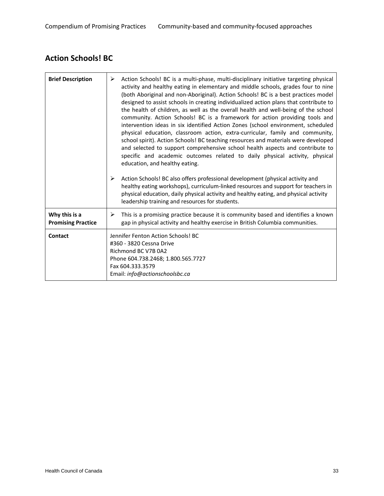#### **Action Schools! BC**

| <b>Brief Description</b>                   | Action Schools! BC is a multi-phase, multi-disciplinary initiative targeting physical<br>➤<br>activity and healthy eating in elementary and middle schools, grades four to nine<br>(both Aboriginal and non-Aboriginal). Action Schools! BC is a best practices model<br>designed to assist schools in creating individualized action plans that contribute to<br>the health of children, as well as the overall health and well-being of the school<br>community. Action Schools! BC is a framework for action providing tools and<br>intervention ideas in six identified Action Zones (school environment, scheduled<br>physical education, classroom action, extra-curricular, family and community,<br>school spirit). Action Schools! BC teaching resources and materials were developed<br>and selected to support comprehensive school health aspects and contribute to<br>specific and academic outcomes related to daily physical activity, physical<br>education, and healthy eating. |
|--------------------------------------------|--------------------------------------------------------------------------------------------------------------------------------------------------------------------------------------------------------------------------------------------------------------------------------------------------------------------------------------------------------------------------------------------------------------------------------------------------------------------------------------------------------------------------------------------------------------------------------------------------------------------------------------------------------------------------------------------------------------------------------------------------------------------------------------------------------------------------------------------------------------------------------------------------------------------------------------------------------------------------------------------------|
|                                            | Action Schools! BC also offers professional development (physical activity and<br>➤<br>healthy eating workshops), curriculum-linked resources and support for teachers in<br>physical education, daily physical activity and healthy eating, and physical activity<br>leadership training and resources for students.                                                                                                                                                                                                                                                                                                                                                                                                                                                                                                                                                                                                                                                                            |
| Why this is a<br><b>Promising Practice</b> | This is a promising practice because it is community based and identifies a known<br>➤<br>gap in physical activity and healthy exercise in British Columbia communities.                                                                                                                                                                                                                                                                                                                                                                                                                                                                                                                                                                                                                                                                                                                                                                                                                         |
| Contact                                    | Jennifer Fenton Action Schools! BC<br>#360 - 3820 Cessna Drive<br>Richmond BC V7B 0A2<br>Phone 604.738.2468; 1.800.565.7727<br>Fax 604.333.3579<br>Email: info@actionschoolsbc.ca                                                                                                                                                                                                                                                                                                                                                                                                                                                                                                                                                                                                                                                                                                                                                                                                                |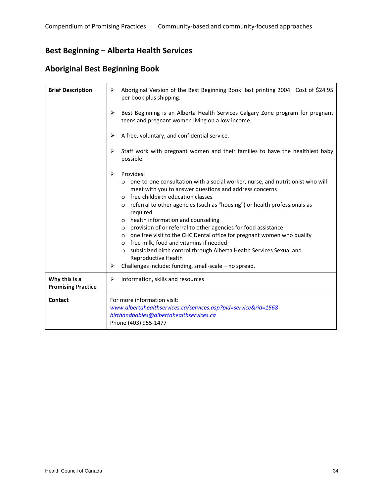#### **Best Beginning – Alberta Health Services**

#### **Aboriginal Best Beginning Book**

| <b>Brief Description</b>                   | Aboriginal Version of the Best Beginning Book: last printing 2004. Cost of \$24.95<br>➤<br>per book plus shipping.                                                                                                                                                                                                                                                                                                                                                                                                                                                                                                                                                                                                                   |
|--------------------------------------------|--------------------------------------------------------------------------------------------------------------------------------------------------------------------------------------------------------------------------------------------------------------------------------------------------------------------------------------------------------------------------------------------------------------------------------------------------------------------------------------------------------------------------------------------------------------------------------------------------------------------------------------------------------------------------------------------------------------------------------------|
|                                            | Best Beginning is an Alberta Health Services Calgary Zone program for pregnant<br>➤<br>teens and pregnant women living on a low income.                                                                                                                                                                                                                                                                                                                                                                                                                                                                                                                                                                                              |
|                                            | A free, voluntary, and confidential service.<br>➤                                                                                                                                                                                                                                                                                                                                                                                                                                                                                                                                                                                                                                                                                    |
|                                            | Staff work with pregnant women and their families to have the healthiest baby<br>➤<br>possible.                                                                                                                                                                                                                                                                                                                                                                                                                                                                                                                                                                                                                                      |
|                                            | Provides:<br>➤<br>o one-to-one consultation with a social worker, nurse, and nutritionist who will<br>meet with you to answer questions and address concerns<br>o free childbirth education classes<br>referral to other agencies (such as "housing") or health professionals as<br>$\circ$<br>required<br>health information and counselling<br>$\circ$<br>provision of or referral to other agencies for food assistance<br>$\circ$<br>o one free visit to the CHC Dental office for pregnant women who qualify<br>o free milk, food and vitamins if needed<br>subsidized birth control through Alberta Health Services Sexual and<br>$\circ$<br>Reproductive Health<br>Challenges include: funding, small-scale - no spread.<br>➤ |
| Why this is a<br><b>Promising Practice</b> | Information, skills and resources<br>➤                                                                                                                                                                                                                                                                                                                                                                                                                                                                                                                                                                                                                                                                                               |
| Contact                                    | For more information visit:<br>www.albertahealthservices.ca/services.asp?pid=service&rid=1568<br>birthandbabies@albertahealthservices.ca<br>Phone (403) 955-1477                                                                                                                                                                                                                                                                                                                                                                                                                                                                                                                                                                     |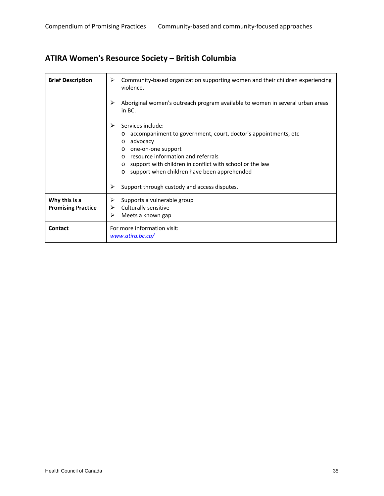# **ATIRA Women's Resource Society – British Columbia**

| <b>Brief Description</b>  | Community-based organization supporting women and their children experiencing<br>⋗<br>violence.<br>Aboriginal women's outreach program available to women in several urban areas<br>⋗<br>in BC.                                                                                                                                                                                          |
|---------------------------|------------------------------------------------------------------------------------------------------------------------------------------------------------------------------------------------------------------------------------------------------------------------------------------------------------------------------------------------------------------------------------------|
|                           | Services include:<br>⋗<br>accompaniment to government, court, doctor's appointments, etc.<br>$\circ$<br>advocacy<br>$\circ$<br>one-on-one support<br>$\circ$<br>resource information and referrals<br>support with children in conflict with school or the law<br>$\circ$<br>support when children have been apprehended<br>$\circ$<br>Support through custody and access disputes.<br>⋗ |
| Why this is a             | Supports a vulnerable group                                                                                                                                                                                                                                                                                                                                                              |
| <b>Promising Practice</b> | Culturally sensitive<br>⋗<br>Meets a known gap<br>⋗                                                                                                                                                                                                                                                                                                                                      |
| Contact                   | For more information visit:<br>www.atira.bc.ca/                                                                                                                                                                                                                                                                                                                                          |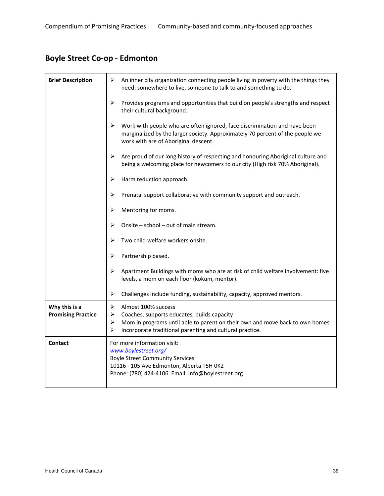# **Boyle Street Co‐op ‐ Edmonton**

| <b>Brief Description</b>                   | ≻<br>An inner city organization connecting people living in poverty with the things they<br>need: somewhere to live, someone to talk to and something to do.                                                                                           |
|--------------------------------------------|--------------------------------------------------------------------------------------------------------------------------------------------------------------------------------------------------------------------------------------------------------|
|                                            | ➤<br>Provides programs and opportunities that build on people's strengths and respect<br>their cultural background.                                                                                                                                    |
|                                            | ➤<br>Work with people who are often ignored, face discrimination and have been<br>marginalized by the larger society. Approximately 70 percent of the people we<br>work with are of Aboriginal descent.                                                |
|                                            | Are proud of our long history of respecting and honouring Aboriginal culture and<br>⋗<br>being a welcoming place for newcomers to our city (High risk 70% Aboriginal).                                                                                 |
|                                            | Harm reduction approach.<br>➤                                                                                                                                                                                                                          |
|                                            | Prenatal support collaborative with community support and outreach.<br>⋗                                                                                                                                                                               |
|                                            | Mentoring for moms.<br>➤                                                                                                                                                                                                                               |
|                                            | Onsite - school - out of main stream.<br>➤                                                                                                                                                                                                             |
|                                            | Two child welfare workers onsite.<br>⋗                                                                                                                                                                                                                 |
|                                            | ➤<br>Partnership based.                                                                                                                                                                                                                                |
|                                            | ➤<br>Apartment Buildings with moms who are at risk of child welfare involvement: five<br>levels, a mom on each floor (kokum, mentor).                                                                                                                  |
|                                            | ➤<br>Challenges include funding, sustainability, capacity, approved mentors.                                                                                                                                                                           |
| Why this is a<br><b>Promising Practice</b> | ➤<br>Almost 100% success<br>$\blacktriangleright$<br>Coaches, supports educates, builds capacity<br>Mom in programs until able to parent on their own and move back to own homes<br>➤<br>⋗<br>Incorporate traditional parenting and cultural practice. |
| <b>Contact</b>                             | For more information visit:<br>www.boylestreet.org/<br><b>Boyle Street Community Services</b><br>10116 - 105 Ave Edmonton, Alberta T5H 0K2<br>Phone: (780) 424-4106 Email: info@boylestreet.org                                                        |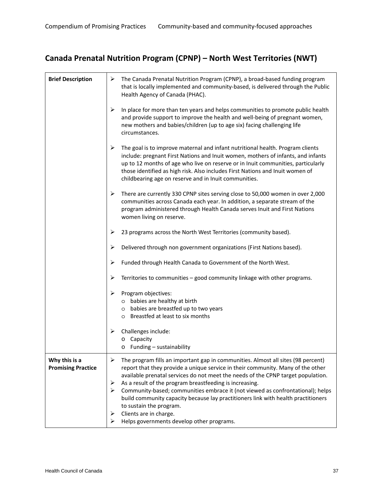# **Canada Prenatal Nutrition Program (CPNP) – North West Territories (NWT)**

| <b>Brief Description</b>                   | ≻                     | The Canada Prenatal Nutrition Program (CPNP), a broad-based funding program<br>that is locally implemented and community-based, is delivered through the Public<br>Health Agency of Canada (PHAC).                                                                                                                                                                                               |
|--------------------------------------------|-----------------------|--------------------------------------------------------------------------------------------------------------------------------------------------------------------------------------------------------------------------------------------------------------------------------------------------------------------------------------------------------------------------------------------------|
|                                            | $\blacktriangleright$ | In place for more than ten years and helps communities to promote public health<br>and provide support to improve the health and well-being of pregnant women,<br>new mothers and babies/children (up to age six) facing challenging life<br>circumstances.                                                                                                                                      |
|                                            | ➤                     | The goal is to improve maternal and infant nutritional health. Program clients<br>include: pregnant First Nations and Inuit women, mothers of infants, and infants<br>up to 12 months of age who live on reserve or in Inuit communities, particularly<br>those identified as high risk. Also includes First Nations and Inuit women of<br>childbearing age on reserve and in Inuit communities. |
|                                            | ➤                     | There are currently 330 CPNP sites serving close to 50,000 women in over 2,000<br>communities across Canada each year. In addition, a separate stream of the<br>program administered through Health Canada serves Inuit and First Nations<br>women living on reserve.                                                                                                                            |
|                                            | ➤                     | 23 programs across the North West Territories (community based).                                                                                                                                                                                                                                                                                                                                 |
|                                            | ➤                     | Delivered through non government organizations (First Nations based).                                                                                                                                                                                                                                                                                                                            |
|                                            | ➤                     | Funded through Health Canada to Government of the North West.                                                                                                                                                                                                                                                                                                                                    |
|                                            | ➤                     | Territories to communities - good community linkage with other programs.                                                                                                                                                                                                                                                                                                                         |
|                                            | ➤                     | Program objectives:                                                                                                                                                                                                                                                                                                                                                                              |
|                                            |                       | o babies are healthy at birth<br>o babies are breastfed up to two years                                                                                                                                                                                                                                                                                                                          |
|                                            |                       | o Breastfed at least to six months                                                                                                                                                                                                                                                                                                                                                               |
|                                            | ➤                     | Challenges include:<br>o Capacity<br>$\circ$ Funding - sustainability                                                                                                                                                                                                                                                                                                                            |
| Why this is a<br><b>Promising Practice</b> | ➤                     | The program fills an important gap in communities. Almost all sites (98 percent)<br>report that they provide a unique service in their community. Many of the other<br>available prenatal services do not meet the needs of the CPNP target population.                                                                                                                                          |
|                                            | ➤<br>≻                | As a result of the program breastfeeding is increasing.<br>Community-based; communities embrace it (not viewed as confrontational); helps<br>build community capacity because lay practitioners link with health practitioners<br>to sustain the program.                                                                                                                                        |
|                                            | ➤<br>⋗                | Clients are in charge.<br>Helps governments develop other programs.                                                                                                                                                                                                                                                                                                                              |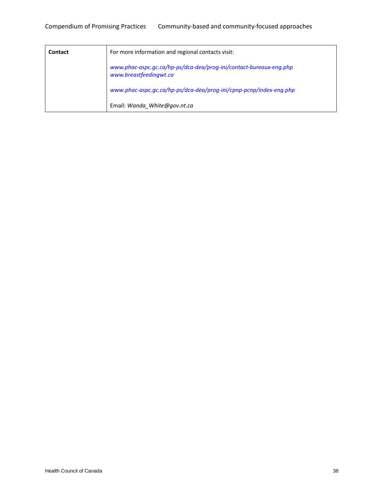| Contact | For more information and regional contacts visit:                                            |
|---------|----------------------------------------------------------------------------------------------|
|         | www.phac-aspc.gc.ca/hp-ps/dca-dea/prog-ini/contact-bureaux-eng.php<br>www.breastfeedingwt.ca |
|         | www.phac-aspc.gc.ca/hp-ps/dca-dea/prog-ini/cpnp-pcnp/index-eng.php                           |
|         | Email: Wanda White@gov.nt.ca                                                                 |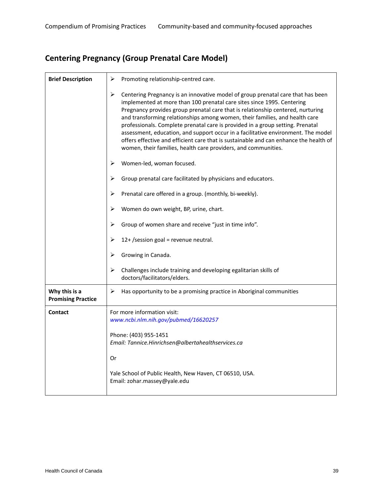### **Centering Pregnancy (Group Prenatal Care Model)**

| <b>Brief Description</b>                   | Promoting relationship-centred care.<br>➤                                                                                                                                                                                                                                                                                                                                                                                                                                                                                                                                                                                                                          |
|--------------------------------------------|--------------------------------------------------------------------------------------------------------------------------------------------------------------------------------------------------------------------------------------------------------------------------------------------------------------------------------------------------------------------------------------------------------------------------------------------------------------------------------------------------------------------------------------------------------------------------------------------------------------------------------------------------------------------|
|                                            | ➤<br>Centering Pregnancy is an innovative model of group prenatal care that has been<br>implemented at more than 100 prenatal care sites since 1995. Centering<br>Pregnancy provides group prenatal care that is relationship centered, nurturing<br>and transforming relationships among women, their families, and health care<br>professionals. Complete prenatal care is provided in a group setting. Prenatal<br>assessment, education, and support occur in a facilitative environment. The model<br>offers effective and efficient care that is sustainable and can enhance the health of<br>women, their families, health care providers, and communities. |
|                                            | Women-led, woman focused.<br>➤                                                                                                                                                                                                                                                                                                                                                                                                                                                                                                                                                                                                                                     |
|                                            | Group prenatal care facilitated by physicians and educators.<br>➤                                                                                                                                                                                                                                                                                                                                                                                                                                                                                                                                                                                                  |
|                                            | Prenatal care offered in a group. (monthly, bi-weekly).<br>⋗                                                                                                                                                                                                                                                                                                                                                                                                                                                                                                                                                                                                       |
|                                            | Women do own weight, BP, urine, chart.<br>⋗                                                                                                                                                                                                                                                                                                                                                                                                                                                                                                                                                                                                                        |
|                                            | Group of women share and receive "just in time info".<br>➤                                                                                                                                                                                                                                                                                                                                                                                                                                                                                                                                                                                                         |
|                                            | 12+ /session goal = revenue neutral.<br>➤                                                                                                                                                                                                                                                                                                                                                                                                                                                                                                                                                                                                                          |
|                                            | Growing in Canada.<br>⋗                                                                                                                                                                                                                                                                                                                                                                                                                                                                                                                                                                                                                                            |
|                                            | ➤<br>Challenges include training and developing egalitarian skills of<br>doctors/facilitators/elders.                                                                                                                                                                                                                                                                                                                                                                                                                                                                                                                                                              |
| Why this is a<br><b>Promising Practice</b> | ➤<br>Has opportunity to be a promising practice in Aboriginal communities                                                                                                                                                                                                                                                                                                                                                                                                                                                                                                                                                                                          |
| Contact                                    | For more information visit:<br>www.ncbi.nlm.nih.gov/pubmed/16620257                                                                                                                                                                                                                                                                                                                                                                                                                                                                                                                                                                                                |
|                                            |                                                                                                                                                                                                                                                                                                                                                                                                                                                                                                                                                                                                                                                                    |
|                                            | Phone: (403) 955-1451<br>Email: Tannice.Hinrichsen@albertahealthservices.ca                                                                                                                                                                                                                                                                                                                                                                                                                                                                                                                                                                                        |
|                                            | Or                                                                                                                                                                                                                                                                                                                                                                                                                                                                                                                                                                                                                                                                 |
|                                            | Yale School of Public Health, New Haven, CT 06510, USA.<br>Email: zohar.massey@yale.edu                                                                                                                                                                                                                                                                                                                                                                                                                                                                                                                                                                            |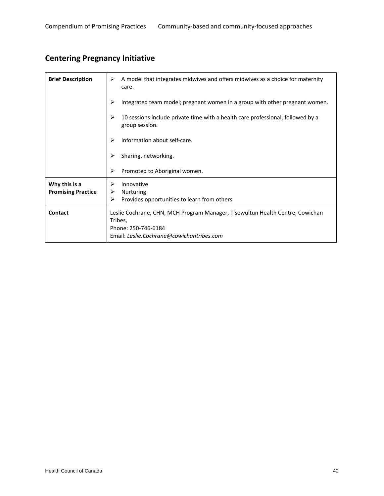# **Centering Pregnancy Initiative**

| <b>Brief Description</b>  | A model that integrates midwives and offers midwives as a choice for maternity<br>➤<br>care.                                                                 |
|---------------------------|--------------------------------------------------------------------------------------------------------------------------------------------------------------|
|                           | ➤<br>Integrated team model; pregnant women in a group with other pregnant women.                                                                             |
|                           | ⋗<br>10 sessions include private time with a health care professional, followed by a<br>group session.                                                       |
|                           | Information about self-care.<br>⋗                                                                                                                            |
|                           | Sharing, networking.<br>⋗                                                                                                                                    |
|                           | ➤<br>Promoted to Aboriginal women.                                                                                                                           |
| Why this is a             | Innovative<br>⋗                                                                                                                                              |
| <b>Promising Practice</b> | Nurturing<br>➤                                                                                                                                               |
|                           | ➤<br>Provides opportunities to learn from others                                                                                                             |
| <b>Contact</b>            | Leslie Cochrane, CHN, MCH Program Manager, T'sewultun Health Centre, Cowichan<br>Tribes,<br>Phone: 250-746-6184<br>Email: Leslie.Cochrane@cowichantribes.com |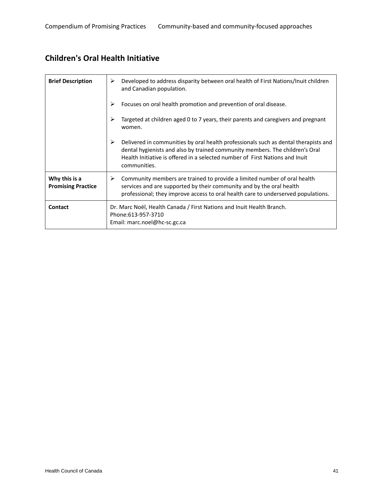### **Children's Oral Health Initiative**

| <b>Brief Description</b>                   | Developed to address disparity between oral health of First Nations/Inuit children<br>➤<br>and Canadian population.                                                                                                                                                      |
|--------------------------------------------|--------------------------------------------------------------------------------------------------------------------------------------------------------------------------------------------------------------------------------------------------------------------------|
|                                            | Focuses on oral health promotion and prevention of oral disease.<br>⋗                                                                                                                                                                                                    |
|                                            | ⋗<br>Targeted at children aged 0 to 7 years, their parents and caregivers and pregnant<br>women.                                                                                                                                                                         |
|                                            | ≻<br>Delivered in communities by oral health professionals such as dental therapists and<br>dental hygienists and also by trained community members. The children's Oral<br>Health Initiative is offered in a selected number of First Nations and Inuit<br>communities. |
| Why this is a<br><b>Promising Practice</b> | Community members are trained to provide a limited number of oral health<br>➤<br>services and are supported by their community and by the oral health<br>professional; they improve access to oral health care to underserved populations.                               |
| <b>Contact</b>                             | Dr. Marc Noël, Health Canada / First Nations and Inuit Health Branch.<br>Phone: 613-957-3710<br>Email: marc.noel@hc-sc.gc.ca                                                                                                                                             |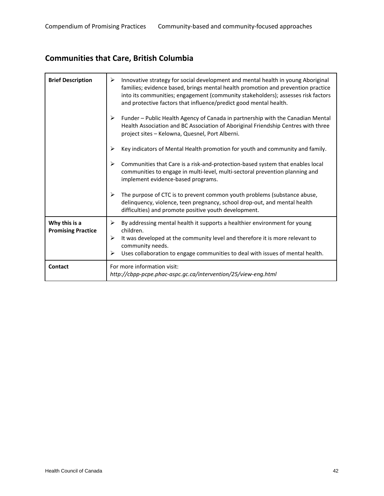# **Communities that Care, British Columbia**

| <b>Brief Description</b>                   | Innovative strategy for social development and mental health in young Aboriginal<br>➤<br>families; evidence based, brings mental health promotion and prevention practice<br>into its communities; engagement (community stakeholders); assesses risk factors<br>and protective factors that influence/predict good mental health. |
|--------------------------------------------|------------------------------------------------------------------------------------------------------------------------------------------------------------------------------------------------------------------------------------------------------------------------------------------------------------------------------------|
|                                            | Funder - Public Health Agency of Canada in partnership with the Canadian Mental<br>➤<br>Health Association and BC Association of Aboriginal Friendship Centres with three<br>project sites - Kelowna, Quesnel, Port Alberni.                                                                                                       |
|                                            | ≻<br>Key indicators of Mental Health promotion for youth and community and family.                                                                                                                                                                                                                                                 |
|                                            | ≻<br>Communities that Care is a risk-and-protection-based system that enables local<br>communities to engage in multi-level, multi-sectoral prevention planning and<br>implement evidence-based programs.                                                                                                                          |
|                                            | The purpose of CTC is to prevent common youth problems (substance abuse,<br>➤<br>delinquency, violence, teen pregnancy, school drop-out, and mental health<br>difficulties) and promote positive youth development.                                                                                                                |
| Why this is a<br><b>Promising Practice</b> | By addressing mental health it supports a healthier environment for young<br>➤<br>children.<br>It was developed at the community level and therefore it is more relevant to<br>➤<br>community needs.<br>Uses collaboration to engage communities to deal with issues of mental health.<br>➤                                        |
| Contact                                    | For more information visit:<br>http://cbpp-pcpe.phac-aspc.gc.ca/intervention/25/view-eng.html                                                                                                                                                                                                                                      |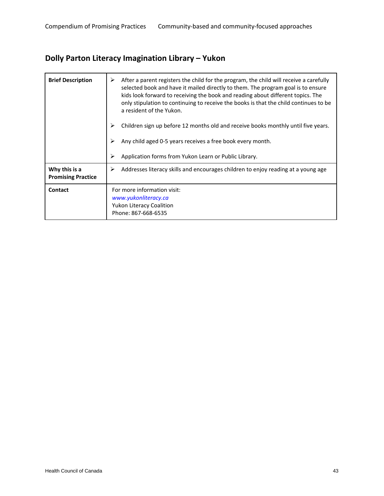# **Dolly Parton Literacy Imagination Library – Yukon**

| <b>Brief Description</b>                   | After a parent registers the child for the program, the child will receive a carefully<br>selected book and have it mailed directly to them. The program goal is to ensure<br>kids look forward to receiving the book and reading about different topics. The<br>only stipulation to continuing to receive the books is that the child continues to be<br>a resident of the Yukon. |
|--------------------------------------------|------------------------------------------------------------------------------------------------------------------------------------------------------------------------------------------------------------------------------------------------------------------------------------------------------------------------------------------------------------------------------------|
|                                            | Children sign up before 12 months old and receive books monthly until five years.                                                                                                                                                                                                                                                                                                  |
|                                            | Any child aged 0-5 years receives a free book every month.                                                                                                                                                                                                                                                                                                                         |
|                                            | Application forms from Yukon Learn or Public Library.<br>⋗                                                                                                                                                                                                                                                                                                                         |
| Why this is a<br><b>Promising Practice</b> | Addresses literacy skills and encourages children to enjoy reading at a young age<br>⋗                                                                                                                                                                                                                                                                                             |
| <b>Contact</b>                             | For more information visit:<br>www.yukonliteracy.ca<br><b>Yukon Literacy Coalition</b><br>Phone: 867-668-6535                                                                                                                                                                                                                                                                      |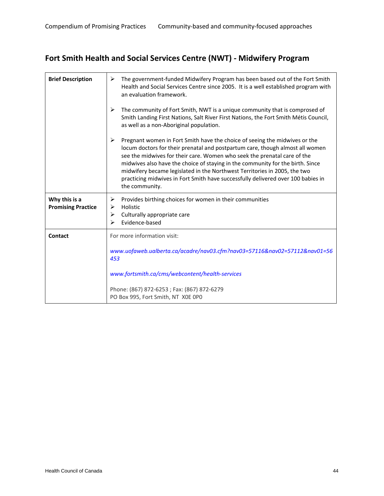# **Fort Smith Health and Social Services Centre (NWT) ‐ Midwifery Program**

| <b>Brief Description</b>                   | The government-funded Midwifery Program has been based out of the Fort Smith<br>➤<br>Health and Social Services Centre since 2005. It is a well established program with<br>an evaluation framework.                                                                                                                                                                                                                                                                                                              |
|--------------------------------------------|-------------------------------------------------------------------------------------------------------------------------------------------------------------------------------------------------------------------------------------------------------------------------------------------------------------------------------------------------------------------------------------------------------------------------------------------------------------------------------------------------------------------|
|                                            | The community of Fort Smith, NWT is a unique community that is comprosed of<br>≻<br>Smith Landing First Nations, Salt River First Nations, the Fort Smith Métis Council,<br>as well as a non-Aboriginal population.                                                                                                                                                                                                                                                                                               |
|                                            | ➤<br>Pregnant women in Fort Smith have the choice of seeing the midwives or the<br>locum doctors for their prenatal and postpartum care, though almost all women<br>see the midwives for their care. Women who seek the prenatal care of the<br>midwives also have the choice of staying in the community for the birth. Since<br>midwifery became legislated in the Northwest Territories in 2005, the two<br>practicing midwives in Fort Smith have successfully delivered over 100 babies in<br>the community. |
| Why this is a<br><b>Promising Practice</b> | Provides birthing choices for women in their communities<br>➤<br>Holistic<br>⋗<br>➤<br>Culturally appropriate care<br>Evidence-based<br>⋗                                                                                                                                                                                                                                                                                                                                                                         |
| Contact                                    | For more information visit:                                                                                                                                                                                                                                                                                                                                                                                                                                                                                       |
|                                            | www.uofaweb.ualberta.ca/acadre/nav03.cfm?nav03=57116&nav02=57112&nav01=56<br>453                                                                                                                                                                                                                                                                                                                                                                                                                                  |
|                                            | www.fortsmith.ca/cms/webcontent/health-services                                                                                                                                                                                                                                                                                                                                                                                                                                                                   |
|                                            | Phone: (867) 872-6253; Fax: (867) 872-6279<br>PO Box 995, Fort Smith, NT X0E 0P0                                                                                                                                                                                                                                                                                                                                                                                                                                  |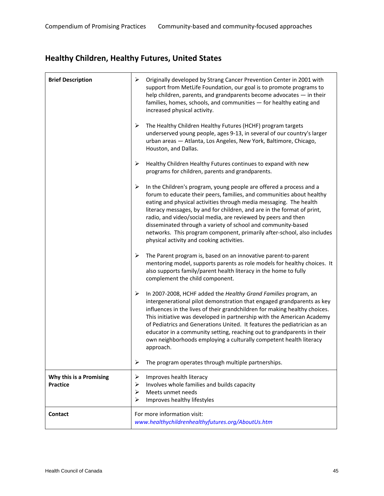# **Healthy Children, Healthy Futures, United States**

| <b>Brief Description</b>                   | ➤<br>Originally developed by Strang Cancer Prevention Center in 2001 with<br>support from MetLife Foundation, our goal is to promote programs to<br>help children, parents, and grandparents become advocates - in their<br>families, homes, schools, and communities - for healthy eating and<br>increased physical activity.                                                                                                                                                                                                                              |
|--------------------------------------------|-------------------------------------------------------------------------------------------------------------------------------------------------------------------------------------------------------------------------------------------------------------------------------------------------------------------------------------------------------------------------------------------------------------------------------------------------------------------------------------------------------------------------------------------------------------|
|                                            | ➤<br>The Healthy Children Healthy Futures (HCHF) program targets<br>underserved young people, ages 9-13, in several of our country's larger<br>urban areas - Atlanta, Los Angeles, New York, Baltimore, Chicago,<br>Houston, and Dallas.                                                                                                                                                                                                                                                                                                                    |
|                                            | ➤<br>Healthy Children Healthy Futures continues to expand with new<br>programs for children, parents and grandparents.                                                                                                                                                                                                                                                                                                                                                                                                                                      |
|                                            | In the Children's program, young people are offered a process and a<br>➤<br>forum to educate their peers, families, and communities about healthy<br>eating and physical activities through media messaging. The health<br>literacy messages, by and for children, and are in the format of print,<br>radio, and video/social media, are reviewed by peers and then<br>disseminated through a variety of school and community-based<br>networks. This program component, primarily after-school, also includes<br>physical activity and cooking activities. |
|                                            | ➤<br>The Parent program is, based on an innovative parent-to-parent<br>mentoring model, supports parents as role models for healthy choices. It<br>also supports family/parent health literacy in the home to fully<br>complement the child component.                                                                                                                                                                                                                                                                                                      |
|                                            | ➤<br>In 2007-2008, HCHF added the Healthy Grand Families program, an<br>intergenerational pilot demonstration that engaged grandparents as key<br>influences in the lives of their grandchildren for making healthy choices.<br>This initiative was developed in partnership with the American Academy<br>of Pediatrics and Generations United. It features the pediatrician as an<br>educator in a community setting, reaching out to grandparents in their<br>own neighborhoods employing a culturally competent health literacy<br>approach.             |
|                                            | ➤<br>The program operates through multiple partnerships.                                                                                                                                                                                                                                                                                                                                                                                                                                                                                                    |
| Why this is a Promising<br><b>Practice</b> | Improves health literacy<br>➤<br>Involves whole families and builds capacity<br>➤<br>Meets unmet needs<br>➤<br>Improves healthy lifestyles<br>⋗                                                                                                                                                                                                                                                                                                                                                                                                             |
| <b>Contact</b>                             | For more information visit:<br>www.healthychildrenhealthyfutures.org/AboutUs.htm                                                                                                                                                                                                                                                                                                                                                                                                                                                                            |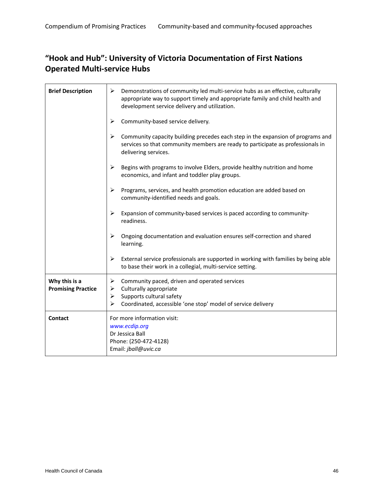### **"Hook and Hub": University of Victoria Documentation of First Nations Operated Multi‐service Hubs**

| <b>Brief Description</b>                   | ➤<br>Demonstrations of community led multi-service hubs as an effective, culturally<br>appropriate way to support timely and appropriate family and child health and<br>development service delivery and utilization. |
|--------------------------------------------|-----------------------------------------------------------------------------------------------------------------------------------------------------------------------------------------------------------------------|
|                                            | Community-based service delivery.<br>≻                                                                                                                                                                                |
|                                            | Community capacity building precedes each step in the expansion of programs and<br>➤<br>services so that community members are ready to participate as professionals in<br>delivering services.                       |
|                                            | ➤<br>Begins with programs to involve Elders, provide healthy nutrition and home<br>economics, and infant and toddler play groups.                                                                                     |
|                                            | ➤<br>Programs, services, and health promotion education are added based on<br>community-identified needs and goals.                                                                                                   |
|                                            | ➤<br>Expansion of community-based services is paced according to community-<br>readiness.                                                                                                                             |
|                                            | ≻<br>Ongoing documentation and evaluation ensures self-correction and shared<br>learning.                                                                                                                             |
|                                            | ➤<br>External service professionals are supported in working with families by being able<br>to base their work in a collegial, multi-service setting.                                                                 |
| Why this is a<br><b>Promising Practice</b> | Community paced, driven and operated services<br>➤<br>Culturally appropriate<br>➤<br>Supports cultural safety<br>➤<br>Coordinated, accessible 'one stop' model of service delivery<br>➤                               |
| Contact                                    | For more information visit:<br>www.ecdip.org<br>Dr Jessica Ball<br>Phone: (250-472-4128)<br>Email: jball@uvic.ca                                                                                                      |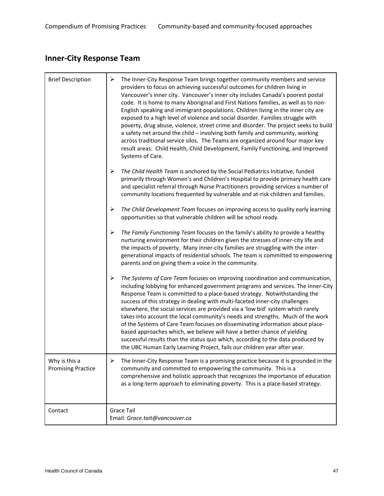# **Inner‐City Response Team**

| <b>Brief Description</b>                   | ➤<br>The Inner-City Response Team brings together community members and service<br>providers to focus on achieving successful outcomes for children living in<br>Vancouver's inner city. Vancouver's inner city includes Canada's poorest postal<br>code. It is home to many Aboriginal and First Nations families, as well as to non-<br>English speaking and immigrant populations. Children living in the inner city are<br>exposed to a high level of violence and social disorder. Families struggle with<br>poverty, drug abuse, violence, street crime and disorder. The project seeks to build<br>a safety net around the child - involving both family and community, working<br>across traditional service silos. The Teams are organized around four major key<br>result areas: Child Health, Child Development, Family Functioning, and Improved<br>Systems of Care. |
|--------------------------------------------|----------------------------------------------------------------------------------------------------------------------------------------------------------------------------------------------------------------------------------------------------------------------------------------------------------------------------------------------------------------------------------------------------------------------------------------------------------------------------------------------------------------------------------------------------------------------------------------------------------------------------------------------------------------------------------------------------------------------------------------------------------------------------------------------------------------------------------------------------------------------------------|
|                                            | $\blacktriangleright$<br>The Child Health Team is anchored by the Social Pediatrics Initiative, funded<br>primarily through Women's and Children's Hospital to provide primary health care<br>and specialist referral through Nurse Practitioners providing services a number of<br>community locations frequented by vulnerable and at-risk children and families.                                                                                                                                                                                                                                                                                                                                                                                                                                                                                                              |
|                                            | ➤<br>The Child Development Team focuses on improving access to quality early learning<br>opportunities so that vulnerable children will be school ready.                                                                                                                                                                                                                                                                                                                                                                                                                                                                                                                                                                                                                                                                                                                         |
|                                            | $\blacktriangleright$<br>The Family Functioning Team focuses on the family's ability to provide a healthy<br>nurturing environment for their children given the stresses of inner-city life and<br>the impacts of poverty. Many inner-city families are struggling with the inter-<br>generational impacts of residential schools. The team is committed to empowering<br>parents and on giving them a voice in the community.                                                                                                                                                                                                                                                                                                                                                                                                                                                   |
|                                            | ➤<br>The Systems of Care Team focuses on improving coordination and communication,<br>including lobbying for enhanced government programs and services. The Inner-City<br>Response Team is committed to a place-based strategy. Notwithstanding the<br>success of this strategy in dealing with multi-faceted inner-city challenges<br>elsewhere, the social services are provided via a 'low bid' system which rarely<br>takes into account the local community's needs and strengths. Much of the work<br>of the Systems of Care Team focuses on disseminating information about place-<br>based approaches which, we believe will have a better chance of yielding<br>successful results than the status quo which, according to the data produced by<br>the UBC Human Early Learning Project, fails our children year after year.                                            |
| Why is this a<br><b>Promising Practice</b> | ➤<br>The Inner-City Response Team is a promising practice because it is grounded in the<br>community and committed to empowering the community. This is a<br>comprehensive and holistic approach that recognizes the importance of education<br>as a long-term approach to eliminating poverty. This is a place-based strategy.                                                                                                                                                                                                                                                                                                                                                                                                                                                                                                                                                  |
| Contact                                    | <b>Grace Tail</b><br>Email: Grace.tait@vancouver.ca                                                                                                                                                                                                                                                                                                                                                                                                                                                                                                                                                                                                                                                                                                                                                                                                                              |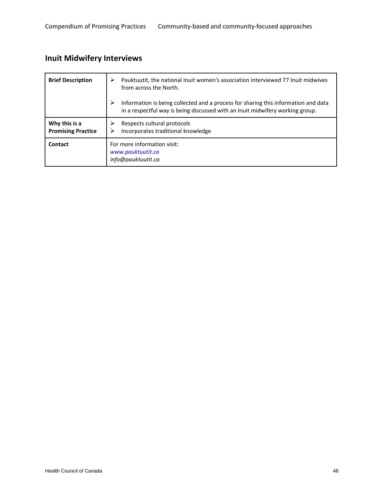# **Inuit Midwifery Interviews**

| <b>Brief Description</b>                   | Pauktuutit, the national Inuit women's association interviewed 77 Inuit midwives<br>⋗<br>from across the North.                                                          |
|--------------------------------------------|--------------------------------------------------------------------------------------------------------------------------------------------------------------------------|
|                                            | Information is being collected and a process for sharing this information and data<br>➤<br>in a respectful way is being discussed with an Inuit midwifery working group. |
| Why this is a<br><b>Promising Practice</b> | Respects cultural protocols<br>⋗<br>Incorporates traditional knowledge<br>⋗                                                                                              |
| <b>Contact</b>                             | For more information visit:<br>www.pauktuutit.ca<br>info@pauktuutit.ca                                                                                                   |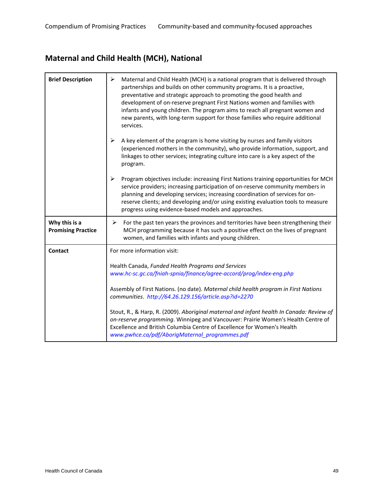# **Maternal and Child Health (MCH), National**

| <b>Brief Description</b>                   | ➤<br>Maternal and Child Health (MCH) is a national program that is delivered through<br>partnerships and builds on other community programs. It is a proactive,<br>preventative and strategic approach to promoting the good health and<br>development of on-reserve pregnant First Nations women and families with<br>infants and young children. The program aims to reach all pregnant women and<br>new parents, with long-term support for those families who require additional<br>services. |
|--------------------------------------------|---------------------------------------------------------------------------------------------------------------------------------------------------------------------------------------------------------------------------------------------------------------------------------------------------------------------------------------------------------------------------------------------------------------------------------------------------------------------------------------------------|
|                                            | ➤<br>A key element of the program is home visiting by nurses and family visitors<br>(experienced mothers in the community), who provide information, support, and<br>linkages to other services; integrating culture into care is a key aspect of the<br>program.                                                                                                                                                                                                                                 |
|                                            | $\blacktriangleright$<br>Program objectives include: increasing First Nations training opportunities for MCH<br>service providers; increasing participation of on-reserve community members in<br>planning and developing services; increasing coordination of services for on-<br>reserve clients; and developing and/or using existing evaluation tools to measure<br>progress using evidence-based models and approaches.                                                                      |
| Why this is a<br><b>Promising Practice</b> | For the past ten years the provinces and territories have been strengthening their<br>➤<br>MCH programming because it has such a positive effect on the lives of pregnant<br>women, and families with infants and young children.                                                                                                                                                                                                                                                                 |
| Contact                                    | For more information visit:                                                                                                                                                                                                                                                                                                                                                                                                                                                                       |
|                                            | Health Canada, Funded Health Programs and Services<br>www.hc-sc.gc.ca/fniah-spnia/finance/agree-accord/prog/index-eng.php                                                                                                                                                                                                                                                                                                                                                                         |
|                                            | Assembly of First Nations. (no date). Maternal child health program in First Nations<br>communities. http://64.26.129.156/article.asp?id=2270                                                                                                                                                                                                                                                                                                                                                     |
|                                            | Stout, R., & Harp, R. (2009). Aboriginal maternal and infant health In Canada: Review of<br>on-reserve programming. Winnipeg and Vancouver: Prairie Women's Health Centre of<br>Excellence and British Columbia Centre of Excellence for Women's Health<br>www.pwhce.ca/pdf/AborigMaternal_programmes.pdf                                                                                                                                                                                         |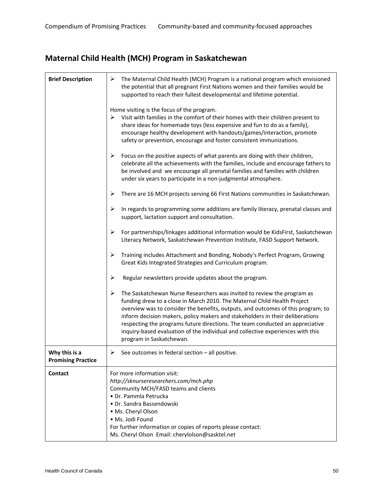# **Maternal Child Health (MCH) Program in Saskatchewan**

| <b>Brief Description</b>                   | The Maternal Child Health (MCH) Program is a national program which envisioned<br>➤<br>the potential that all pregnant First Nations women and their families would be<br>supported to reach their fullest developmental and lifetime potential.                                                                                                                                                                                                                                                                              |
|--------------------------------------------|-------------------------------------------------------------------------------------------------------------------------------------------------------------------------------------------------------------------------------------------------------------------------------------------------------------------------------------------------------------------------------------------------------------------------------------------------------------------------------------------------------------------------------|
|                                            | Home visiting is the focus of the program.<br>Visit with families in the comfort of their homes with their children present to<br>➤<br>share ideas for homemade toys (less expensive and fun to do as a family),<br>encourage healthy development with handouts/games/interaction, promote<br>safety or prevention, encourage and foster consistent immunizations.                                                                                                                                                            |
|                                            | ➤<br>Focus on the positive aspects of what parents are doing with their children,<br>celebrate all the achievements with the families, include and encourage fathers to<br>be involved and we encourage all prenatal families and families with children<br>under six years to participate in a non-judgmental atmosphere.                                                                                                                                                                                                    |
|                                            | There are 16 MCH projects serving 66 First Nations communities in Saskatchewan.<br>➤                                                                                                                                                                                                                                                                                                                                                                                                                                          |
|                                            | In regards to programming some additions are family literacy, prenatal classes and<br>➤<br>support, lactation support and consultation.                                                                                                                                                                                                                                                                                                                                                                                       |
|                                            | For partnerships/linkages additional information would be KidsFirst, Saskatchewan<br>➤<br>Literacy Network, Saskatchewan Prevention Institute, FASD Support Network.                                                                                                                                                                                                                                                                                                                                                          |
|                                            | ➤<br>Training includes Attachment and Bonding, Nobody's Perfect Program, Growing<br>Great Kids Integrated Strategies and Curriculum program.                                                                                                                                                                                                                                                                                                                                                                                  |
|                                            | ➤<br>Regular newsletters provide updates about the program.                                                                                                                                                                                                                                                                                                                                                                                                                                                                   |
|                                            | ➤<br>The Saskatchewan Nurse Researchers was invited to review the program as<br>funding drew to a close in March 2010. The Maternal Child Health Project<br>overview was to consider the benefits, outputs, and outcomes of this program; to<br>inform decision makers, policy makers and stakeholders in their deliberations<br>respecting the programs future directions. The team conducted an appreciative<br>inquiry-based evaluation of the individual and collective experiences with this<br>program in Saskatchewan. |
| Why this is a<br><b>Promising Practice</b> | See outcomes in federal section - all positive.<br>➤                                                                                                                                                                                                                                                                                                                                                                                                                                                                          |
| Contact                                    | For more information visit:<br>http://sknurseresearchers.com/mch.php<br>Community MCH/FASD teams and clients<br>· Dr. Pammla Petrucka<br>· Dr. Sandra Bassendowski<br>· Ms. Cheryl Olson<br>· Ms. Jodi Found<br>For further information or copies of reports please contact:<br>Ms. Cheryl Olson Email: cherylolson@sasktel.net                                                                                                                                                                                               |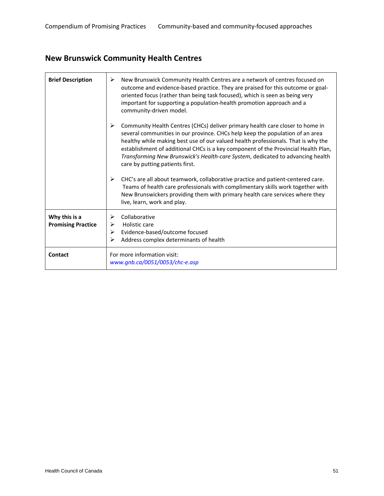# **New Brunswick Community Health Centres**

| <b>Brief Description</b>                   | ➤<br>New Brunswick Community Health Centres are a network of centres focused on<br>outcome and evidence-based practice. They are praised for this outcome or goal-<br>oriented focus (rather than being task focused), which is seen as being very<br>important for supporting a population-health promotion approach and a<br>community-driven model.                                                                                                              |
|--------------------------------------------|---------------------------------------------------------------------------------------------------------------------------------------------------------------------------------------------------------------------------------------------------------------------------------------------------------------------------------------------------------------------------------------------------------------------------------------------------------------------|
|                                            | ➤<br>Community Health Centres (CHCs) deliver primary health care closer to home in<br>several communities in our province. CHCs help keep the population of an area<br>healthy while making best use of our valued health professionals. That is why the<br>establishment of additional CHCs is a key component of the Provincial Health Plan,<br>Transforming New Brunswick's Health-care System, dedicated to advancing health<br>care by putting patients first. |
|                                            | CHC's are all about teamwork, collaborative practice and patient-centered care.<br>➤<br>Teams of health care professionals with complimentary skills work together with<br>New Brunswickers providing them with primary health care services where they<br>live, learn, work and play.                                                                                                                                                                              |
| Why this is a<br><b>Promising Practice</b> | Collaborative<br>Holistic care<br>⋗<br>Evidence-based/outcome focused<br>≻<br>Address complex determinants of health                                                                                                                                                                                                                                                                                                                                                |
| Contact                                    | For more information visit:<br>$www. gnb. ca/0051/0053/chc-e.asp$                                                                                                                                                                                                                                                                                                                                                                                                   |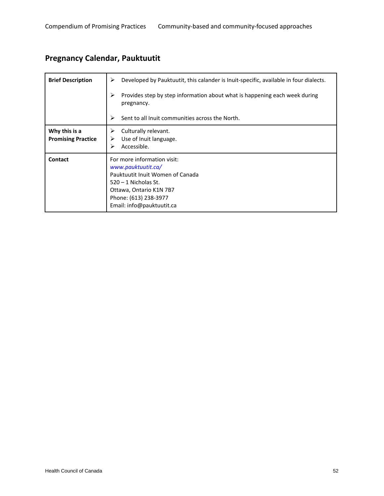# **Pregnancy Calendar, Pauktuutit**

| <b>Brief Description</b>                   | Developed by Pauktuutit, this calander is Inuit-specific, available in four dialects.<br>⋗                                                                                                       |
|--------------------------------------------|--------------------------------------------------------------------------------------------------------------------------------------------------------------------------------------------------|
|                                            | ⋗<br>Provides step by step information about what is happening each week during<br>pregnancy.                                                                                                    |
|                                            | ⋗<br>Sent to all Inuit communities across the North.                                                                                                                                             |
| Why this is a<br><b>Promising Practice</b> | Culturally relevant.<br>➤<br>Use of Inuit language.<br>➤<br>Accessible.<br>⋗                                                                                                                     |
| <b>Contact</b>                             | For more information visit:<br>www.pauktuutit.ca/<br>Pauktuutit Inuit Women of Canada<br>$520 - 1$ Nicholas St.<br>Ottawa, Ontario K1N 7B7<br>Phone: (613) 238-3977<br>Email: info@pauktuutit.ca |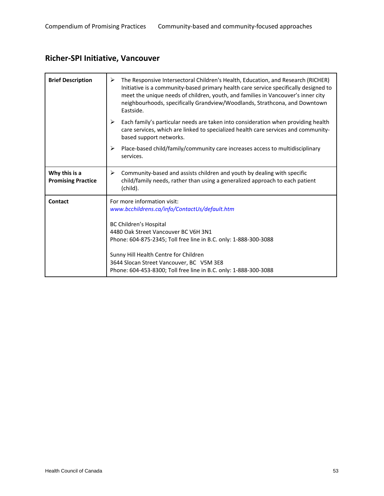### **Richer‐SPI Initiative, Vancouver**

| <b>Brief Description</b>                   | The Responsive Intersectoral Children's Health, Education, and Research (RICHER)<br>➤<br>Initiative is a community-based primary health care service specifically designed to<br>meet the unique needs of children, youth, and families in Vancouver's inner city<br>neighbourhoods, specifically Grandview/Woodlands, Strathcona, and Downtown<br>Eastside. |
|--------------------------------------------|--------------------------------------------------------------------------------------------------------------------------------------------------------------------------------------------------------------------------------------------------------------------------------------------------------------------------------------------------------------|
|                                            | ≻<br>Each family's particular needs are taken into consideration when providing health<br>care services, which are linked to specialized health care services and community-<br>based support networks.                                                                                                                                                      |
|                                            | ≻<br>Place-based child/family/community care increases access to multidisciplinary<br>services.                                                                                                                                                                                                                                                              |
| Why this is a<br><b>Promising Practice</b> | Community-based and assists children and youth by dealing with specific<br>≻<br>child/family needs, rather than using a generalized approach to each patient<br>(child).                                                                                                                                                                                     |
| Contact                                    | For more information visit:<br>www.bcchildrens.ca/info/ContactUs/default.htm                                                                                                                                                                                                                                                                                 |
|                                            | <b>BC Children's Hospital</b>                                                                                                                                                                                                                                                                                                                                |
|                                            | 4480 Oak Street Vancouver BC V6H 3N1                                                                                                                                                                                                                                                                                                                         |
|                                            | Phone: 604-875-2345; Toll free line in B.C. only: 1-888-300-3088                                                                                                                                                                                                                                                                                             |
|                                            | Sunny Hill Health Centre for Children<br>3644 Slocan Street Vancouver, BC V5M 3E8<br>Phone: 604-453-8300; Toll free line in B.C. only: 1-888-300-3088                                                                                                                                                                                                        |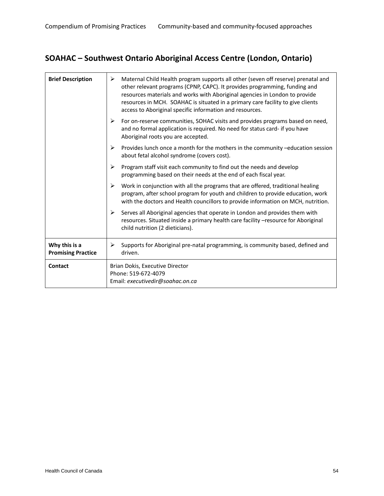### **SOAHAC – Southwest Ontario Aboriginal Access Centre (London, Ontario)**

| <b>Brief Description</b>                   | Maternal Child Health program supports all other (seven off reserve) prenatal and<br>⋗<br>other relevant programs (CPNP, CAPC). It provides programming, funding and<br>resources materials and works with Aboriginal agencies in London to provide<br>resources in MCH. SOAHAC is situated in a primary care facility to give clients<br>access to Aboriginal specific information and resources. |
|--------------------------------------------|----------------------------------------------------------------------------------------------------------------------------------------------------------------------------------------------------------------------------------------------------------------------------------------------------------------------------------------------------------------------------------------------------|
|                                            | For on-reserve communities, SOHAC visits and provides programs based on need,<br>➤<br>and no formal application is required. No need for status card- if you have<br>Aboriginal roots you are accepted.                                                                                                                                                                                            |
|                                            | ➤<br>Provides lunch once a month for the mothers in the community -education session<br>about fetal alcohol syndrome (covers cost).                                                                                                                                                                                                                                                                |
|                                            | ➤<br>Program staff visit each community to find out the needs and develop<br>programming based on their needs at the end of each fiscal year.                                                                                                                                                                                                                                                      |
|                                            | Work in conjunction with all the programs that are offered, traditional healing<br>➤<br>program, after school program for youth and children to provide education, work<br>with the doctors and Health councillors to provide information on MCH, nutrition.                                                                                                                                       |
|                                            | Serves all Aboriginal agencies that operate in London and provides them with<br>➤<br>resources. Situated inside a primary health care facility -resource for Aboriginal<br>child nutrition (2 dieticians).                                                                                                                                                                                         |
| Why this is a<br><b>Promising Practice</b> | Supports for Aboriginal pre-natal programming, is community based, defined and<br>➤<br>driven.                                                                                                                                                                                                                                                                                                     |
| Contact                                    | Brian Dokis, Executive Director<br>Phone: 519-672-4079<br>Email: executivedir@soahac.on.ca                                                                                                                                                                                                                                                                                                         |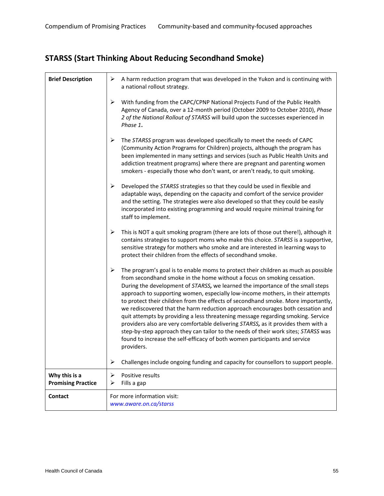# **STARSS (Start Thinking About Reducing Secondhand Smoke)**

| <b>Brief Description</b>                   | A harm reduction program that was developed in the Yukon and is continuing with<br>➤<br>a national rollout strategy.                                                                                                                                                                                                                                                                                                                                                                                                                                                                                                                                                                                                                                                                                                                                                     |
|--------------------------------------------|--------------------------------------------------------------------------------------------------------------------------------------------------------------------------------------------------------------------------------------------------------------------------------------------------------------------------------------------------------------------------------------------------------------------------------------------------------------------------------------------------------------------------------------------------------------------------------------------------------------------------------------------------------------------------------------------------------------------------------------------------------------------------------------------------------------------------------------------------------------------------|
|                                            | ➤<br>With funding from the CAPC/CPNP National Projects Fund of the Public Health<br>Agency of Canada, over a 12-month period (October 2009 to October 2010), Phase<br>2 of the National Rollout of STARSS will build upon the successes experienced in<br>Phase 1.                                                                                                                                                                                                                                                                                                                                                                                                                                                                                                                                                                                                       |
|                                            | The STARSS program was developed specifically to meet the needs of CAPC<br>➤<br>(Community Action Programs for Children) projects, although the program has<br>been implemented in many settings and services (such as Public Health Units and<br>addiction treatment programs) where there are pregnant and parenting women<br>smokers - especially those who don't want, or aren't ready, to quit smoking.                                                                                                                                                                                                                                                                                                                                                                                                                                                             |
|                                            | ➤<br>Developed the STARSS strategies so that they could be used in flexible and<br>adaptable ways, depending on the capacity and comfort of the service provider<br>and the setting. The strategies were also developed so that they could be easily<br>incorporated into existing programming and would require minimal training for<br>staff to implement.                                                                                                                                                                                                                                                                                                                                                                                                                                                                                                             |
|                                            | This is NOT a quit smoking program (there are lots of those out there!), although it<br>➤<br>contains strategies to support moms who make this choice. STARSS is a supportive,<br>sensitive strategy for mothers who smoke and are interested in learning ways to<br>protect their children from the effects of secondhand smoke.                                                                                                                                                                                                                                                                                                                                                                                                                                                                                                                                        |
|                                            | ➤<br>The program's goal is to enable moms to protect their children as much as possible<br>from secondhand smoke in the home without a focus on smoking cessation.<br>During the development of STARSS, we learned the importance of the small steps<br>approach to supporting women, especially low-income mothers, in their attempts<br>to protect their children from the effects of secondhand smoke. More importantly,<br>we rediscovered that the harm reduction approach encourages both cessation and<br>quit attempts by providing a less threatening message regarding smoking. Service<br>providers also are very comfortable delivering STARSS, as it provides them with a<br>step-by-step approach they can tailor to the needs of their work sites; STARSS was<br>found to increase the self-efficacy of both women participants and service<br>providers. |
|                                            | Challenges include ongoing funding and capacity for counsellors to support people.<br>➤                                                                                                                                                                                                                                                                                                                                                                                                                                                                                                                                                                                                                                                                                                                                                                                  |
| Why this is a<br><b>Promising Practice</b> | ➤<br>Positive results<br>Fills a gap<br>⋗                                                                                                                                                                                                                                                                                                                                                                                                                                                                                                                                                                                                                                                                                                                                                                                                                                |
| <b>Contact</b>                             | For more information visit:<br>www.aware.on.ca/starss                                                                                                                                                                                                                                                                                                                                                                                                                                                                                                                                                                                                                                                                                                                                                                                                                    |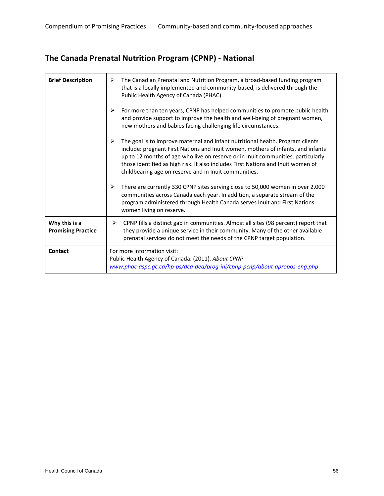# **The Canada Prenatal Nutrition Program (CPNP) ‐ National**

| <b>Brief Description</b>                   | ➤<br>The Canadian Prenatal and Nutrition Program, a broad-based funding program<br>that is a locally implemented and community-based, is delivered through the<br>Public Health Agency of Canada (PHAC).                                                                                                                                                                                                 |
|--------------------------------------------|----------------------------------------------------------------------------------------------------------------------------------------------------------------------------------------------------------------------------------------------------------------------------------------------------------------------------------------------------------------------------------------------------------|
|                                            | ➤<br>For more than ten years, CPNP has helped communities to promote public health<br>and provide support to improve the health and well-being of pregnant women,<br>new mothers and babies facing challenging life circumstances.                                                                                                                                                                       |
|                                            | ➤<br>The goal is to improve maternal and infant nutritional health. Program clients<br>include: pregnant First Nations and Inuit women, mothers of infants, and infants<br>up to 12 months of age who live on reserve or in Inuit communities, particularly<br>those identified as high risk. It also includes First Nations and Inuit women of<br>childbearing age on reserve and in Inuit communities. |
|                                            | ➤<br>There are currently 330 CPNP sites serving close to 50,000 women in over 2,000<br>communities across Canada each year. In addition, a separate stream of the<br>program administered through Health Canada serves Inuit and First Nations<br>women living on reserve.                                                                                                                               |
| Why this is a<br><b>Promising Practice</b> | CPNP fills a distinct gap in communities. Almost all sites (98 percent) report that<br>➤<br>they provide a unique service in their community. Many of the other available<br>prenatal services do not meet the needs of the CPNP target population.                                                                                                                                                      |
| Contact                                    | For more information visit:<br>Public Health Agency of Canada. (2011). About CPNP.<br>www.phac-aspc.gc.ca/hp-ps/dca-dea/prog-ini/cpnp-pcnp/about-apropos-eng.php                                                                                                                                                                                                                                         |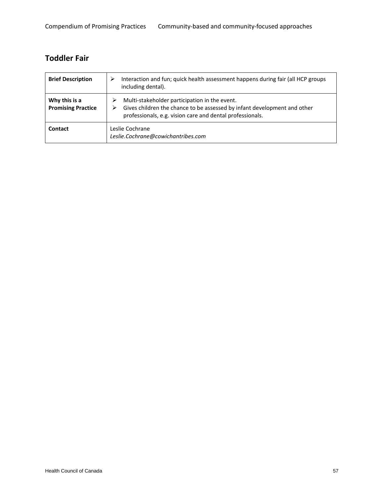#### **Toddler Fair**

| <b>Brief Description</b>                   | Interaction and fun; quick health assessment happens during fair (all HCP groups<br>⋗<br>including dental).                                                                            |
|--------------------------------------------|----------------------------------------------------------------------------------------------------------------------------------------------------------------------------------------|
| Why this is a<br><b>Promising Practice</b> | Multi-stakeholder participation in the event.<br>Gives children the chance to be assessed by infant development and other<br>professionals, e.g. vision care and dental professionals. |
| Contact                                    | Leslie Cochrane<br>Leslie.Cochrane@cowichantribes.com                                                                                                                                  |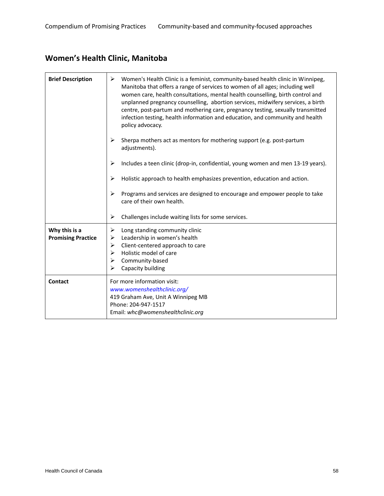# **Women's Health Clinic, Manitoba**

| <b>Brief Description</b>                   | Women's Health Clinic is a feminist, community-based health clinic in Winnipeg,<br>➤<br>Manitoba that offers a range of services to women of all ages; including well<br>women care, health consultations, mental health counselling, birth control and<br>unplanned pregnancy counselling, abortion services, midwifery services, a birth<br>centre, post-partum and mothering care, pregnancy testing, sexually transmitted<br>infection testing, health information and education, and community and health<br>policy advocacy. |
|--------------------------------------------|------------------------------------------------------------------------------------------------------------------------------------------------------------------------------------------------------------------------------------------------------------------------------------------------------------------------------------------------------------------------------------------------------------------------------------------------------------------------------------------------------------------------------------|
|                                            | ➤<br>Sherpa mothers act as mentors for mothering support (e.g. post-partum<br>adjustments).                                                                                                                                                                                                                                                                                                                                                                                                                                        |
|                                            | ➤<br>Includes a teen clinic (drop-in, confidential, young women and men 13-19 years).                                                                                                                                                                                                                                                                                                                                                                                                                                              |
|                                            | Holistic approach to health emphasizes prevention, education and action.<br>➤                                                                                                                                                                                                                                                                                                                                                                                                                                                      |
|                                            | Programs and services are designed to encourage and empower people to take<br>≻<br>care of their own health.                                                                                                                                                                                                                                                                                                                                                                                                                       |
|                                            | ➤<br>Challenges include waiting lists for some services.                                                                                                                                                                                                                                                                                                                                                                                                                                                                           |
| Why this is a<br><b>Promising Practice</b> | Long standing community clinic<br>➤<br>Leadership in women's health<br>➤<br>Client-centered approach to care<br>➤<br>Holistic model of care<br>➤<br>Community-based<br>➤<br>➤<br>Capacity building                                                                                                                                                                                                                                                                                                                                 |
| Contact                                    | For more information visit:<br>www.womenshealthclinic.org/<br>419 Graham Ave, Unit A Winnipeg MB<br>Phone: 204-947-1517<br>Email: whc@womenshealthclinic.org                                                                                                                                                                                                                                                                                                                                                                       |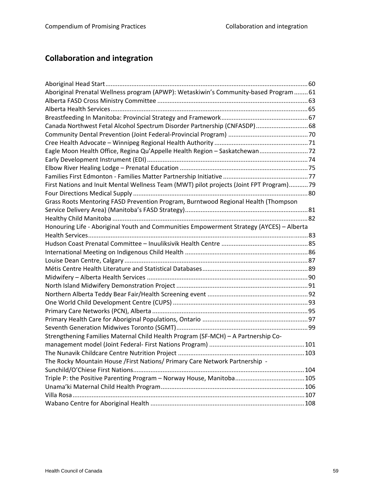# **Collaboration and integration**

| Aboriginal Prenatal Wellness program (APWP): Wetaskiwin's Community-based Program  61    |  |
|------------------------------------------------------------------------------------------|--|
|                                                                                          |  |
|                                                                                          |  |
|                                                                                          |  |
| Canada Northwest Fetal Alcohol Spectrum Disorder Partnership (CNFASDP) 68                |  |
|                                                                                          |  |
|                                                                                          |  |
| Eagle Moon Health Office, Regina Qu'Appelle Health Region - Saskatchewan72               |  |
|                                                                                          |  |
|                                                                                          |  |
|                                                                                          |  |
| First Nations and Inuit Mental Wellness Team (MWT) pilot projects (Joint FPT Program)79  |  |
|                                                                                          |  |
| Grass Roots Mentoring FASD Prevention Program, Burntwood Regional Health (Thompson       |  |
|                                                                                          |  |
|                                                                                          |  |
| Honouring Life - Aboriginal Youth and Communities Empowerment Strategy (AYCES) - Alberta |  |
|                                                                                          |  |
|                                                                                          |  |
|                                                                                          |  |
|                                                                                          |  |
|                                                                                          |  |
|                                                                                          |  |
|                                                                                          |  |
|                                                                                          |  |
|                                                                                          |  |
|                                                                                          |  |
|                                                                                          |  |
|                                                                                          |  |
| Strengthening Families Maternal Child Health Program (SF-MCH) - A Partnership Co-        |  |
|                                                                                          |  |
|                                                                                          |  |
| The Rocky Mountain House / First Nations/ Primary Care Network Partnership -             |  |
|                                                                                          |  |
|                                                                                          |  |
|                                                                                          |  |
|                                                                                          |  |
|                                                                                          |  |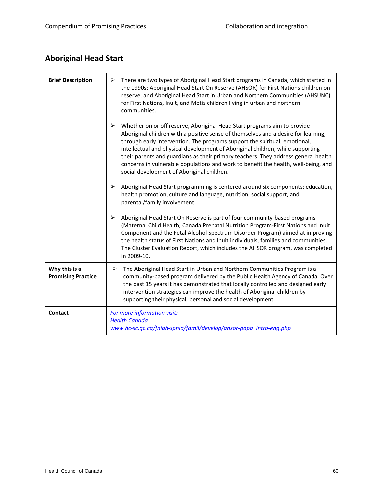# **Aboriginal Head Start**

| <b>Brief Description</b>                   | ➤<br>There are two types of Aboriginal Head Start programs in Canada, which started in<br>the 1990s: Aboriginal Head Start On Reserve (AHSOR) for First Nations children on<br>reserve, and Aboriginal Head Start in Urban and Northern Communities (AHSUNC)<br>for First Nations, Inuit, and Métis children living in urban and northern<br>communities.                                                                                                                                                                                                                         |
|--------------------------------------------|-----------------------------------------------------------------------------------------------------------------------------------------------------------------------------------------------------------------------------------------------------------------------------------------------------------------------------------------------------------------------------------------------------------------------------------------------------------------------------------------------------------------------------------------------------------------------------------|
|                                            | $\blacktriangleright$<br>Whether on or off reserve, Aboriginal Head Start programs aim to provide<br>Aboriginal children with a positive sense of themselves and a desire for learning,<br>through early intervention. The programs support the spiritual, emotional,<br>intellectual and physical development of Aboriginal children, while supporting<br>their parents and guardians as their primary teachers. They address general health<br>concerns in vulnerable populations and work to benefit the health, well-being, and<br>social development of Aboriginal children. |
|                                            | ➤<br>Aboriginal Head Start programming is centered around six components: education,<br>health promotion, culture and language, nutrition, social support, and<br>parental/family involvement.                                                                                                                                                                                                                                                                                                                                                                                    |
|                                            | $\blacktriangleright$<br>Aboriginal Head Start On Reserve is part of four community-based programs<br>(Maternal Child Health, Canada Prenatal Nutrition Program-First Nations and Inuit<br>Component and the Fetal Alcohol Spectrum Disorder Program) aimed at improving<br>the health status of First Nations and Inuit individuals, families and communities.<br>The Cluster Evaluation Report, which includes the AHSOR program, was completed<br>in 2009-10.                                                                                                                  |
| Why this is a<br><b>Promising Practice</b> | The Aboriginal Head Start in Urban and Northern Communities Program is a<br>➤<br>community-based program delivered by the Public Health Agency of Canada. Over<br>the past 15 years it has demonstrated that locally controlled and designed early<br>intervention strategies can improve the health of Aboriginal children by<br>supporting their physical, personal and social development.                                                                                                                                                                                     |
| Contact                                    | For more information visit:<br><b>Health Canada</b><br>www.hc-sc.gc.ca/fniah-spnia/famil/develop/ahsor-papa_intro-eng.php                                                                                                                                                                                                                                                                                                                                                                                                                                                         |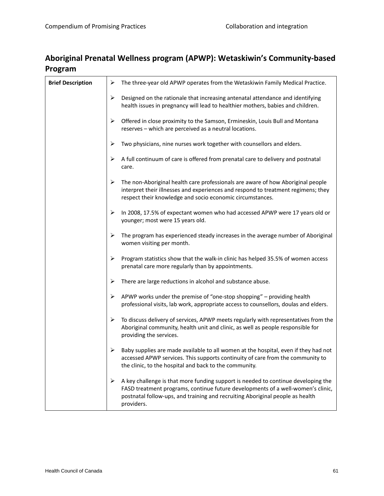#### **Aboriginal Prenatal Wellness program (APWP): Wetaskiwin's Community‐based Program**

| <b>Brief Description</b> | ➤ | The three-year old APWP operates from the Wetaskiwin Family Medical Practice.                                                                                                                                                                                       |
|--------------------------|---|---------------------------------------------------------------------------------------------------------------------------------------------------------------------------------------------------------------------------------------------------------------------|
|                          | ➤ | Designed on the rationale that increasing antenatal attendance and identifying<br>health issues in pregnancy will lead to healthier mothers, babies and children.                                                                                                   |
|                          | ➤ | Offered in close proximity to the Samson, Ermineskin, Louis Bull and Montana<br>reserves - which are perceived as a neutral locations.                                                                                                                              |
|                          | ➤ | Two physicians, nine nurses work together with counsellors and elders.                                                                                                                                                                                              |
|                          | ➤ | A full continuum of care is offered from prenatal care to delivery and postnatal<br>care.                                                                                                                                                                           |
|                          | ➤ | The non-Aboriginal health care professionals are aware of how Aboriginal people<br>interpret their illnesses and experiences and respond to treatment regimens; they<br>respect their knowledge and socio economic circumstances.                                   |
|                          | ➤ | In 2008, 17.5% of expectant women who had accessed APWP were 17 years old or<br>younger; most were 15 years old.                                                                                                                                                    |
|                          | ➤ | The program has experienced steady increases in the average number of Aboriginal<br>women visiting per month.                                                                                                                                                       |
|                          | ➤ | Program statistics show that the walk-in clinic has helped 35.5% of women access<br>prenatal care more regularly than by appointments.                                                                                                                              |
|                          | ➤ | There are large reductions in alcohol and substance abuse.                                                                                                                                                                                                          |
|                          | ➤ | APWP works under the premise of "one-stop shopping" - providing health<br>professional visits, lab work, appropriate access to counsellors, doulas and elders.                                                                                                      |
|                          | ➤ | To discuss delivery of services, APWP meets regularly with representatives from the<br>Aboriginal community, health unit and clinic, as well as people responsible for<br>providing the services.                                                                   |
|                          | ➤ | Baby supplies are made available to all women at the hospital, even if they had not<br>accessed APWP services. This supports continuity of care from the community to<br>the clinic, to the hospital and back to the community.                                     |
|                          | ➤ | A key challenge is that more funding support is needed to continue developing the<br>FASD treatment programs, continue future developments of a well-women's clinic,<br>postnatal follow-ups, and training and recruiting Aboriginal people as health<br>providers. |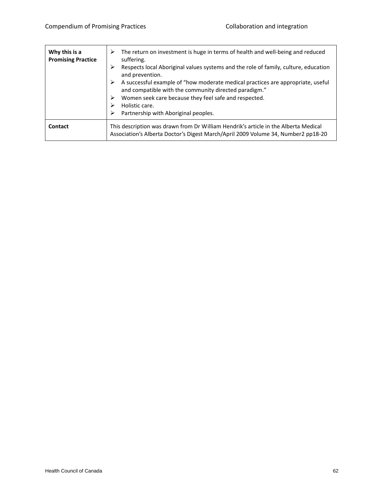| Why this is a<br><b>Promising Practice</b> | The return on investment is huge in terms of health and well-being and reduced<br>⋗<br>suffering.<br>Respects local Aboriginal values systems and the role of family, culture, education<br>⋗<br>and prevention.<br>A successful example of "how moderate medical practices are appropriate, useful<br>➤<br>and compatible with the community directed paradigm."<br>Women seek care because they feel safe and respected.<br>⋗<br>Holistic care.<br>Partnership with Aboriginal peoples.<br>⋗ |
|--------------------------------------------|------------------------------------------------------------------------------------------------------------------------------------------------------------------------------------------------------------------------------------------------------------------------------------------------------------------------------------------------------------------------------------------------------------------------------------------------------------------------------------------------|
| Contact                                    | This description was drawn from Dr William Hendrik's article in the Alberta Medical<br>Association's Alberta Doctor's Digest March/April 2009 Volume 34, Number2 pp18-20                                                                                                                                                                                                                                                                                                                       |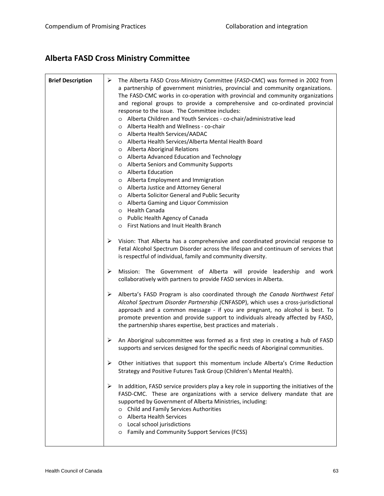# **Alberta FASD Cross Ministry Committee**

| <b>Brief Description</b> | ➤<br>The Alberta FASD Cross-Ministry Committee (FASD-CMC) was formed in 2002 from<br>a partnership of government ministries, provincial and community organizations.<br>The FASD-CMC works in co-operation with provincial and community organizations<br>and regional groups to provide a comprehensive and co-ordinated provincial<br>response to the issue. The Committee includes:<br>o Alberta Children and Youth Services - co-chair/administrative lead<br>o Alberta Health and Wellness - co-chair<br>o Alberta Health Services/AADAC<br>o Alberta Health Services/Alberta Mental Health Board<br>o Alberta Aboriginal Relations<br>o Alberta Advanced Education and Technology<br>o Alberta Seniors and Community Supports<br>o Alberta Education<br>o Alberta Employment and Immigration<br>o Alberta Justice and Attorney General<br>o Alberta Solicitor General and Public Security<br>o Alberta Gaming and Liquor Commission<br>o Health Canada<br>o Public Health Agency of Canada<br>o First Nations and Inuit Health Branch |
|--------------------------|---------------------------------------------------------------------------------------------------------------------------------------------------------------------------------------------------------------------------------------------------------------------------------------------------------------------------------------------------------------------------------------------------------------------------------------------------------------------------------------------------------------------------------------------------------------------------------------------------------------------------------------------------------------------------------------------------------------------------------------------------------------------------------------------------------------------------------------------------------------------------------------------------------------------------------------------------------------------------------------------------------------------------------------------|
|                          | Vision: That Alberta has a comprehensive and coordinated provincial response to<br>➤<br>Fetal Alcohol Spectrum Disorder across the lifespan and continuum of services that<br>is respectful of individual, family and community diversity.                                                                                                                                                                                                                                                                                                                                                                                                                                                                                                                                                                                                                                                                                                                                                                                                  |
|                          | Mission: The Government of Alberta will provide leadership and work<br>➤<br>collaboratively with partners to provide FASD services in Alberta.                                                                                                                                                                                                                                                                                                                                                                                                                                                                                                                                                                                                                                                                                                                                                                                                                                                                                              |
|                          | Alberta's FASD Program is also coordinated through the Canada Northwest Fetal<br>➤<br>Alcohol Spectrum Disorder Partnership (CNFASDP), which uses a cross-jurisdictional<br>approach and a common message - if you are pregnant, no alcohol is best. To<br>promote prevention and provide support to individuals already affected by FASD,<br>the partnership shares expertise, best practices and materials.                                                                                                                                                                                                                                                                                                                                                                                                                                                                                                                                                                                                                               |
|                          | An Aboriginal subcommittee was formed as a first step in creating a hub of FASD<br>➤<br>supports and services designed for the specific needs of Aboriginal communities.                                                                                                                                                                                                                                                                                                                                                                                                                                                                                                                                                                                                                                                                                                                                                                                                                                                                    |
|                          | ➤<br>Other initiatives that support this momentum include Alberta's Crime Reduction<br>Strategy and Positive Futures Task Group (Children's Mental Health).                                                                                                                                                                                                                                                                                                                                                                                                                                                                                                                                                                                                                                                                                                                                                                                                                                                                                 |
|                          | ➤<br>In addition, FASD service providers play a key role in supporting the initiatives of the<br>FASD-CMC. These are organizations with a service delivery mandate that are<br>supported by Government of Alberta Ministries, including:<br>o Child and Family Services Authorities<br>o Alberta Health Services<br>o Local school jurisdictions<br>o Family and Community Support Services (FCSS)                                                                                                                                                                                                                                                                                                                                                                                                                                                                                                                                                                                                                                          |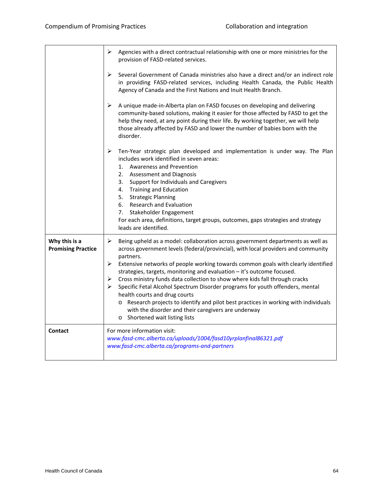|                                            | ➤<br>Agencies with a direct contractual relationship with one or more ministries for the<br>provision of FASD-related services.                                                                                                                                                                                                                                                                                                                                                                                                                                                                                                                                                                                                                                            |  |
|--------------------------------------------|----------------------------------------------------------------------------------------------------------------------------------------------------------------------------------------------------------------------------------------------------------------------------------------------------------------------------------------------------------------------------------------------------------------------------------------------------------------------------------------------------------------------------------------------------------------------------------------------------------------------------------------------------------------------------------------------------------------------------------------------------------------------------|--|
|                                            | ➤<br>Several Government of Canada ministries also have a direct and/or an indirect role<br>in providing FASD-related services, including Health Canada, the Public Health<br>Agency of Canada and the First Nations and Inuit Health Branch.                                                                                                                                                                                                                                                                                                                                                                                                                                                                                                                               |  |
|                                            | ➤<br>A unique made-in-Alberta plan on FASD focuses on developing and delivering<br>community-based solutions, making it easier for those affected by FASD to get the<br>help they need, at any point during their life. By working together, we will help<br>those already affected by FASD and lower the number of babies born with the<br>disorder.                                                                                                                                                                                                                                                                                                                                                                                                                      |  |
|                                            | ➤<br>Ten-Year strategic plan developed and implementation is under way. The Plan<br>includes work identified in seven areas:<br>1. Awareness and Prevention<br>2. Assessment and Diagnosis<br>Support for Individuals and Caregivers<br>3.<br>4. Training and Education<br>5.<br><b>Strategic Planning</b><br>6. Research and Evaluation<br>7.<br>Stakeholder Engagement<br>For each area, definitions, target groups, outcomes, gaps strategies and strategy<br>leads are identified.                                                                                                                                                                                                                                                                                     |  |
| Why this is a<br><b>Promising Practice</b> | $\blacktriangleright$<br>Being upheld as a model: collaboration across government departments as well as<br>across government levels (federal/provincial), with local providers and community<br>partners.<br>➤<br>Extensive networks of people working towards common goals with clearly identified<br>strategies, targets, monitoring and evaluation - it's outcome focused.<br>Cross ministry funds data collection to show where kids fall through cracks<br>➤<br>Specific Fetal Alcohol Spectrum Disorder programs for youth offenders, mental<br>➤<br>health courts and drug courts<br>o Research projects to identify and pilot best practices in working with individuals<br>with the disorder and their caregivers are underway<br>o Shortened wait listing lists |  |
| <b>Contact</b>                             | For more information visit:<br>www.fasd-cmc.alberta.ca/uploads/1004/fasd10yrplanfinal86321.pdf<br>www.fasd-cmc.alberta.ca/programs-and-partners                                                                                                                                                                                                                                                                                                                                                                                                                                                                                                                                                                                                                            |  |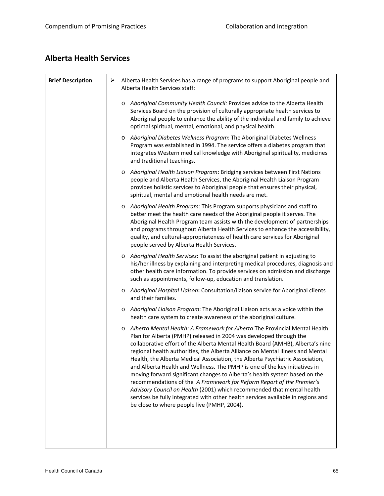#### **Alberta Health Services**

| <b>Brief Description</b> | ➤       | Alberta Health Services has a range of programs to support Aboriginal people and<br>Alberta Health Services staff:                                                                                                                                                                                                                                                                                                                                                                                                                                                                                                                                                                                                                                                                                                                                       |
|--------------------------|---------|----------------------------------------------------------------------------------------------------------------------------------------------------------------------------------------------------------------------------------------------------------------------------------------------------------------------------------------------------------------------------------------------------------------------------------------------------------------------------------------------------------------------------------------------------------------------------------------------------------------------------------------------------------------------------------------------------------------------------------------------------------------------------------------------------------------------------------------------------------|
|                          |         | Aboriginal Community Health Council: Provides advice to the Alberta Health<br>$\circ$<br>Services Board on the provision of culturally appropriate health services to<br>Aboriginal people to enhance the ability of the individual and family to achieve<br>optimal spiritual, mental, emotional, and physical health.                                                                                                                                                                                                                                                                                                                                                                                                                                                                                                                                  |
|                          |         | o Aboriginal Diabetes Wellness Program: The Aboriginal Diabetes Wellness<br>Program was established in 1994. The service offers a diabetes program that<br>integrates Western medical knowledge with Aboriginal spirituality, medicines<br>and traditional teachings.                                                                                                                                                                                                                                                                                                                                                                                                                                                                                                                                                                                    |
|                          | $\circ$ | Aboriginal Health Liaison Program: Bridging services between First Nations<br>people and Alberta Health Services, the Aboriginal Health Liaison Program<br>provides holistic services to Aboriginal people that ensures their physical,<br>spiritual, mental and emotional health needs are met.                                                                                                                                                                                                                                                                                                                                                                                                                                                                                                                                                         |
|                          |         | o Aboriginal Health Program: This Program supports physicians and staff to<br>better meet the health care needs of the Aboriginal people it serves. The<br>Aboriginal Health Program team assists with the development of partnerships<br>and programs throughout Alberta Health Services to enhance the accessibility,<br>quality, and cultural-appropriateness of health care services for Aboriginal<br>people served by Alberta Health Services.                                                                                                                                                                                                                                                                                                                                                                                                     |
|                          | $\circ$ | Aboriginal Health Services: To assist the aboriginal patient in adjusting to<br>his/her illness by explaining and interpreting medical procedures, diagnosis and<br>other health care information. To provide services on admission and discharge<br>such as appointments, follow-up, education and translation.                                                                                                                                                                                                                                                                                                                                                                                                                                                                                                                                         |
|                          | $\circ$ | Aboriginal Hospital Liaison: Consultation/liaison service for Aboriginal clients<br>and their families.                                                                                                                                                                                                                                                                                                                                                                                                                                                                                                                                                                                                                                                                                                                                                  |
|                          |         | Aboriginal Liaison Program: The Aboriginal Liaison acts as a voice within the<br>health care system to create awareness of the aboriginal culture.                                                                                                                                                                                                                                                                                                                                                                                                                                                                                                                                                                                                                                                                                                       |
|                          | $\circ$ | Alberta Mental Health: A Framework for Alberta The Provincial Mental Health<br>Plan for Alberta (PMHP) released in 2004 was developed through the<br>collaborative effort of the Alberta Mental Health Board (AMHB), Alberta's nine<br>regional health authorities, the Alberta Alliance on Mental Illness and Mental<br>Health, the Alberta Medical Association, the Alberta Psychiatric Association,<br>and Alberta Health and Wellness. The PMHP is one of the key initiatives in<br>moving forward significant changes to Alberta's health system based on the<br>recommendations of the A Framework for Reform Report of the Premier's<br>Advisory Council on Health (2001) which recommended that mental health<br>services be fully integrated with other health services available in regions and<br>be close to where people live (PMHP, 2004). |
|                          |         |                                                                                                                                                                                                                                                                                                                                                                                                                                                                                                                                                                                                                                                                                                                                                                                                                                                          |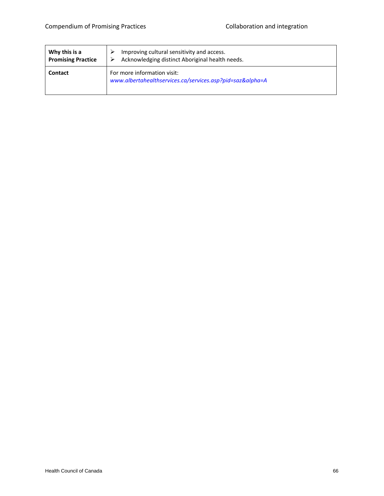| Why this is a             | Improving cultural sensitivity and access.                                          |  |
|---------------------------|-------------------------------------------------------------------------------------|--|
| <b>Promising Practice</b> | Acknowledging distinct Aboriginal health needs.                                     |  |
| <b>Contact</b>            | For more information visit:<br>www.albertahealthservices.ca/services.asp?pid=sazα=A |  |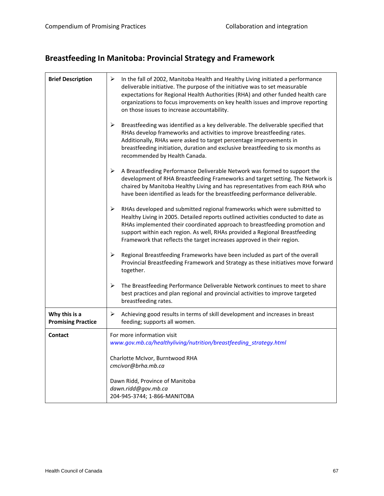# **Breastfeeding In Manitoba: Provincial Strategy and Framework**

| <b>Brief Description</b>                   | ➤<br>In the fall of 2002, Manitoba Health and Healthy Living initiated a performance<br>deliverable initiative. The purpose of the initiative was to set measurable<br>expectations for Regional Health Authorities (RHA) and other funded health care<br>organizations to focus improvements on key health issues and improve reporting<br>on those issues to increase accountability.                   |
|--------------------------------------------|-----------------------------------------------------------------------------------------------------------------------------------------------------------------------------------------------------------------------------------------------------------------------------------------------------------------------------------------------------------------------------------------------------------|
|                                            | $\blacktriangleright$<br>Breastfeeding was identified as a key deliverable. The deliverable specified that<br>RHAs develop frameworks and activities to improve breastfeeding rates.<br>Additionally, RHAs were asked to target percentage improvements in<br>breastfeeding initiation, duration and exclusive breastfeeding to six months as<br>recommended by Health Canada.                            |
|                                            | ➤<br>A Breastfeeding Performance Deliverable Network was formed to support the<br>development of RHA Breastfeeding Frameworks and target setting. The Network is<br>chaired by Manitoba Healthy Living and has representatives from each RHA who<br>have been identified as leads for the breastfeeding performance deliverable.                                                                          |
|                                            | ➤<br>RHAs developed and submitted regional frameworks which were submitted to<br>Healthy Living in 2005. Detailed reports outlined activities conducted to date as<br>RHAs implemented their coordinated approach to breastfeeding promotion and<br>support within each region. As well, RHAs provided a Regional Breastfeeding<br>Framework that reflects the target increases approved in their region. |
|                                            | ➤<br>Regional Breastfeeding Frameworks have been included as part of the overall<br>Provincial Breastfeeding Framework and Strategy as these initiatives move forward<br>together.                                                                                                                                                                                                                        |
|                                            | ➤<br>The Breastfeeding Performance Deliverable Network continues to meet to share<br>best practices and plan regional and provincial activities to improve targeted<br>breastfeeding rates.                                                                                                                                                                                                               |
| Why this is a<br><b>Promising Practice</b> | ➤<br>Achieving good results in terms of skill development and increases in breast<br>feeding; supports all women.                                                                                                                                                                                                                                                                                         |
| <b>Contact</b>                             | For more information visit<br>www.gov.mb.ca/healthyliving/nutrition/breastfeeding_strategy.html                                                                                                                                                                                                                                                                                                           |
|                                            | Charlotte McIvor, Burntwood RHA<br>cmcivor@brha.mb.ca                                                                                                                                                                                                                                                                                                                                                     |
|                                            | Dawn Ridd, Province of Manitoba<br>dawn.ridd@gov.mb.ca<br>204-945-3744; 1-866-MANITOBA                                                                                                                                                                                                                                                                                                                    |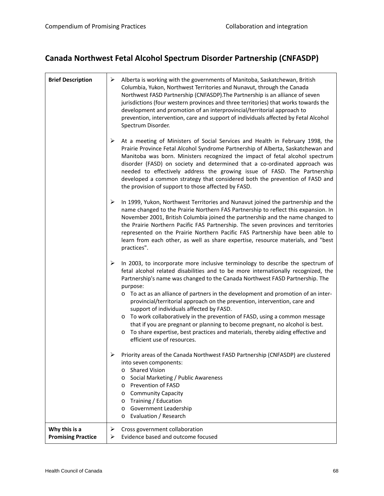# **Canada Northwest Fetal Alcohol Spectrum Disorder Partnership (CNFASDP)**

| <b>Brief Description</b>                   | ➤<br>Alberta is working with the governments of Manitoba, Saskatchewan, British<br>Columbia, Yukon, Northwest Territories and Nunavut, through the Canada<br>Northwest FASD Partnership (CNFASDP). The Partnership is an alliance of seven<br>jurisdictions (four western provinces and three territories) that works towards the<br>development and promotion of an interprovincial/territorial approach to<br>prevention, intervention, care and support of individuals affected by Fetal Alcohol<br>Spectrum Disorder.                                                                                                                                                                                                                                                                       |
|--------------------------------------------|-------------------------------------------------------------------------------------------------------------------------------------------------------------------------------------------------------------------------------------------------------------------------------------------------------------------------------------------------------------------------------------------------------------------------------------------------------------------------------------------------------------------------------------------------------------------------------------------------------------------------------------------------------------------------------------------------------------------------------------------------------------------------------------------------|
|                                            | $\blacktriangleright$<br>At a meeting of Ministers of Social Services and Health in February 1998, the<br>Prairie Province Fetal Alcohol Syndrome Partnership of Alberta, Saskatchewan and<br>Manitoba was born. Ministers recognized the impact of fetal alcohol spectrum<br>disorder (FASD) on society and determined that a co-ordinated approach was<br>needed to effectively address the growing issue of FASD. The Partnership<br>developed a common strategy that considered both the prevention of FASD and<br>the provision of support to those affected by FASD.                                                                                                                                                                                                                      |
|                                            | In 1999, Yukon, Northwest Territories and Nunavut joined the partnership and the<br>➤<br>name changed to the Prairie Northern FAS Partnership to reflect this expansion. In<br>November 2001, British Columbia joined the partnership and the name changed to<br>the Prairie Northern Pacific FAS Partnership. The seven provinces and territories<br>represented on the Prairie Northern Pacific FAS Partnership have been able to<br>learn from each other, as well as share expertise, resource materials, and "best<br>practices".                                                                                                                                                                                                                                                          |
|                                            | ➤<br>In 2003, to incorporate more inclusive terminology to describe the spectrum of<br>fetal alcohol related disabilities and to be more internationally recognized, the<br>Partnership's name was changed to the Canada Northwest FASD Partnership. The<br>purpose:<br>To act as an alliance of partners in the development and promotion of an inter-<br>$\circ$<br>provincial/territorial approach on the prevention, intervention, care and<br>support of individuals affected by FASD.<br>To work collaboratively in the prevention of FASD, using a common message<br>$\circ$<br>that if you are pregnant or planning to become pregnant, no alcohol is best.<br>To share expertise, best practices and materials, thereby aiding effective and<br>$\circ$<br>efficient use of resources. |
|                                            | Priority areas of the Canada Northwest FASD Partnership (CNFASDP) are clustered<br>into seven components:<br>o Shared Vision<br>Social Marketing / Public Awareness<br>$\circ$<br>Prevention of FASD<br>$\circ$<br><b>Community Capacity</b><br>$\circ$<br>Training / Education<br>$\circ$<br>Government Leadership<br>$\circ$<br>Evaluation / Research<br>$\circ$                                                                                                                                                                                                                                                                                                                                                                                                                              |
| Why this is a<br><b>Promising Practice</b> | Cross government collaboration<br>➤<br>Evidence based and outcome focused<br>➤                                                                                                                                                                                                                                                                                                                                                                                                                                                                                                                                                                                                                                                                                                                  |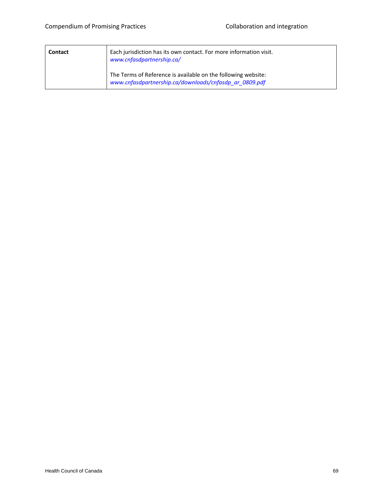| <b>Contact</b> | Each jurisdiction has its own contact. For more information visit.<br>www.cnfasdpartnership.ca/                         |
|----------------|-------------------------------------------------------------------------------------------------------------------------|
|                | The Terms of Reference is available on the following website:<br>www.cnfasdpartnership.ca/downloads/cnfasdp ar 0809.pdf |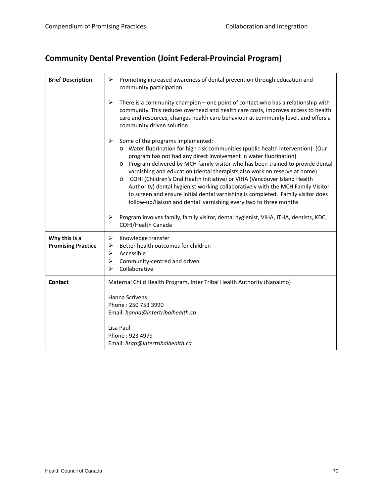# **Community Dental Prevention (Joint Federal‐Provincial Program)**

| <b>Brief Description</b>                   | Promoting increased awareness of dental prevention through education and<br>➤<br>community participation.                                                                                                                                                                                                                                                                                                                                                                                                                                                                                                                                                                                             |
|--------------------------------------------|-------------------------------------------------------------------------------------------------------------------------------------------------------------------------------------------------------------------------------------------------------------------------------------------------------------------------------------------------------------------------------------------------------------------------------------------------------------------------------------------------------------------------------------------------------------------------------------------------------------------------------------------------------------------------------------------------------|
|                                            | ➤<br>There is a community champion – one point of contact who has a relationship with<br>community. This reduces overhead and health care costs, improves access to health<br>care and resources, changes health care behaviour at community level, and offers a<br>community driven solution.                                                                                                                                                                                                                                                                                                                                                                                                        |
|                                            | Some of the programs implemented:<br>➤<br>o Water fluorination for high risk communities (public health intervention). (Our<br>program has not had any direct involvement in water fluorination)<br>o Program delivered by MCH family visitor who has been trained to provide dental<br>varnishing and education (dental therapists also work on reserve at home)<br>COHI (Children's Oral Health Initiative) or VIHA (Vancouver Island Health<br>$\circ$<br>Authority) dental hygienist working collaboratively with the MCH Family Visitor<br>to screen and ensure initial dental varnishing is completed. Family visitor does<br>follow-up/liaison and dental varnishing every two to three months |
|                                            | Program involves family, family visitor, dental hygienist, VIHA, ITHA, dentists, KDC,<br>➤<br><b>COHI/Health Canada</b>                                                                                                                                                                                                                                                                                                                                                                                                                                                                                                                                                                               |
| Why this is a<br><b>Promising Practice</b> | ➤<br>Knowledge transfer<br>Better health outcomes for children<br>➤<br>Accessible<br>➤<br>Community-centred and driven<br>➤<br>Collaborative<br>⋗                                                                                                                                                                                                                                                                                                                                                                                                                                                                                                                                                     |
| <b>Contact</b>                             | Maternal Child Health Program, Inter Tribal Health Authority (Nanaimo)                                                                                                                                                                                                                                                                                                                                                                                                                                                                                                                                                                                                                                |
|                                            | Hanna Scrivens<br>Phone: 250 753 3990<br>Email: hanna@intertribalhealth.ca                                                                                                                                                                                                                                                                                                                                                                                                                                                                                                                                                                                                                            |
|                                            | Lisa Paul<br>Phone: 923 4979<br>Email: lisap@intertribalhealth.ca                                                                                                                                                                                                                                                                                                                                                                                                                                                                                                                                                                                                                                     |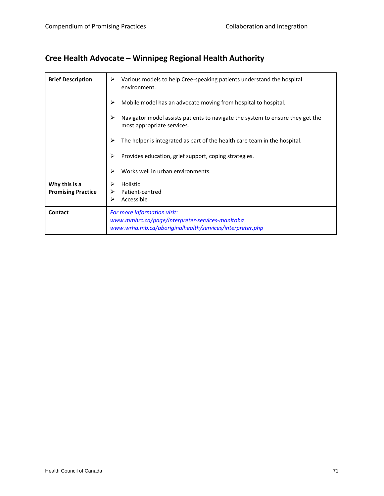### **Cree Health Advocate – Winnipeg Regional Health Authority**

| <b>Brief Description</b>                   | Various models to help Cree-speaking patients understand the hospital<br>environment.                                                      |
|--------------------------------------------|--------------------------------------------------------------------------------------------------------------------------------------------|
|                                            | Mobile model has an advocate moving from hospital to hospital.                                                                             |
|                                            | Navigator model assists patients to navigate the system to ensure they get the<br>most appropriate services.                               |
|                                            | The helper is integrated as part of the health care team in the hospital.                                                                  |
|                                            | Provides education, grief support, coping strategies.                                                                                      |
|                                            | Works well in urban environments.                                                                                                          |
| Why this is a<br><b>Promising Practice</b> | Holistic<br>Patient-centred<br>Accessible                                                                                                  |
| <b>Contact</b>                             | For more information visit:<br>www.mmhrc.ca/page/interpreter-services-manitoba<br>www.wrha.mb.ca/aboriginalhealth/services/interpreter.php |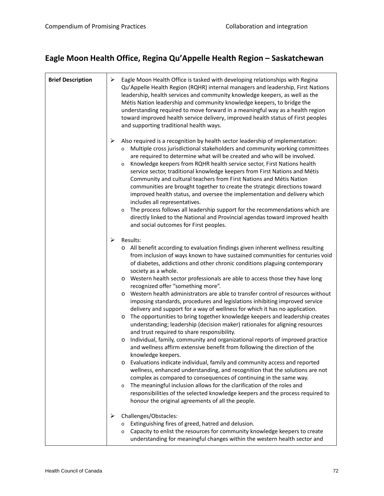### **Eagle Moon Health Office, Regina Qu'Appelle Health Region – Saskatchewan**

| <b>Brief Description</b> | ➤ | Eagle Moon Health Office is tasked with developing relationships with Regina<br>Qu'Appelle Health Region (RQHR) internal managers and leadership, First Nations<br>leadership, health services and community knowledge keepers, as well as the<br>Métis Nation leadership and community knowledge keepers, to bridge the<br>understanding required to move forward in a meaningful way as a health region<br>toward improved health service delivery, improved health status of First peoples<br>and supporting traditional health ways.                                                                                                                                                                                                                                                                                                                                                                                                                                                                                                                                                                                                                                                                                                                                                                                                                                                                                                                                                                                                                                    |
|--------------------------|---|-----------------------------------------------------------------------------------------------------------------------------------------------------------------------------------------------------------------------------------------------------------------------------------------------------------------------------------------------------------------------------------------------------------------------------------------------------------------------------------------------------------------------------------------------------------------------------------------------------------------------------------------------------------------------------------------------------------------------------------------------------------------------------------------------------------------------------------------------------------------------------------------------------------------------------------------------------------------------------------------------------------------------------------------------------------------------------------------------------------------------------------------------------------------------------------------------------------------------------------------------------------------------------------------------------------------------------------------------------------------------------------------------------------------------------------------------------------------------------------------------------------------------------------------------------------------------------|
|                          | ➤ | Also required is a recognition by health sector leadership of implementation:<br>Multiple cross jurisdictional stakeholders and community working committees<br>$\circ$<br>are required to determine what will be created and who will be involved.<br>Knowledge keepers from RQHR health service sector, First Nations health<br>$\circ$<br>service sector, traditional knowledge keepers from First Nations and Métis<br>Community and cultural teachers from First Nations and Métis Nation<br>communities are brought together to create the strategic directions toward<br>improved health status, and oversee the implementation and delivery which<br>includes all representatives.<br>The process follows all leadership support for the recommendations which are<br>$\circ$<br>directly linked to the National and Provincial agendas toward improved health<br>and social outcomes for First peoples.                                                                                                                                                                                                                                                                                                                                                                                                                                                                                                                                                                                                                                                            |
|                          | ➤ | Results:<br>o All benefit according to evaluation findings given inherent wellness resulting<br>from inclusion of ways known to have sustained communities for centuries void<br>of diabetes, addictions and other chronic conditions plaguing contemporary<br>society as a whole.<br>Western health sector professionals are able to access those they have long<br>$\circ$<br>recognized offer "something more".<br>Western health administrators are able to transfer control of resources without<br>$\circ$<br>imposing standards, procedures and legislations inhibiting improved service<br>delivery and support for a way of wellness for which it has no application.<br>The opportunities to bring together knowledge keepers and leadership creates<br>$\circ$<br>understanding; leadership (decision maker) rationales for aligning resources<br>and trust required to share responsibility.<br>Individual, family, community and organizational reports of improved practice<br>O<br>and wellness affirm extensive benefit from following the direction of the<br>knowledge keepers.<br>Evaluations indicate individual, family and community access and reported<br>$\circ$<br>wellness, enhanced understanding, and recognition that the solutions are not<br>complex as compared to consequences of continuing in the same way.<br>The meaningful inclusion allows for the clarification of the roles and<br>$\circ$<br>responsibilities of the selected knowledge keepers and the process required to<br>honour the original agreements of all the people. |
|                          | ➤ | Challenges/Obstacles:<br>Extinguishing fires of greed, hatred and delusion.<br>$\circ$<br>Capacity to enlist the resources for community knowledge keepers to create<br>$\circ$<br>understanding for meaningful changes within the western health sector and                                                                                                                                                                                                                                                                                                                                                                                                                                                                                                                                                                                                                                                                                                                                                                                                                                                                                                                                                                                                                                                                                                                                                                                                                                                                                                                |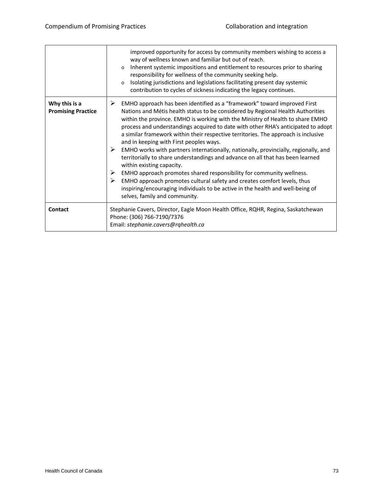|                                            | improved opportunity for access by community members wishing to access a<br>way of wellness known and familiar but out of reach.<br>Inherent systemic impositions and entitlement to resources prior to sharing<br>$\circ$<br>responsibility for wellness of the community seeking help.<br>Isolating jurisdictions and legislations facilitating present day systemic<br>$\circ$<br>contribution to cycles of sickness indicating the legacy continues.                                                                                                                                                                                                                                                                                                                                                                                                                                                                                                       |
|--------------------------------------------|----------------------------------------------------------------------------------------------------------------------------------------------------------------------------------------------------------------------------------------------------------------------------------------------------------------------------------------------------------------------------------------------------------------------------------------------------------------------------------------------------------------------------------------------------------------------------------------------------------------------------------------------------------------------------------------------------------------------------------------------------------------------------------------------------------------------------------------------------------------------------------------------------------------------------------------------------------------|
| Why this is a<br><b>Promising Practice</b> | ➤<br>EMHO approach has been identified as a "framework" toward improved First<br>Nations and Métis health status to be considered by Regional Health Authorities<br>within the province. EMHO is working with the Ministry of Health to share EMHO<br>process and understandings acquired to date with other RHA's anticipated to adopt<br>a similar framework within their respective territories. The approach is inclusive<br>and in keeping with First peoples ways.<br>➤<br>EMHO works with partners internationally, nationally, provincially, regionally, and<br>territorially to share understandings and advance on all that has been learned<br>within existing capacity.<br>➤<br>EMHO approach promotes shared responsibility for community wellness.<br>EMHO approach promotes cultural safety and creates comfort levels, thus<br>inspiring/encouraging individuals to be active in the health and well-being of<br>selves, family and community. |
| Contact                                    | Stephanie Cavers, Director, Eagle Moon Health Office, RQHR, Regina, Saskatchewan<br>Phone: (306) 766-7190/7376<br>Email: stephanie.cavers@rqhealth.ca                                                                                                                                                                                                                                                                                                                                                                                                                                                                                                                                                                                                                                                                                                                                                                                                          |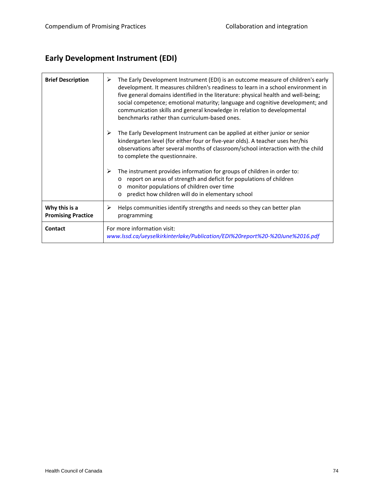### **Early Development Instrument (EDI)**

| <b>Brief Description</b>                   | The Early Development Instrument (EDI) is an outcome measure of children's early<br>≻<br>development. It measures children's readiness to learn in a school environment in<br>five general domains identified in the literature: physical health and well-being;<br>social competence; emotional maturity; language and cognitive development; and<br>communication skills and general knowledge in relation to developmental<br>benchmarks rather than curriculum-based ones. |
|--------------------------------------------|--------------------------------------------------------------------------------------------------------------------------------------------------------------------------------------------------------------------------------------------------------------------------------------------------------------------------------------------------------------------------------------------------------------------------------------------------------------------------------|
|                                            | The Early Development Instrument can be applied at either junior or senior<br>➤<br>kindergarten level (for either four or five-year olds). A teacher uses her/his<br>observations after several months of classroom/school interaction with the child<br>to complete the questionnaire.                                                                                                                                                                                        |
|                                            | The instrument provides information for groups of children in order to:<br>➤<br>report on areas of strength and deficit for populations of children<br>$\circ$<br>monitor populations of children over time<br>$\circ$<br>predict how children will do in elementary school<br>$\circ$                                                                                                                                                                                         |
| Why this is a<br><b>Promising Practice</b> | Helps communities identify strengths and needs so they can better plan<br>⋗<br>programming                                                                                                                                                                                                                                                                                                                                                                                     |
| Contact                                    | For more information visit:<br>www.lssd.ca/ueyselkirkinterlake/Publication/EDI%20report%20-%20June%2016.pdf                                                                                                                                                                                                                                                                                                                                                                    |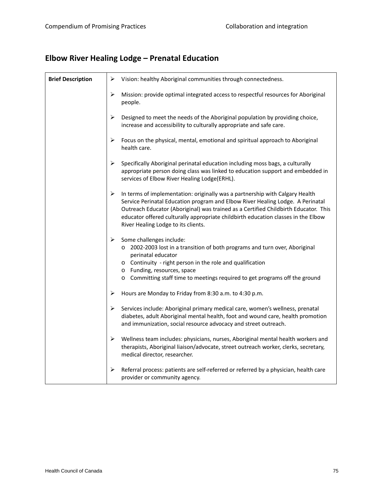### **Elbow River Healing Lodge – Prenatal Education**

| <b>Brief Description</b> | ➤                     | Vision: healthy Aboriginal communities through connectedness.                                                                                                                                                                                                                                                                                                                     |
|--------------------------|-----------------------|-----------------------------------------------------------------------------------------------------------------------------------------------------------------------------------------------------------------------------------------------------------------------------------------------------------------------------------------------------------------------------------|
|                          | ➤                     | Mission: provide optimal integrated access to respectful resources for Aboriginal<br>people.                                                                                                                                                                                                                                                                                      |
|                          | ➤                     | Designed to meet the needs of the Aboriginal population by providing choice,<br>increase and accessibility to culturally appropriate and safe care.                                                                                                                                                                                                                               |
|                          | ➤                     | Focus on the physical, mental, emotional and spiritual approach to Aboriginal<br>health care.                                                                                                                                                                                                                                                                                     |
|                          | ➤                     | Specifically Aboriginal perinatal education including moss bags, a culturally<br>appropriate person doing class was linked to education support and embedded in<br>services of Elbow River Healing Lodge(ERHL).                                                                                                                                                                   |
|                          | $\blacktriangleright$ | In terms of implementation: originally was a partnership with Calgary Health<br>Service Perinatal Education program and Elbow River Healing Lodge. A Perinatal<br>Outreach Educator (Aboriginal) was trained as a Certified Childbirth Educator. This<br>educator offered culturally appropriate childbirth education classes in the Elbow<br>River Healing Lodge to its clients. |
|                          | ➤                     | Some challenges include:<br>o 2002-2003 lost in a transition of both programs and turn over, Aboriginal<br>perinatal educator<br>o Continuity - right person in the role and qualification<br>o Funding, resources, space<br>o Committing staff time to meetings required to get programs off the ground                                                                          |
|                          | ➤                     | Hours are Monday to Friday from 8:30 a.m. to 4:30 p.m.                                                                                                                                                                                                                                                                                                                            |
|                          | ➤                     | Services include: Aboriginal primary medical care, women's wellness, prenatal<br>diabetes, adult Aboriginal mental health, foot and wound care, health promotion<br>and immunization, social resource advocacy and street outreach.                                                                                                                                               |
|                          | ➤                     | Wellness team includes: physicians, nurses, Aboriginal mental health workers and<br>therapists, Aboriginal liaison/advocate, street outreach worker, clerks, secretary,<br>medical director, researcher.                                                                                                                                                                          |
|                          | ➤                     | Referral process: patients are self-referred or referred by a physician, health care<br>provider or community agency.                                                                                                                                                                                                                                                             |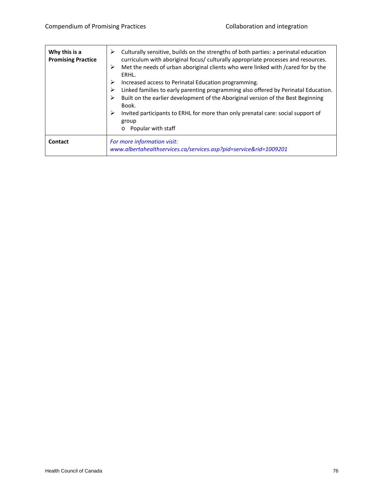| Why this is a<br><b>Promising Practice</b> | Culturally sensitive, builds on the strengths of both parties: a perinatal education<br>curriculum with aboriginal focus/ culturally appropriate processes and resources.<br>Met the needs of urban aboriginal clients who were linked with /cared for by the<br>➤<br>ERHL.<br>Increased access to Perinatal Education programming.<br>Linked families to early parenting programming also offered by Perinatal Education.<br>Built on the earlier development of the Aboriginal version of the Best Beginning<br>Book.<br>Invited participants to ERHL for more than only prenatal care: social support of<br>⋗<br>group<br>Popular with staff |
|--------------------------------------------|-------------------------------------------------------------------------------------------------------------------------------------------------------------------------------------------------------------------------------------------------------------------------------------------------------------------------------------------------------------------------------------------------------------------------------------------------------------------------------------------------------------------------------------------------------------------------------------------------------------------------------------------------|
| Contact                                    | For more information visit:<br>www.albertahealthservices.ca/services.asp?pid=service&rid=1009201                                                                                                                                                                                                                                                                                                                                                                                                                                                                                                                                                |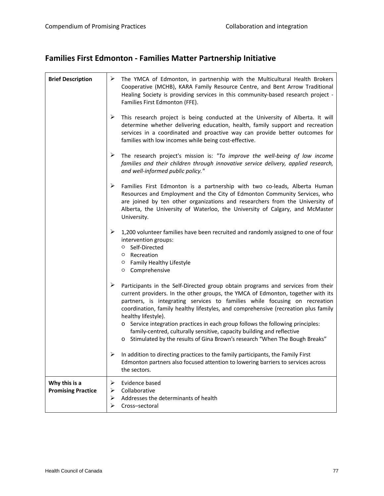#### **Families First Edmonton ‐ Families Matter Partnership Initiative**

| <b>Brief Description</b>                   | ➤                | The YMCA of Edmonton, in partnership with the Multicultural Health Brokers<br>Cooperative (MCHB), KARA Family Resource Centre, and Bent Arrow Traditional<br>Healing Society is providing services in this community-based research project -<br>Families First Edmonton (FFE).                                                                                                                                                                                                                                                                                                                            |
|--------------------------------------------|------------------|------------------------------------------------------------------------------------------------------------------------------------------------------------------------------------------------------------------------------------------------------------------------------------------------------------------------------------------------------------------------------------------------------------------------------------------------------------------------------------------------------------------------------------------------------------------------------------------------------------|
|                                            | ≻                | This research project is being conducted at the University of Alberta. It will<br>determine whether delivering education, health, family support and recreation<br>services in a coordinated and proactive way can provide better outcomes for<br>families with low incomes while being cost-effective.                                                                                                                                                                                                                                                                                                    |
|                                            | ➤                | The research project's mission is: "To improve the well-being of low income<br>families and their children through innovative service delivery, applied research,<br>and well-informed public policy."                                                                                                                                                                                                                                                                                                                                                                                                     |
|                                            | ➤                | Families First Edmonton is a partnership with two co-leads, Alberta Human<br>Resources and Employment and the City of Edmonton Community Services, who<br>are joined by ten other organizations and researchers from the University of<br>Alberta, the University of Waterloo, the University of Calgary, and McMaster<br>University.                                                                                                                                                                                                                                                                      |
|                                            | ➤                | 1,200 volunteer families have been recruited and randomly assigned to one of four<br>intervention groups:<br>○ Self-Directed<br>$\circ$ Recreation<br>○ Family Healthy Lifestyle<br>O Comprehensive                                                                                                                                                                                                                                                                                                                                                                                                        |
|                                            | ➤                | Participants in the Self-Directed group obtain programs and services from their<br>current providers. In the other groups, the YMCA of Edmonton, together with its<br>partners, is integrating services to families while focusing on recreation<br>coordination, family healthy lifestyles, and comprehensive (recreation plus family<br>healthy lifestyle).<br>o Service integration practices in each group follows the following principles:<br>family-centred, culturally sensitive, capacity building and reflective<br>o Stimulated by the results of Gina Brown's research "When The Bough Breaks" |
|                                            | ➤                | In addition to directing practices to the family participants, the Family First<br>Edmonton partners also focused attention to lowering barriers to services across<br>the sectors.                                                                                                                                                                                                                                                                                                                                                                                                                        |
| Why this is a<br><b>Promising Practice</b> | ➤<br>➤<br>➤<br>⋗ | Evidence based<br>Collaborative<br>Addresses the determinants of health<br>Cross-sectoral                                                                                                                                                                                                                                                                                                                                                                                                                                                                                                                  |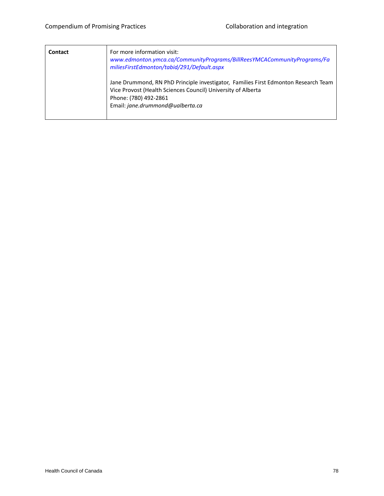| Contact | For more information visit:<br>www.edmonton.ymca.ca/CommunityPrograms/BillReesYMCACommunityPrograms/Fa<br>miliesFirstEdmonton/tabid/291/Default.aspx                                                             |
|---------|------------------------------------------------------------------------------------------------------------------------------------------------------------------------------------------------------------------|
|         | Jane Drummond, RN PhD Principle investigator, Families First Edmonton Research Team<br>Vice Provost (Health Sciences Council) University of Alberta<br>Phone: (780) 492-2861<br>Email: jane.drummond@ualberta.ca |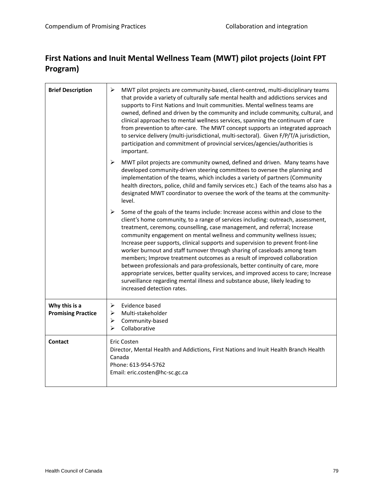#### **First Nations and Inuit Mental Wellness Team (MWT) pilot projects (Joint FPT Program)**

| <b>Brief Description</b>                   | ⋗<br>MWT pilot projects are community-based, client-centred, multi-disciplinary teams<br>that provide a variety of culturally safe mental health and addictions services and<br>supports to First Nations and Inuit communities. Mental wellness teams are<br>owned, defined and driven by the community and include community, cultural, and<br>clinical approaches to mental wellness services, spanning the continuum of care<br>from prevention to after-care. The MWT concept supports an integrated approach<br>to service delivery (multi-jurisdictional, multi-sectoral). Given F/P/T/A jurisdiction,<br>participation and commitment of provincial services/agencies/authorities is<br>important.                                                                                                                                                          |
|--------------------------------------------|---------------------------------------------------------------------------------------------------------------------------------------------------------------------------------------------------------------------------------------------------------------------------------------------------------------------------------------------------------------------------------------------------------------------------------------------------------------------------------------------------------------------------------------------------------------------------------------------------------------------------------------------------------------------------------------------------------------------------------------------------------------------------------------------------------------------------------------------------------------------|
|                                            | ➤<br>MWT pilot projects are community owned, defined and driven. Many teams have<br>developed community-driven steering committees to oversee the planning and<br>implementation of the teams, which includes a variety of partners (Community<br>health directors, police, child and family services etc.) Each of the teams also has a<br>designated MWT coordinator to oversee the work of the teams at the community-<br>level.                                                                                                                                                                                                                                                                                                                                                                                                                                 |
|                                            | ➤<br>Some of the goals of the teams include: Increase access within and close to the<br>client's home community, to a range of services including: outreach, assessment,<br>treatment, ceremony, counselling, case management, and referral; Increase<br>community engagement on mental wellness and community wellness issues;<br>Increase peer supports, clinical supports and supervision to prevent front-line<br>worker burnout and staff turnover through sharing of caseloads among team<br>members; Improve treatment outcomes as a result of improved collaboration<br>between professionals and para-professionals, better continuity of care, more<br>appropriate services, better quality services, and improved access to care; Increase<br>surveillance regarding mental illness and substance abuse, likely leading to<br>increased detection rates. |
| Why this is a<br><b>Promising Practice</b> | Evidence based<br>➤<br>➤<br>Multi-stakeholder<br>Community-based<br>➤<br>Collaborative<br>⋗                                                                                                                                                                                                                                                                                                                                                                                                                                                                                                                                                                                                                                                                                                                                                                         |
| <b>Contact</b>                             | Eric Costen<br>Director, Mental Health and Addictions, First Nations and Inuit Health Branch Health<br>Canada<br>Phone: 613-954-5762<br>Email: eric.costen@hc-sc.gc.ca                                                                                                                                                                                                                                                                                                                                                                                                                                                                                                                                                                                                                                                                                              |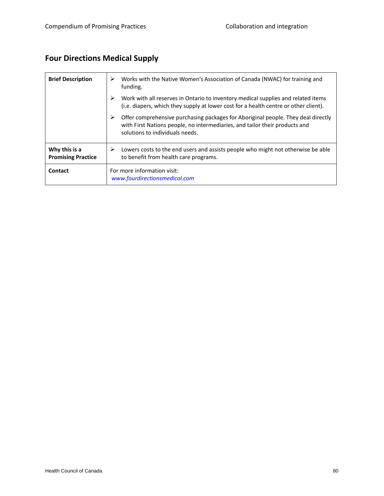### **Four Directions Medical Supply**

| <b>Brief Description</b>                   | Works with the Native Women's Association of Canada (NWAC) for training and<br>⋗<br>funding.                                                                                                             |
|--------------------------------------------|----------------------------------------------------------------------------------------------------------------------------------------------------------------------------------------------------------|
|                                            | ⋗<br>Work with all reserves in Ontario to inventory medical supplies and related items<br>(i.e. diapers, which they supply at lower cost for a health centre or other client).                           |
|                                            | ➤<br>Offer comprehensive purchasing packages for Aboriginal people. They deal directly<br>with First Nations people, no intermediaries, and tailor their products and<br>solutions to individuals needs. |
| Why this is a<br><b>Promising Practice</b> | Lowers costs to the end users and assists people who might not otherwise be able<br>⋗<br>to benefit from health care programs.                                                                           |
| Contact                                    | For more information visit:<br>www.fourdirectionsmedical.com                                                                                                                                             |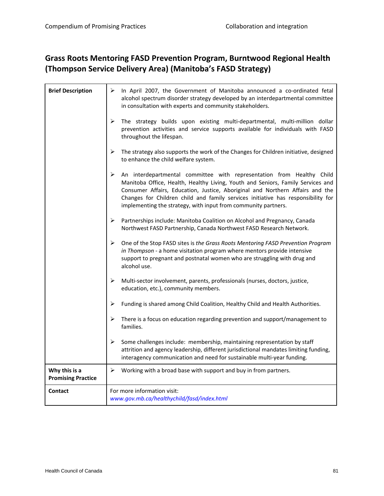#### **Grass Roots Mentoring FASD Prevention Program, Burntwood Regional Health (Thompson Service Delivery Area) (Manitoba's FASD Strategy)**

| <b>Brief Description</b>                   | In April 2007, the Government of Manitoba announced a co-ordinated fetal<br>➤<br>alcohol spectrum disorder strategy developed by an interdepartmental committee<br>in consultation with experts and community stakeholders.                                                                                                                                                                          |
|--------------------------------------------|------------------------------------------------------------------------------------------------------------------------------------------------------------------------------------------------------------------------------------------------------------------------------------------------------------------------------------------------------------------------------------------------------|
|                                            | ➤<br>The strategy builds upon existing multi-departmental, multi-million dollar<br>prevention activities and service supports available for individuals with FASD<br>throughout the lifespan.                                                                                                                                                                                                        |
|                                            | ➤<br>The strategy also supports the work of the Changes for Children initiative, designed<br>to enhance the child welfare system.                                                                                                                                                                                                                                                                    |
|                                            | ➤<br>An interdepartmental committee with representation from Healthy Child<br>Manitoba Office, Health, Healthy Living, Youth and Seniors, Family Services and<br>Consumer Affairs, Education, Justice, Aboriginal and Northern Affairs and the<br>Changes for Children child and family services initiative has responsibility for<br>implementing the strategy, with input from community partners. |
|                                            | ➤<br>Partnerships include: Manitoba Coalition on Alcohol and Pregnancy, Canada<br>Northwest FASD Partnership, Canada Northwest FASD Research Network.                                                                                                                                                                                                                                                |
|                                            | ➤<br>One of the Stop FASD sites is the Grass Roots Mentoring FASD Prevention Program<br>in Thompson - a home visitation program where mentors provide intensive<br>support to pregnant and postnatal women who are struggling with drug and<br>alcohol use.                                                                                                                                          |
|                                            | ➤<br>Multi-sector involvement, parents, professionals (nurses, doctors, justice,<br>education, etc.), community members.                                                                                                                                                                                                                                                                             |
|                                            | Funding is shared among Child Coalition, Healthy Child and Health Authorities.<br>➤                                                                                                                                                                                                                                                                                                                  |
|                                            | There is a focus on education regarding prevention and support/management to<br>➤<br>families.                                                                                                                                                                                                                                                                                                       |
|                                            | ➤<br>Some challenges include: membership, maintaining representation by staff<br>attrition and agency leadership, different jurisdictional mandates limiting funding,<br>interagency communication and need for sustainable multi-year funding.                                                                                                                                                      |
| Why this is a<br><b>Promising Practice</b> | Working with a broad base with support and buy in from partners.<br>≻                                                                                                                                                                                                                                                                                                                                |
| <b>Contact</b>                             | For more information visit:<br>www.gov.mb.ca/healthychild/fasd/index.html                                                                                                                                                                                                                                                                                                                            |

 $\overline{\mathbf{r}}$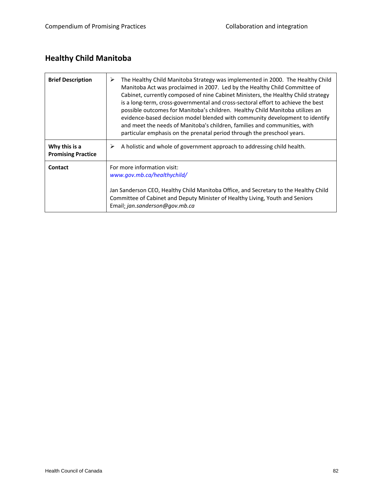### **Healthy Child Manitoba**

| <b>Brief Description</b>                   | ⋗<br>The Healthy Child Manitoba Strategy was implemented in 2000. The Healthy Child<br>Manitoba Act was proclaimed in 2007. Led by the Healthy Child Committee of<br>Cabinet, currently composed of nine Cabinet Ministers, the Healthy Child strategy<br>is a long-term, cross-governmental and cross-sectoral effort to achieve the best<br>possible outcomes for Manitoba's children. Healthy Child Manitoba utilizes an<br>evidence-based decision model blended with community development to identify<br>and meet the needs of Manitoba's children, families and communities, with<br>particular emphasis on the prenatal period through the preschool years. |
|--------------------------------------------|---------------------------------------------------------------------------------------------------------------------------------------------------------------------------------------------------------------------------------------------------------------------------------------------------------------------------------------------------------------------------------------------------------------------------------------------------------------------------------------------------------------------------------------------------------------------------------------------------------------------------------------------------------------------|
| Why this is a<br><b>Promising Practice</b> | A holistic and whole of government approach to addressing child health.<br>➤                                                                                                                                                                                                                                                                                                                                                                                                                                                                                                                                                                                        |
| Contact                                    | For more information visit:<br>www.gov.mb.ca/healthychild/<br>Jan Sanderson CEO, Healthy Child Manitoba Office, and Secretary to the Healthy Child<br>Committee of Cabinet and Deputy Minister of Healthy Living, Youth and Seniors<br>Email: jan.sanderson@gov.mb.ca                                                                                                                                                                                                                                                                                                                                                                                               |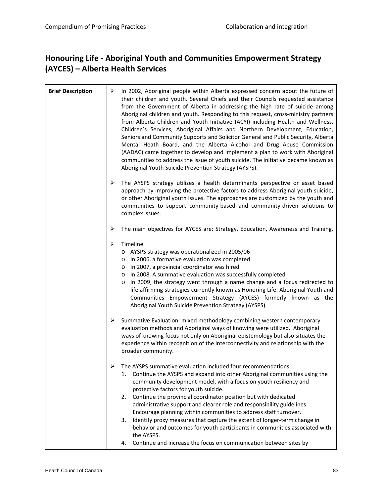#### **Honouring Life ‐ Aboriginal Youth and Communities Empowerment Strategy (AYCES) – Alberta Health Services**

| <b>Brief Description</b> | ➤ | In 2002, Aboriginal people within Alberta expressed concern about the future of<br>their children and youth. Several Chiefs and their Councils requested assistance<br>from the Government of Alberta in addressing the high rate of suicide among<br>Aboriginal children and youth. Responding to this request, cross-ministry partners<br>from Alberta Children and Youth Initiative (ACYI) including Health and Wellness,<br>Children's Services, Aboriginal Affairs and Northern Development, Education,<br>Seniors and Community Supports and Solicitor General and Public Security, Alberta<br>Mental Heath Board, and the Alberta Alcohol and Drug Abuse Commission<br>(AADAC) came together to develop and implement a plan to work with Aboriginal<br>communities to address the issue of youth suicide. The initiative became known as<br>Aboriginal Youth Suicide Prevention Strategy (AYSPS). |
|--------------------------|---|-----------------------------------------------------------------------------------------------------------------------------------------------------------------------------------------------------------------------------------------------------------------------------------------------------------------------------------------------------------------------------------------------------------------------------------------------------------------------------------------------------------------------------------------------------------------------------------------------------------------------------------------------------------------------------------------------------------------------------------------------------------------------------------------------------------------------------------------------------------------------------------------------------------|
|                          | ➤ | The AYSPS strategy utilizes a health determinants perspective or asset based<br>approach by improving the protective factors to address Aboriginal youth suicide,<br>or other Aboriginal youth issues. The approaches are customized by the youth and<br>communities to support community-based and community-driven solutions to<br>complex issues.                                                                                                                                                                                                                                                                                                                                                                                                                                                                                                                                                      |
|                          | ➤ | The main objectives for AYCES are: Strategy, Education, Awareness and Training.                                                                                                                                                                                                                                                                                                                                                                                                                                                                                                                                                                                                                                                                                                                                                                                                                           |
|                          | ➤ | Timeline<br>o AYSPS strategy was operationalized in 2005/06<br>In 2006, a formative evaluation was completed<br>$\circ$<br>In 2007, a provincial coordinator was hired<br>$\circ$<br>In 2008. A summative evaluation was successfully completed<br>$\circ$<br>In 2009, the strategy went through a name change and a focus redirected to<br>$\circ$<br>life affirming strategies currently known as Honoring Life: Aboriginal Youth and<br>Communities Empowerment Strategy (AYCES) formerly known as the<br>Aboriginal Youth Suicide Prevention Strategy (AYSPS)                                                                                                                                                                                                                                                                                                                                         |
|                          | ➤ | Summative Evaluation: mixed methodology combining western contemporary<br>evaluation methods and Aboriginal ways of knowing were utilized. Aboriginal<br>ways of knowing focus not only on Aboriginal epistemology but also situates the<br>experience within recognition of the interconnectivity and relationship with the<br>broader community.                                                                                                                                                                                                                                                                                                                                                                                                                                                                                                                                                        |
|                          |   | The AYSPS summative evaluation included four recommendations:<br>Continue the AYSPS and expand into other Aboriginal communities using the<br>1.<br>community development model, with a focus on youth resiliency and<br>protective factors for youth suicide.<br>Continue the provincial coordinator position but with dedicated<br>2.<br>administrative support and clearer role and responsibility guidelines.<br>Encourage planning within communities to address staff turnover.<br>Identify proxy measures that capture the extent of longer-term change in<br>3.<br>behavior and outcomes for youth participants in communities associated with<br>the AYSPS.<br>Continue and increase the focus on communication between sites by<br>4.                                                                                                                                                           |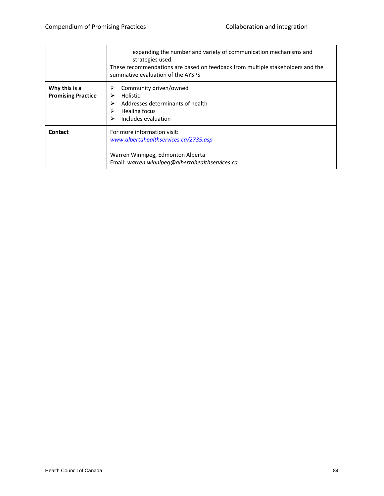|                                            | expanding the number and variety of communication mechanisms and<br>strategies used.<br>These recommendations are based on feedback from multiple stakeholders and the<br>summative evaluation of the AYSPS |
|--------------------------------------------|-------------------------------------------------------------------------------------------------------------------------------------------------------------------------------------------------------------|
| Why this is a<br><b>Promising Practice</b> | Community driven/owned<br>⋗<br>Holistic<br>Addresses determinants of health<br>⋗<br>Healing focus<br>Includes evaluation<br>⋗                                                                               |
| Contact                                    | For more information visit:<br>www.albertahealthservices.ca/2735.asp<br>Warren Winnipeg, Edmonton Alberta<br>Email: warren.winnipeg@albertahealthservices.ca                                                |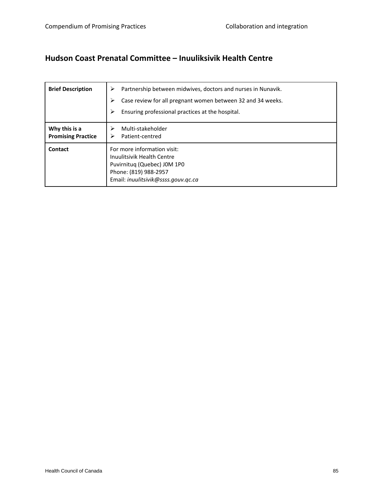#### **Hudson Coast Prenatal Committee – Inuuliksivik Health Centre**

| <b>Brief Description</b>                   | Partnership between midwives, doctors and nurses in Nunavik.<br>Case review for all pregnant women between 32 and 34 weeks.<br>➤<br>Ensuring professional practices at the hospital.<br>➤ |
|--------------------------------------------|-------------------------------------------------------------------------------------------------------------------------------------------------------------------------------------------|
| Why this is a<br><b>Promising Practice</b> | Multi-stakeholder<br>Patient-centred<br>⋗                                                                                                                                                 |
| Contact                                    | For more information visit:<br>Inuulitsivik Health Centre<br>Puvirnituq (Quebec) J0M 1P0<br>Phone: (819) 988-2957<br>Email: inuulitsivik@ssss.gouv.gc.ca                                  |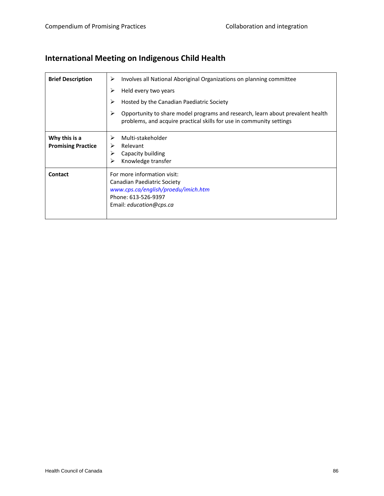### **International Meeting on Indigenous Child Health**

| <b>Brief Description</b>                   | Involves all National Aboriginal Organizations on planning committee<br>⋗<br>Held every two years<br>Hosted by the Canadian Paediatric Society<br>Opportunity to share model programs and research, learn about prevalent health<br>problems, and acquire practical skills for use in community settings |
|--------------------------------------------|----------------------------------------------------------------------------------------------------------------------------------------------------------------------------------------------------------------------------------------------------------------------------------------------------------|
| Why this is a<br><b>Promising Practice</b> | Multi-stakeholder<br>Relevant<br>Capacity building<br>Knowledge transfer                                                                                                                                                                                                                                 |
| Contact                                    | For more information visit:<br>Canadian Paediatric Society<br>www.cps.ca/english/proedu/imich.htm<br>Phone: 613-526-9397<br>Email: education@cps.ca                                                                                                                                                      |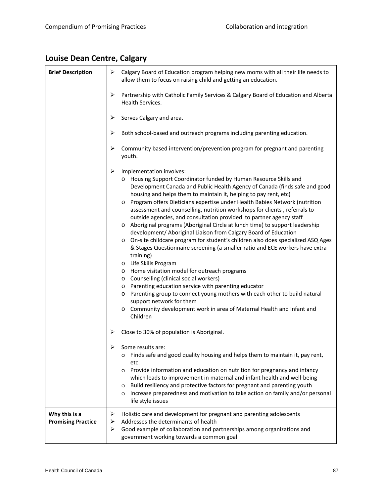# **Louise Dean Centre, Calgary**

| <b>Brief Description</b>  | Calgary Board of Education program helping new moms with all their life needs to<br>➤<br>allow them to focus on raising child and getting an education.                                                                                                                                                                                                                                                                                                                                                                                                                                                                                                                                                                                                                                                                                                                                                                                                                                                                                                                                                                                                                                                                                                                               |
|---------------------------|---------------------------------------------------------------------------------------------------------------------------------------------------------------------------------------------------------------------------------------------------------------------------------------------------------------------------------------------------------------------------------------------------------------------------------------------------------------------------------------------------------------------------------------------------------------------------------------------------------------------------------------------------------------------------------------------------------------------------------------------------------------------------------------------------------------------------------------------------------------------------------------------------------------------------------------------------------------------------------------------------------------------------------------------------------------------------------------------------------------------------------------------------------------------------------------------------------------------------------------------------------------------------------------|
|                           | ➤<br>Partnership with Catholic Family Services & Calgary Board of Education and Alberta<br>Health Services.                                                                                                                                                                                                                                                                                                                                                                                                                                                                                                                                                                                                                                                                                                                                                                                                                                                                                                                                                                                                                                                                                                                                                                           |
|                           | Serves Calgary and area.<br>➤                                                                                                                                                                                                                                                                                                                                                                                                                                                                                                                                                                                                                                                                                                                                                                                                                                                                                                                                                                                                                                                                                                                                                                                                                                                         |
|                           | Both school-based and outreach programs including parenting education.<br>➤                                                                                                                                                                                                                                                                                                                                                                                                                                                                                                                                                                                                                                                                                                                                                                                                                                                                                                                                                                                                                                                                                                                                                                                                           |
|                           | ➤<br>Community based intervention/prevention program for pregnant and parenting<br>youth.                                                                                                                                                                                                                                                                                                                                                                                                                                                                                                                                                                                                                                                                                                                                                                                                                                                                                                                                                                                                                                                                                                                                                                                             |
|                           | ➤<br>Implementation involves:<br>o Housing Support Coordinator funded by Human Resource Skills and<br>Development Canada and Public Health Agency of Canada (finds safe and good<br>housing and helps them to maintain it, helping to pay rent, etc)<br>Program offers Dieticians expertise under Health Babies Network (nutrition<br>$\circ$<br>assessment and counselling, nutrition workshops for clients, referrals to<br>outside agencies, and consultation provided to partner agency staff<br>o Aboriginal programs (Aboriginal Circle at lunch time) to support leadership<br>development/ Aboriginal Liaison from Calgary Board of Education<br>On-site childcare program for student's children also does specialized ASQ Ages<br>$\circ$<br>& Stages Questionnaire screening (a smaller ratio and ECE workers have extra<br>training)<br>Life Skills Program<br>$\circ$<br>Home visitation model for outreach programs<br>$\circ$<br>Counselling (clinical social workers)<br>$\circ$<br>Parenting education service with parenting educator<br>$\circ$<br>Parenting group to connect young mothers with each other to build natural<br>$\circ$<br>support network for them<br>Community development work in area of Maternal Health and Infant and<br>$\circ$<br>Children |
|                           | Close to 30% of population is Aboriginal.<br>➤                                                                                                                                                                                                                                                                                                                                                                                                                                                                                                                                                                                                                                                                                                                                                                                                                                                                                                                                                                                                                                                                                                                                                                                                                                        |
|                           | Some results are:<br>Finds safe and good quality housing and helps them to maintain it, pay rent,<br>$\circ$<br>etc.<br>Provide information and education on nutrition for pregnancy and infancy<br>$\circ$<br>which leads to improvement in maternal and infant health and well-being<br>Build resiliency and protective factors for pregnant and parenting youth<br>$\circ$<br>Increase preparedness and motivation to take action on family and/or personal<br>$\circ$                                                                                                                                                                                                                                                                                                                                                                                                                                                                                                                                                                                                                                                                                                                                                                                                             |
| Why this is a             | life style issues<br>Holistic care and development for pregnant and parenting adolescents<br>➤                                                                                                                                                                                                                                                                                                                                                                                                                                                                                                                                                                                                                                                                                                                                                                                                                                                                                                                                                                                                                                                                                                                                                                                        |
| <b>Promising Practice</b> | Addresses the determinants of health<br>➤<br>Good example of collaboration and partnerships among organizations and<br>➤<br>government working towards a common goal                                                                                                                                                                                                                                                                                                                                                                                                                                                                                                                                                                                                                                                                                                                                                                                                                                                                                                                                                                                                                                                                                                                  |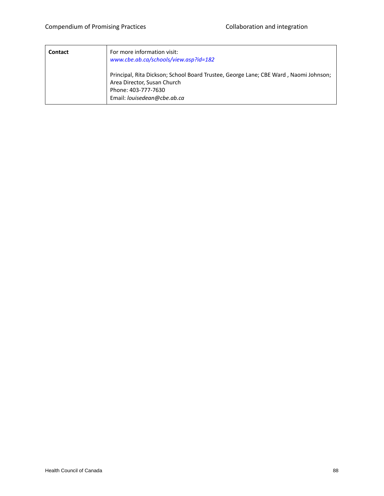| <b>Contact</b> | For more information visit:<br>www.cbe.ab.ca/schools/view.asp?id=182                                                                                                      |
|----------------|---------------------------------------------------------------------------------------------------------------------------------------------------------------------------|
|                | Principal, Rita Dickson; School Board Trustee, George Lane; CBE Ward, Naomi Johnson;<br>Area Director, Susan Church<br>Phone: 403-777-7630<br>Email: louisedean@cbe.ab.ca |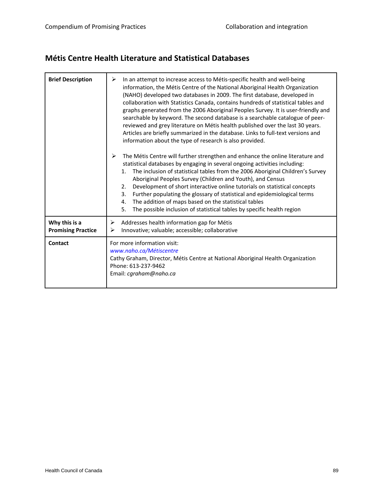#### **Métis Centre Health Literature and Statistical Databases**

| <b>Brief Description</b>                   | In an attempt to increase access to Métis-specific health and well-being<br>➤<br>information, the Métis Centre of the National Aboriginal Health Organization<br>(NAHO) developed two databases in 2009. The first database, developed in<br>collaboration with Statistics Canada, contains hundreds of statistical tables and<br>graphs generated from the 2006 Aboriginal Peoples Survey. It is user-friendly and<br>searchable by keyword. The second database is a searchable catalogue of peer-<br>reviewed and grey literature on Métis health published over the last 30 years.<br>Articles are briefly summarized in the database. Links to full-text versions and<br>information about the type of research is also provided. |
|--------------------------------------------|----------------------------------------------------------------------------------------------------------------------------------------------------------------------------------------------------------------------------------------------------------------------------------------------------------------------------------------------------------------------------------------------------------------------------------------------------------------------------------------------------------------------------------------------------------------------------------------------------------------------------------------------------------------------------------------------------------------------------------------|
|                                            | $\blacktriangleright$<br>The Métis Centre will further strengthen and enhance the online literature and<br>statistical databases by engaging in several ongoing activities including:<br>The inclusion of statistical tables from the 2006 Aboriginal Children's Survey<br>1.<br>Aboriginal Peoples Survey (Children and Youth), and Census<br>Development of short interactive online tutorials on statistical concepts<br>2.<br>Further populating the glossary of statistical and epidemiological terms<br>3.<br>The addition of maps based on the statistical tables<br>4.<br>5.<br>The possible inclusion of statistical tables by specific health region                                                                         |
| Why this is a<br><b>Promising Practice</b> | Addresses health information gap for Métis<br>➤<br>Innovative; valuable; accessible; collaborative<br>⋗                                                                                                                                                                                                                                                                                                                                                                                                                                                                                                                                                                                                                                |
| <b>Contact</b>                             | For more information visit:<br>www.naho.ca/Métiscentre<br>Cathy Graham, Director, Métis Centre at National Aboriginal Health Organization<br>Phone: 613-237-9462<br>Email: cgraham@naho.ca                                                                                                                                                                                                                                                                                                                                                                                                                                                                                                                                             |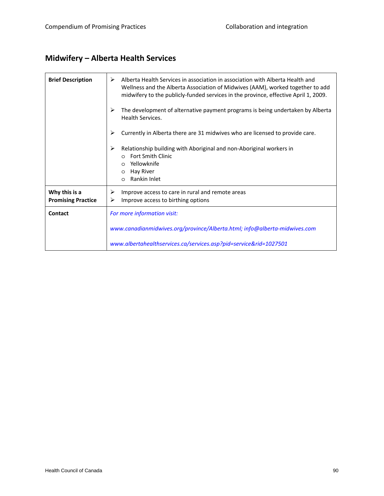### **Midwifery – Alberta Health Services**

| <b>Brief Description</b>                   | ➤<br>Alberta Health Services in association in association with Alberta Health and<br>Wellness and the Alberta Association of Midwives (AAM), worked together to add<br>midwifery to the publicly-funded services in the province, effective April 1, 2009. |
|--------------------------------------------|-------------------------------------------------------------------------------------------------------------------------------------------------------------------------------------------------------------------------------------------------------------|
|                                            | The development of alternative payment programs is being undertaken by Alberta<br>⋗<br>Health Services.                                                                                                                                                     |
|                                            | ➤<br>Currently in Alberta there are 31 midwives who are licensed to provide care.                                                                                                                                                                           |
|                                            | Relationship building with Aboriginal and non-Aboriginal workers in<br>⋗<br><b>Fort Smith Clinic</b><br>Yellowknife<br>$\circ$<br>Hay River<br>$\circ$<br>Rankin Inlet<br>$\circ$                                                                           |
| Why this is a<br><b>Promising Practice</b> | Improve access to care in rural and remote areas<br>➤<br>Improve access to birthing options<br>➤                                                                                                                                                            |
| Contact                                    | For more information visit:                                                                                                                                                                                                                                 |
|                                            | www.canadianmidwives.org/province/Alberta.html; info@alberta-midwives.com                                                                                                                                                                                   |
|                                            | www.albertahealthservices.ca/services.asp?pid=service&rid=1027501                                                                                                                                                                                           |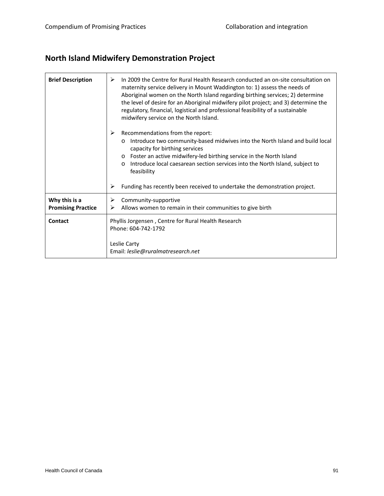### **North Island Midwifery Demonstration Project**

| <b>Brief Description</b>                   | In 2009 the Centre for Rural Health Research conducted an on-site consultation on<br>≻<br>maternity service delivery in Mount Waddington to: 1) assess the needs of<br>Aboriginal women on the North Island regarding birthing services; 2) determine<br>the level of desire for an Aboriginal midwifery pilot project; and 3) determine the<br>regulatory, financial, logistical and professional feasibility of a sustainable<br>midwifery service on the North Island. |
|--------------------------------------------|---------------------------------------------------------------------------------------------------------------------------------------------------------------------------------------------------------------------------------------------------------------------------------------------------------------------------------------------------------------------------------------------------------------------------------------------------------------------------|
|                                            | Recommendations from the report:<br>⋗<br>Introduce two community-based midwives into the North Island and build local<br>$\circ$<br>capacity for birthing services<br>Foster an active midwifery-led birthing service in the North Island<br>$\circ$<br>Introduce local caesarean section services into the North Island, subject to<br>$\circ$<br>feasibility                                                                                                            |
|                                            | Funding has recently been received to undertake the demonstration project.<br>➤                                                                                                                                                                                                                                                                                                                                                                                           |
| Why this is a<br><b>Promising Practice</b> | Community-supportive<br>➤<br>Allows women to remain in their communities to give birth<br>⋗                                                                                                                                                                                                                                                                                                                                                                               |
| Contact                                    | Phyllis Jorgensen, Centre for Rural Health Research<br>Phone: 604-742-1792<br>Leslie Carty<br>Email: leslie@ruralmatresearch.net                                                                                                                                                                                                                                                                                                                                          |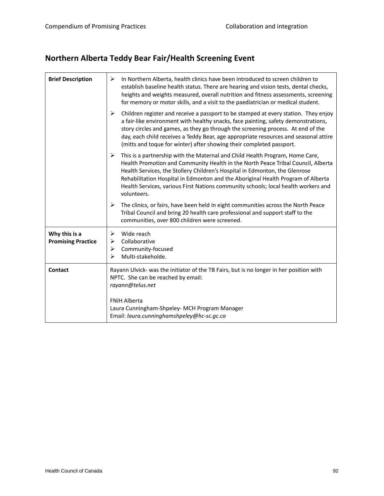### **Northern Alberta Teddy Bear Fair/Health Screening Event**

| <b>Brief Description</b>                   | In Northern Alberta, health clinics have been introduced to screen children to<br>➤<br>establish baseline health status. There are hearing and vision tests, dental checks,<br>heights and weights measured, overall nutrition and fitness assessments, screening<br>for memory or motor skills, and a visit to the paediatrician or medical student.                                                                                                             |
|--------------------------------------------|-------------------------------------------------------------------------------------------------------------------------------------------------------------------------------------------------------------------------------------------------------------------------------------------------------------------------------------------------------------------------------------------------------------------------------------------------------------------|
|                                            | ➤<br>Children register and receive a passport to be stamped at every station. They enjoy<br>a fair-like environment with healthy snacks, face painting, safety demonstrations,<br>story circles and games, as they go through the screening process. At end of the<br>day, each child receives a Teddy Bear, age appropriate resources and seasonal attire<br>(mitts and toque for winter) after showing their completed passport.                                |
|                                            | $\blacktriangleright$<br>This is a partnership with the Maternal and Child Health Program, Home Care,<br>Health Promotion and Community Health in the North Peace Tribal Council, Alberta<br>Health Services, the Stollery Children's Hospital in Edmonton, the Glenrose<br>Rehabilitation Hospital in Edmonton and the Aboriginal Health Program of Alberta<br>Health Services, various First Nations community schools; local health workers and<br>volunteers. |
|                                            | The clinics, or fairs, have been held in eight communities across the North Peace<br>≻<br>Tribal Council and bring 20 health care professional and support staff to the<br>communities, over 800 children were screened.                                                                                                                                                                                                                                          |
| Why this is a<br><b>Promising Practice</b> | ➤<br>Wide reach<br>Collaborative<br>➤<br>Community-focused<br>➤<br>Multi-stakeholde.<br>⋗                                                                                                                                                                                                                                                                                                                                                                         |
| <b>Contact</b>                             | Rayann Ulvick- was the initiator of the TB Fairs, but is no longer in her position with<br>NPTC. She can be reached by email:<br>rayann@telus.net                                                                                                                                                                                                                                                                                                                 |
|                                            | <b>FNIH Alberta</b><br>Laura Cunningham-Shpeley- MCH Program Manager<br>Email: laura.cunninghamshpeley@hc-sc.gc.ca                                                                                                                                                                                                                                                                                                                                                |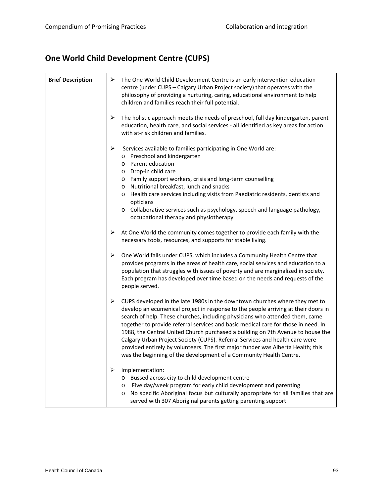### **One World Child Development Centre (CUPS)**

| <b>Brief Description</b> | ➤<br>The One World Child Development Centre is an early intervention education<br>centre (under CUPS - Calgary Urban Project society) that operates with the<br>philosophy of providing a nurturing, caring, educational environment to help<br>children and families reach their full potential.                                                                                                                                                                                                                                                                                                                                                                         |
|--------------------------|---------------------------------------------------------------------------------------------------------------------------------------------------------------------------------------------------------------------------------------------------------------------------------------------------------------------------------------------------------------------------------------------------------------------------------------------------------------------------------------------------------------------------------------------------------------------------------------------------------------------------------------------------------------------------|
|                          | ➤<br>The holistic approach meets the needs of preschool, full day kindergarten, parent<br>education, health care, and social services - all identified as key areas for action<br>with at-risk children and families.                                                                                                                                                                                                                                                                                                                                                                                                                                                     |
|                          | ➤<br>Services available to families participating in One World are:<br>o Preschool and kindergarten<br>o Parent education<br>o Drop-in child care<br>o Family support workers, crisis and long-term counselling<br>o Nutritional breakfast, lunch and snacks<br>Health care services including visits from Paediatric residents, dentists and<br>$\circ$<br>opticians<br>o Collaborative services such as psychology, speech and language pathology,<br>occupational therapy and physiotherapy                                                                                                                                                                            |
|                          | At One World the community comes together to provide each family with the<br>➤<br>necessary tools, resources, and supports for stable living.                                                                                                                                                                                                                                                                                                                                                                                                                                                                                                                             |
|                          | ➤<br>One World falls under CUPS, which includes a Community Health Centre that<br>provides programs in the areas of health care, social services and education to a<br>population that struggles with issues of poverty and are marginalized in society.<br>Each program has developed over time based on the needs and requests of the<br>people served.                                                                                                                                                                                                                                                                                                                 |
|                          | ➤<br>CUPS developed in the late 1980s in the downtown churches where they met to<br>develop an ecumenical project in response to the people arriving at their doors in<br>search of help. These churches, including physicians who attended them, came<br>together to provide referral services and basic medical care for those in need. In<br>1988, the Central United Church purchased a building on 7th Avenue to house the<br>Calgary Urban Project Society (CUPS). Referral Services and health care were<br>provided entirely by volunteers. The first major funder was Alberta Health; this<br>was the beginning of the development of a Community Health Centre. |
|                          | Implementation:<br>➤<br>o Bussed across city to child development centre<br>Five day/week program for early child development and parenting<br>$\circ$<br>No specific Aboriginal focus but culturally appropriate for all families that are<br>$\circ$<br>served with 307 Aboriginal parents getting parenting support                                                                                                                                                                                                                                                                                                                                                    |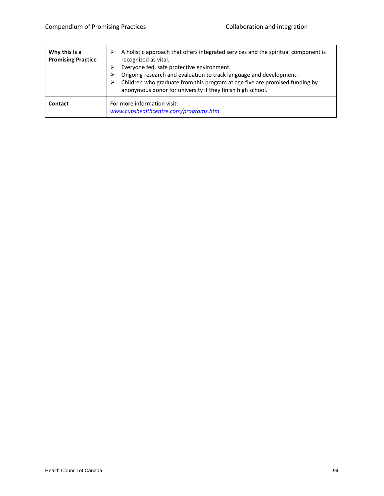| Why this is a<br><b>Promising Practice</b> | A holistic approach that offers integrated services and the spiritual component is<br>recognized as vital.<br>Everyone fed, safe protective environment.<br>Ongoing research and evaluation to track language and development.<br>Children who graduate from this program at age five are promised funding by<br>anonymous donor for university if they finish high school. |
|--------------------------------------------|-----------------------------------------------------------------------------------------------------------------------------------------------------------------------------------------------------------------------------------------------------------------------------------------------------------------------------------------------------------------------------|
| Contact                                    | For more information visit:<br>www.cupshealthcentre.com/programs.htm                                                                                                                                                                                                                                                                                                        |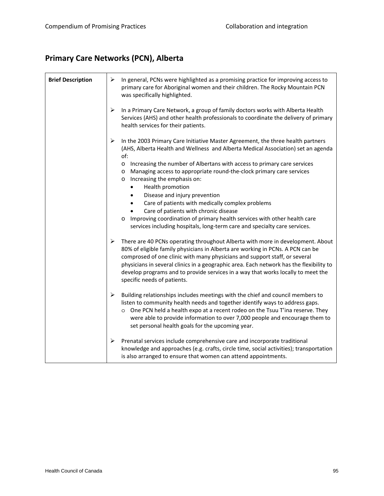#### **Primary Care Networks (PCN), Alberta**

| <b>Brief Description</b> | ≻<br>In general, PCNs were highlighted as a promising practice for improving access to<br>primary care for Aboriginal women and their children. The Rocky Mountain PCN<br>was specifically highlighted.                                                                                                                                                                                                                                                                                                                                                                                                                                                                                                            |
|--------------------------|--------------------------------------------------------------------------------------------------------------------------------------------------------------------------------------------------------------------------------------------------------------------------------------------------------------------------------------------------------------------------------------------------------------------------------------------------------------------------------------------------------------------------------------------------------------------------------------------------------------------------------------------------------------------------------------------------------------------|
|                          | ➤<br>In a Primary Care Network, a group of family doctors works with Alberta Health<br>Services (AHS) and other health professionals to coordinate the delivery of primary<br>health services for their patients.                                                                                                                                                                                                                                                                                                                                                                                                                                                                                                  |
|                          | ➤<br>In the 2003 Primary Care Initiative Master Agreement, the three health partners<br>(AHS, Alberta Health and Wellness and Alberta Medical Association) set an agenda<br>of:<br>Increasing the number of Albertans with access to primary care services<br>$\circ$<br>Managing access to appropriate round-the-clock primary care services<br>O<br>Increasing the emphasis on:<br>$\circ$<br>Health promotion<br>Disease and injury prevention<br>Care of patients with medically complex problems<br>Care of patients with chronic disease<br>Improving coordination of primary health services with other health care<br>$\circ$<br>services including hospitals, long-term care and specialty care services. |
|                          | ➤<br>There are 40 PCNs operating throughout Alberta with more in development. About<br>80% of eligible family physicians in Alberta are working in PCNs. A PCN can be<br>comprosed of one clinic with many physicians and support staff, or several<br>physicians in several clinics in a geographic area. Each network has the flexibility to<br>develop programs and to provide services in a way that works locally to meet the<br>specific needs of patients.                                                                                                                                                                                                                                                  |
|                          | ➤<br>Building relationships includes meetings with the chief and council members to<br>listen to community health needs and together identify ways to address gaps.<br>One PCN held a health expo at a recent rodeo on the Tsuu T'ina reserve. They<br>were able to provide information to over 7,000 people and encourage them to<br>set personal health goals for the upcoming year.                                                                                                                                                                                                                                                                                                                             |
|                          | ➤<br>Prenatal services include comprehensive care and incorporate traditional<br>knowledge and approaches (e.g. crafts, circle time, social activities); transportation<br>is also arranged to ensure that women can attend appointments.                                                                                                                                                                                                                                                                                                                                                                                                                                                                          |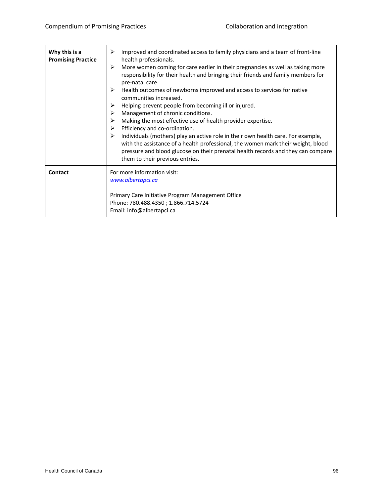| Why this is a<br><b>Promising Practice</b> | Improved and coordinated access to family physicians and a team of front-line<br>⋗<br>health professionals.<br>➤<br>More women coming for care earlier in their pregnancies as well as taking more<br>responsibility for their health and bringing their friends and family members for<br>pre-natal care.<br>Health outcomes of newborns improved and access to services for native<br>➤<br>communities increased.<br>Helping prevent people from becoming ill or injured.<br>⋗<br>Management of chronic conditions.<br>➤<br>Making the most effective use of health provider expertise.<br>➤<br>Efficiency and co-ordination.<br>≻<br>Individuals (mothers) play an active role in their own health care. For example,<br>with the assistance of a health professional, the women mark their weight, blood<br>pressure and blood glucose on their prenatal health records and they can compare<br>them to their previous entries. |
|--------------------------------------------|-------------------------------------------------------------------------------------------------------------------------------------------------------------------------------------------------------------------------------------------------------------------------------------------------------------------------------------------------------------------------------------------------------------------------------------------------------------------------------------------------------------------------------------------------------------------------------------------------------------------------------------------------------------------------------------------------------------------------------------------------------------------------------------------------------------------------------------------------------------------------------------------------------------------------------------|
| <b>Contact</b>                             | For more information visit:<br>www.albertapci.ca<br>Primary Care Initiative Program Management Office<br>Phone: 780.488.4350; 1.866.714.5724<br>Email: info@albertapci.ca                                                                                                                                                                                                                                                                                                                                                                                                                                                                                                                                                                                                                                                                                                                                                           |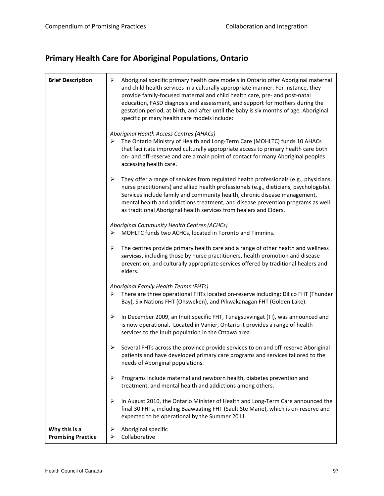### **Primary Health Care for Aboriginal Populations, Ontario**

| <b>Brief Description</b>                   | ➤<br>Aboriginal specific primary health care models in Ontario offer Aboriginal maternal<br>and child health services in a culturally appropriate manner. For instance, they<br>provide family-focused maternal and child health care, pre- and post-natal<br>education, FASD diagnosis and assessment, and support for mothers during the<br>gestation period, at birth, and after until the baby is six months of age. Aboriginal<br>specific primary health care models include: |
|--------------------------------------------|-------------------------------------------------------------------------------------------------------------------------------------------------------------------------------------------------------------------------------------------------------------------------------------------------------------------------------------------------------------------------------------------------------------------------------------------------------------------------------------|
|                                            | Aboriginal Health Access Centres (AHACs)<br>The Ontario Ministry of Health and Long-Term Care (MOHLTC) funds 10 AHACs<br>➤<br>that facilitate improved culturally appropriate access to primary health care both<br>on- and off-reserve and are a main point of contact for many Aboriginal peoples<br>accessing health care.                                                                                                                                                       |
|                                            | ➤<br>They offer a range of services from regulated health professionals (e.g., physicians,<br>nurse practitioners) and allied health professionals (e.g., dieticians, psychologists).<br>Services include family and community health, chronic disease management,<br>mental health and addictions treatment, and disease prevention programs as well<br>as traditional Aboriginal health services from healers and Elders.                                                         |
|                                            | Aboriginal Community Health Centres (ACHCs)<br>MOHLTC funds two ACHCs, located in Toronto and Timmins.<br>➤                                                                                                                                                                                                                                                                                                                                                                         |
|                                            | The centres provide primary health care and a range of other health and wellness<br>➤<br>services, including those by nurse practitioners, health promotion and disease<br>prevention, and culturally appropriate services offered by traditional healers and<br>elders.                                                                                                                                                                                                            |
|                                            | Aboriginal Family Health Teams (FHTs)                                                                                                                                                                                                                                                                                                                                                                                                                                               |
|                                            | There are three operational FHTs located on-reserve including: Dilico FHT (Thunder<br>➤<br>Bay), Six Nations FHT (Ohsweken), and Pikwakanagan FHT (Golden Lake).                                                                                                                                                                                                                                                                                                                    |
|                                            | In December 2009, an Inuit specific FHT, Tunagsuvvingat (TI), was announced and<br>➤<br>is now operational. Located in Vanier, Ontario it provides a range of health<br>services to the Inuit population in the Ottawa area.                                                                                                                                                                                                                                                        |
|                                            | Several FHTs across the province provide services to on and off-reserve Aboriginal<br>➤<br>patients and have developed primary care programs and services tailored to the<br>needs of Aboriginal populations.                                                                                                                                                                                                                                                                       |
|                                            | ➤<br>Programs include maternal and newborn health, diabetes prevention and<br>treatment, and mental health and addictions among others.                                                                                                                                                                                                                                                                                                                                             |
|                                            | ➤<br>In August 2010, the Ontario Minister of Health and Long-Term Care announced the<br>final 30 FHTs, including Baawaating FHT (Sault Ste Marie), which is on-reserve and<br>expected to be operational by the Summer 2011.                                                                                                                                                                                                                                                        |
| Why this is a<br><b>Promising Practice</b> | Aboriginal specific<br>➤<br>Collaborative<br>➤                                                                                                                                                                                                                                                                                                                                                                                                                                      |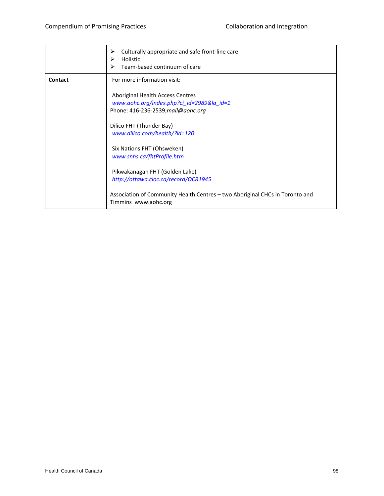|         | ➤<br>Culturally appropriate and safe front-line care<br>↘<br>Holistic<br>Team-based continuum of care                                                                                                                                                                                                                                                                                                                                                         |
|---------|---------------------------------------------------------------------------------------------------------------------------------------------------------------------------------------------------------------------------------------------------------------------------------------------------------------------------------------------------------------------------------------------------------------------------------------------------------------|
| Contact | For more information visit:<br>Aboriginal Health Access Centres<br>www.aohc.org/index.php?ci_id=2989&la_id=1<br>Phone: 416-236-2539; mail@aohc.org<br>Dilico FHT (Thunder Bay)<br>www.dilico.com/health/?id=120<br>Six Nations FHT (Ohsweken)<br>www.snhs.ca/fhtProfile.htm<br>Pikwakanagan FHT (Golden Lake)<br>http://ottawa.cioc.ca/record/OCR1945<br>Association of Community Health Centres - two Aboriginal CHCs in Toronto and<br>Timmins www.aohc.org |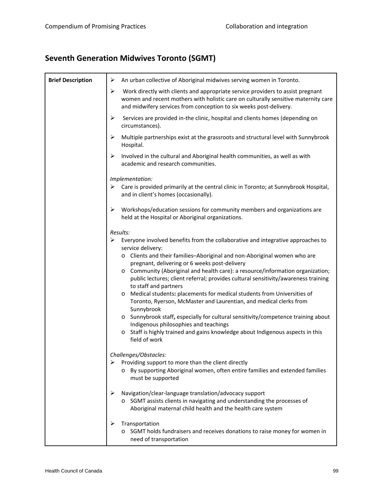### **Seventh Generation Midwives Toronto (SGMT)**

| <b>Brief Description</b> | ➤<br>An urban collective of Aboriginal midwives serving women in Toronto.                                                                                                                                                                        |
|--------------------------|--------------------------------------------------------------------------------------------------------------------------------------------------------------------------------------------------------------------------------------------------|
|                          | ➤<br>Work directly with clients and appropriate service providers to assist pregnant<br>women and recent mothers with holistic care on culturally sensitive maternity care<br>and midwifery services from conception to six weeks post-delivery. |
|                          | ➤<br>Services are provided in-the clinic, hospital and clients homes (depending on<br>circumstances).                                                                                                                                            |
|                          | ➤<br>Multiple partnerships exist at the grassroots and structural level with Sunnybrook<br>Hospital.                                                                                                                                             |
|                          | ➤<br>Involved in the cultural and Aboriginal health communities, as well as with<br>academic and research communities.                                                                                                                           |
|                          | Implementation:                                                                                                                                                                                                                                  |
|                          | $\triangleright$ Care is provided primarily at the central clinic in Toronto; at Sunnybrook Hospital,<br>and in client's homes (occasionally).                                                                                                   |
|                          | ➤<br>Workshops/education sessions for community members and organizations are<br>held at the Hospital or Aboriginal organizations.                                                                                                               |
|                          | Results:                                                                                                                                                                                                                                         |
|                          | ➤<br>Everyone involved benefits from the collaborative and integrative approaches to<br>service delivery:                                                                                                                                        |
|                          | o Clients and their families-Aboriginal and non-Aboriginal women who are<br>pregnant, delivering or 6 weeks post-delivery                                                                                                                        |
|                          | o Community (Aboriginal and health care): a resource/information organization;<br>public lectures; client referral; provides cultural sensitivity/awareness training<br>to staff and partners                                                    |
|                          | Medical students: placements for medical students from Universities of<br>$\circ$<br>Toronto, Ryerson, McMaster and Laurentian, and medical clerks from<br>Sunnybrook                                                                            |
|                          | o Sunnybrook staff, especially for cultural sensitivity/competence training about<br>Indigenous philosophies and teachings                                                                                                                       |
|                          | Staff is highly trained and gains knowledge about Indigenous aspects in this<br>$\circ$<br>field of work                                                                                                                                         |
|                          | Challenges/Obstacles:                                                                                                                                                                                                                            |
|                          | ➤<br>Providing support to more than the client directly                                                                                                                                                                                          |
|                          | o By supporting Aboriginal women, often entire families and extended families<br>must be supported                                                                                                                                               |
|                          | ➤<br>Navigation/clear-language translation/advocacy support<br>o SGMT assists clients in navigating and understanding the processes of                                                                                                           |
|                          | Aboriginal maternal child health and the health care system                                                                                                                                                                                      |
|                          | Transportation<br>➤                                                                                                                                                                                                                              |
|                          | SGMT holds fundraisers and receives donations to raise money for women in<br>$\circ$                                                                                                                                                             |
|                          | need of transportation                                                                                                                                                                                                                           |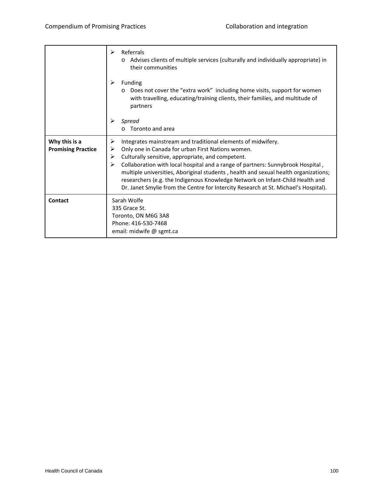|                                            | Referrals<br>⋗<br>Advises clients of multiple services (culturally and individually appropriate) in<br>their communities                                                                                                                                                                                                                                                                                                                                                                                                                     |
|--------------------------------------------|----------------------------------------------------------------------------------------------------------------------------------------------------------------------------------------------------------------------------------------------------------------------------------------------------------------------------------------------------------------------------------------------------------------------------------------------------------------------------------------------------------------------------------------------|
|                                            | ↘<br>Funding<br>Does not cover the "extra work" including home visits, support for women<br>with travelling, educating/training clients, their families, and multitude of<br>partners                                                                                                                                                                                                                                                                                                                                                        |
|                                            | Spread<br>Toronto and area                                                                                                                                                                                                                                                                                                                                                                                                                                                                                                                   |
| Why this is a<br><b>Promising Practice</b> | ➤<br>Integrates mainstream and traditional elements of midwifery.<br>Only one in Canada for urban First Nations women.<br>⋗<br>Culturally sensitive, appropriate, and competent.<br>≻<br>Collaboration with local hospital and a range of partners: Sunnybrook Hospital,<br>⋗<br>multiple universities, Aboriginal students, health and sexual health organizations;<br>researchers (e.g. the Indigenous Knowledge Network on Infant-Child Health and<br>Dr. Janet Smylie from the Centre for Intercity Research at St. Michael's Hospital). |
| Contact                                    | Sarah Wolfe<br>335 Grace St.<br>Toronto, ON M6G 3A8<br>Phone: 416-530-7468<br>email: midwife @ sgmt.ca                                                                                                                                                                                                                                                                                                                                                                                                                                       |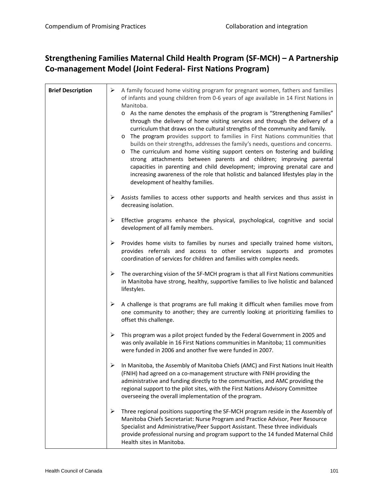#### **Strengthening Families Maternal Child Health Program (SF‐MCH) – A Partnership Co‐management Model (Joint Federal‐ First Nations Program)**

| <b>Brief Description</b> | A family focused home visiting program for pregnant women, fathers and families<br>➤<br>of infants and young children from 0-6 years of age available in 14 First Nations in<br>Manitoba.                                                                                                                                                                                                                                                                                                                                                                                                                                                                                                                                                                                                          |
|--------------------------|----------------------------------------------------------------------------------------------------------------------------------------------------------------------------------------------------------------------------------------------------------------------------------------------------------------------------------------------------------------------------------------------------------------------------------------------------------------------------------------------------------------------------------------------------------------------------------------------------------------------------------------------------------------------------------------------------------------------------------------------------------------------------------------------------|
|                          | o As the name denotes the emphasis of the program is "Strengthening Families"<br>through the delivery of home visiting services and through the delivery of a<br>curriculum that draws on the cultural strengths of the community and family.<br>The program provides support to families in First Nations communities that<br>$\circ$<br>builds on their strengths, addresses the family's needs, questions and concerns.<br>The curriculum and home visiting support centers on fostering and building<br>$\circ$<br>strong attachments between parents and children; improving parental<br>capacities in parenting and child development; improving prenatal care and<br>increasing awareness of the role that holistic and balanced lifestyles play in the<br>development of healthy families. |
|                          | ➤<br>Assists families to access other supports and health services and thus assist in<br>decreasing isolation.                                                                                                                                                                                                                                                                                                                                                                                                                                                                                                                                                                                                                                                                                     |
|                          | ➤<br>Effective programs enhance the physical, psychological, cognitive and social<br>development of all family members.                                                                                                                                                                                                                                                                                                                                                                                                                                                                                                                                                                                                                                                                            |
|                          | Provides home visits to families by nurses and specially trained home visitors,<br>➤<br>provides referrals and access to other services supports and promotes<br>coordination of services for children and families with complex needs.                                                                                                                                                                                                                                                                                                                                                                                                                                                                                                                                                            |
|                          | The overarching vision of the SF-MCH program is that all First Nations communities<br>➤<br>in Manitoba have strong, healthy, supportive families to live holistic and balanced<br>lifestyles.                                                                                                                                                                                                                                                                                                                                                                                                                                                                                                                                                                                                      |
|                          | A challenge is that programs are full making it difficult when families move from<br>➤<br>one community to another; they are currently looking at prioritizing families to<br>offset this challenge.                                                                                                                                                                                                                                                                                                                                                                                                                                                                                                                                                                                               |
|                          | ➤<br>This program was a pilot project funded by the Federal Government in 2005 and<br>was only available in 16 First Nations communities in Manitoba; 11 communities<br>were funded in 2006 and another five were funded in 2007.                                                                                                                                                                                                                                                                                                                                                                                                                                                                                                                                                                  |
|                          | In Manitoba, the Assembly of Manitoba Chiefs (AMC) and First Nations Inuit Health<br>(FNIH) had agreed on a co-management structure with FNIH providing the<br>administrative and funding directly to the communities, and AMC providing the<br>regional support to the pilot sites, with the First Nations Advisory Committee<br>overseeing the overall implementation of the program.                                                                                                                                                                                                                                                                                                                                                                                                            |
|                          | ➤<br>Three regional positions supporting the SF-MCH program reside in the Assembly of<br>Manitoba Chiefs Secretariat: Nurse Program and Practice Advisor, Peer Resource<br>Specialist and Administrative/Peer Support Assistant. These three individuals<br>provide professional nursing and program support to the 14 funded Maternal Child<br>Health sites in Manitoba.                                                                                                                                                                                                                                                                                                                                                                                                                          |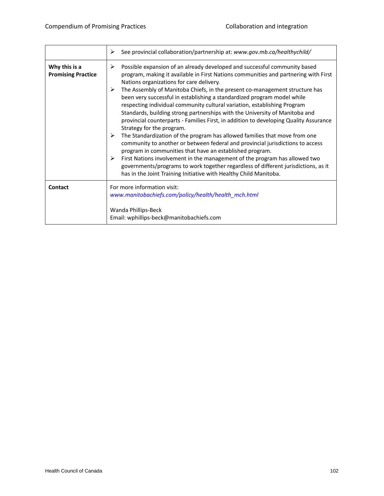|                                            | See provincial collaboration/partnership at: www.gov.mb.ca/healthychild/<br>≻                                                                                                                                                                                                                                                                                                                                                                                                                                                                                                                                                                                                                                                                                                                                                                                                                                                                                                                                                                                                                                                                    |
|--------------------------------------------|--------------------------------------------------------------------------------------------------------------------------------------------------------------------------------------------------------------------------------------------------------------------------------------------------------------------------------------------------------------------------------------------------------------------------------------------------------------------------------------------------------------------------------------------------------------------------------------------------------------------------------------------------------------------------------------------------------------------------------------------------------------------------------------------------------------------------------------------------------------------------------------------------------------------------------------------------------------------------------------------------------------------------------------------------------------------------------------------------------------------------------------------------|
| Why this is a<br><b>Promising Practice</b> | Possible expansion of an already developed and successful community based<br>➤<br>program, making it available in First Nations communities and partnering with First<br>Nations organizations for care delivery.<br>The Assembly of Manitoba Chiefs, in the present co-management structure has<br>⋗<br>been very successful in establishing a standardized program model while<br>respecting individual community cultural variation, establishing Program<br>Standards, building strong partnerships with the University of Manitoba and<br>provincial counterparts - Families First, in addition to developing Quality Assurance<br>Strategy for the program.<br>The Standardization of the program has allowed families that move from one<br>➤<br>community to another or between federal and provincial jurisdictions to access<br>program in communities that have an established program.<br>First Nations involvement in the management of the program has allowed two<br>➤<br>governments/programs to work together regardless of different jurisdictions, as it<br>has in the Joint Training Initiative with Healthy Child Manitoba. |
| Contact                                    | For more information visit:<br>www.manitobachiefs.com/policy/health/health_mch.html<br>Wanda Phillips-Beck<br>Email: wphillips-beck@manitobachiefs.com                                                                                                                                                                                                                                                                                                                                                                                                                                                                                                                                                                                                                                                                                                                                                                                                                                                                                                                                                                                           |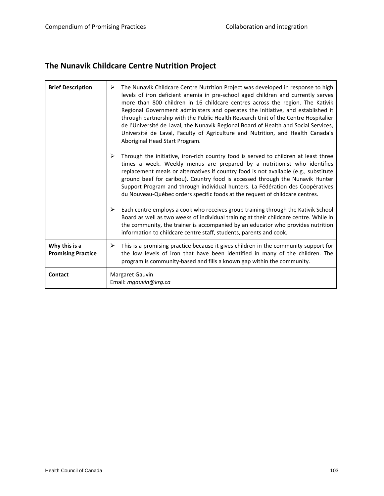# **The Nunavik Childcare Centre Nutrition Project**

| <b>Brief Description</b>                   | The Nunavik Childcare Centre Nutrition Project was developed in response to high<br>➤<br>levels of iron deficient anemia in pre-school aged children and currently serves<br>more than 800 children in 16 childcare centres across the region. The Kativik<br>Regional Government administers and operates the initiative, and established it<br>through partnership with the Public Health Research Unit of the Centre Hospitalier<br>de l'Université de Laval, the Nunavik Regional Board of Health and Social Services,<br>Université de Laval, Faculty of Agriculture and Nutrition, and Health Canada's<br>Aboriginal Head Start Program. |
|--------------------------------------------|------------------------------------------------------------------------------------------------------------------------------------------------------------------------------------------------------------------------------------------------------------------------------------------------------------------------------------------------------------------------------------------------------------------------------------------------------------------------------------------------------------------------------------------------------------------------------------------------------------------------------------------------|
|                                            | ⋗<br>Through the initiative, iron-rich country food is served to children at least three<br>times a week. Weekly menus are prepared by a nutritionist who identifies<br>replacement meals or alternatives if country food is not available (e.g., substitute<br>ground beef for caribou). Country food is accessed through the Nunavik Hunter<br>Support Program and through individual hunters. La Fédération des Coopératives<br>du Nouveau-Québec orders specific foods at the request of childcare centres.                                                                                                                                |
|                                            | Each centre employs a cook who receives group training through the Kativik School<br>➤<br>Board as well as two weeks of individual training at their childcare centre. While in<br>the community, the trainer is accompanied by an educator who provides nutrition<br>information to childcare centre staff, students, parents and cook.                                                                                                                                                                                                                                                                                                       |
| Why this is a<br><b>Promising Practice</b> | This is a promising practice because it gives children in the community support for<br>≻<br>the low levels of iron that have been identified in many of the children. The<br>program is community-based and fills a known gap within the community.                                                                                                                                                                                                                                                                                                                                                                                            |
| Contact                                    | Margaret Gauvin<br>Email: mgauvin@krg.ca                                                                                                                                                                                                                                                                                                                                                                                                                                                                                                                                                                                                       |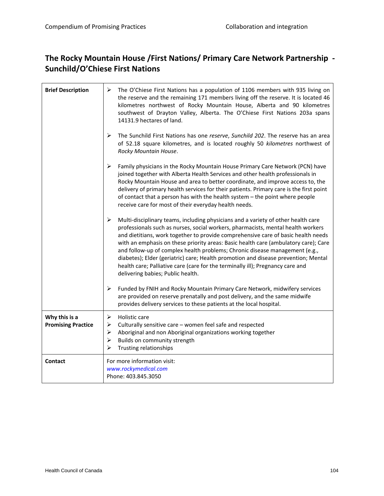#### **The Rocky Mountain House /First Nations/ Primary Care Network Partnership ‐ Sunchild/O'Chiese First Nations**

| <b>Brief Description</b>                   | ➤<br>The O'Chiese First Nations has a population of 1106 members with 935 living on<br>the reserve and the remaining 171 members living off the reserve. It is located 46<br>kilometres northwest of Rocky Mountain House, Alberta and 90 kilometres<br>southwest of Drayton Valley, Alberta. The O'Chiese First Nations 203a spans<br>14131.9 hectares of land.                                                                                                                                                                                                                                                                                   |
|--------------------------------------------|----------------------------------------------------------------------------------------------------------------------------------------------------------------------------------------------------------------------------------------------------------------------------------------------------------------------------------------------------------------------------------------------------------------------------------------------------------------------------------------------------------------------------------------------------------------------------------------------------------------------------------------------------|
|                                            | ≻<br>The Sunchild First Nations has one reserve, Sunchild 202. The reserve has an area<br>of 52.18 square kilometres, and is located roughly 50 kilometres northwest of<br>Rocky Mountain House.                                                                                                                                                                                                                                                                                                                                                                                                                                                   |
|                                            | ➤<br>Family physicians in the Rocky Mountain House Primary Care Network (PCN) have<br>joined together with Alberta Health Services and other health professionals in<br>Rocky Mountain House and area to better coordinate, and improve access to, the<br>delivery of primary health services for their patients. Primary care is the first point<br>of contact that a person has with the health system - the point where people<br>receive care for most of their everyday health needs.                                                                                                                                                         |
|                                            | ➤<br>Multi-disciplinary teams, including physicians and a variety of other health care<br>professionals such as nurses, social workers, pharmacists, mental health workers<br>and dietitians, work together to provide comprehensive care of basic health needs<br>with an emphasis on these priority areas: Basic health care (ambulatory care); Care<br>and follow-up of complex health problems; Chronic disease management (e.g.,<br>diabetes); Elder (geriatric) care; Health promotion and disease prevention; Mental<br>health care; Palliative care (care for the terminally ill); Pregnancy care and<br>delivering babies; Public health. |
|                                            | ➤<br>Funded by FNIH and Rocky Mountain Primary Care Network, midwifery services<br>are provided on reserve prenatally and post delivery, and the same midwife<br>provides delivery services to these patients at the local hospital.                                                                                                                                                                                                                                                                                                                                                                                                               |
| Why this is a<br><b>Promising Practice</b> | ➤<br>Holistic care<br>➤<br>Culturally sensitive care - women feel safe and respected<br>$\blacktriangleright$<br>Aboriginal and non Aboriginal organizations working together<br>Builds on community strength<br>➤<br>Trusting relationships<br>➤                                                                                                                                                                                                                                                                                                                                                                                                  |
| <b>Contact</b>                             | For more information visit:<br>www.rockymedical.com<br>Phone: 403.845.3050                                                                                                                                                                                                                                                                                                                                                                                                                                                                                                                                                                         |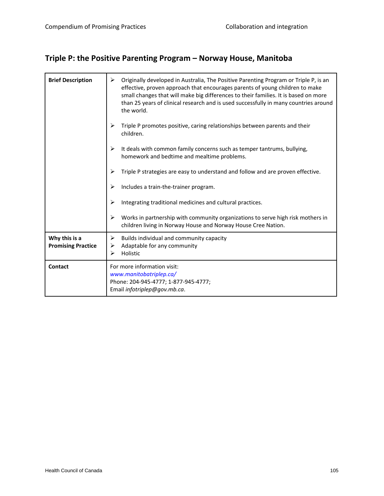### **Triple P: the Positive Parenting Program – Norway House, Manitoba**

| <b>Brief Description</b>                   | Originally developed in Australia, The Positive Parenting Program or Triple P, is an<br>➤<br>effective, proven approach that encourages parents of young children to make<br>small changes that will make big differences to their families. It is based on more<br>than 25 years of clinical research and is used successfully in many countries around<br>the world. |
|--------------------------------------------|------------------------------------------------------------------------------------------------------------------------------------------------------------------------------------------------------------------------------------------------------------------------------------------------------------------------------------------------------------------------|
|                                            | Triple P promotes positive, caring relationships between parents and their<br>children.                                                                                                                                                                                                                                                                                |
|                                            | It deals with common family concerns such as temper tantrums, bullying,<br>≻<br>homework and bedtime and mealtime problems.                                                                                                                                                                                                                                            |
|                                            | Triple P strategies are easy to understand and follow and are proven effective.<br>⋗                                                                                                                                                                                                                                                                                   |
|                                            | Includes a train-the-trainer program.<br>⋗                                                                                                                                                                                                                                                                                                                             |
|                                            | Integrating traditional medicines and cultural practices.<br>⋗                                                                                                                                                                                                                                                                                                         |
|                                            | Works in partnership with community organizations to serve high risk mothers in<br>➤<br>children living in Norway House and Norway House Cree Nation.                                                                                                                                                                                                                  |
| Why this is a<br><b>Promising Practice</b> | Builds individual and community capacity<br>➤<br>Adaptable for any community<br>➤<br>Holistic<br>⋗                                                                                                                                                                                                                                                                     |
| <b>Contact</b>                             | For more information visit:<br>www.manitobatriplep.ca/<br>Phone: 204-945-4777; 1-877-945-4777;<br>Email infotriplep@gov.mb.ca.                                                                                                                                                                                                                                         |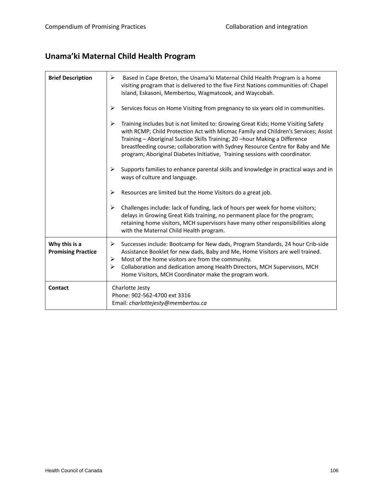# **Unama'ki Maternal Child Health Program**

| <b>Brief Description</b>                   | ➤<br>Based in Cape Breton, the Unama'ki Maternal Child Health Program is a home<br>visiting program that is delivered to the five First Nations communities of: Chapel<br>Island, Eskasoni, Membertou, Wagmatcook, and Waycobah.                                                                                                                                                                                               |
|--------------------------------------------|--------------------------------------------------------------------------------------------------------------------------------------------------------------------------------------------------------------------------------------------------------------------------------------------------------------------------------------------------------------------------------------------------------------------------------|
|                                            | Services focus on Home Visiting from pregnancy to six years old in communities.<br>≻                                                                                                                                                                                                                                                                                                                                           |
|                                            | Training includes but is not limited to: Growing Great Kids; Home Visiting Safety<br>➤<br>with RCMP; Child Protection Act with Micmac Family and Children's Services; Assist<br>Training - Aboriginal Suicide Skills Training; 20 -hour Making a Difference<br>breastfeeding course; collaboration with Sydney Resource Centre for Baby and Me<br>program; Aboriginal Diabetes Initiative, Training sessions with coordinator. |
|                                            | Supports families to enhance parental skills and knowledge in practical ways and in<br>ways of culture and language.                                                                                                                                                                                                                                                                                                           |
|                                            | Resources are limited but the Home Visitors do a great job.<br>➤                                                                                                                                                                                                                                                                                                                                                               |
|                                            | ➤<br>Challenges include: lack of funding, lack of hours per week for home visitors;<br>delays in Growing Great Kids training, no permanent place for the program;<br>retaining home visitors, MCH supervisors have many other responsibilities along<br>with the Maternal Child Health program.                                                                                                                                |
| Why this is a<br><b>Promising Practice</b> | Successes include: Bootcamp for New dads, Program Standards, 24 hour Crib-side<br>➤<br>Assistance Booklet for new dads, Baby and Me, Home Visitors are well trained.<br>Most of the home visitors are from the community.<br>➤<br>Collaboration and dedication among Health Directors, MCH Supervisors, MCH<br>≻<br>Home Visitors, MCH Coordinator make the program work.                                                      |
| <b>Contact</b>                             | Charlotte Jesty<br>Phone: 902-562-4700 ext 3316<br>Email: charlottejesty@membertou.ca                                                                                                                                                                                                                                                                                                                                          |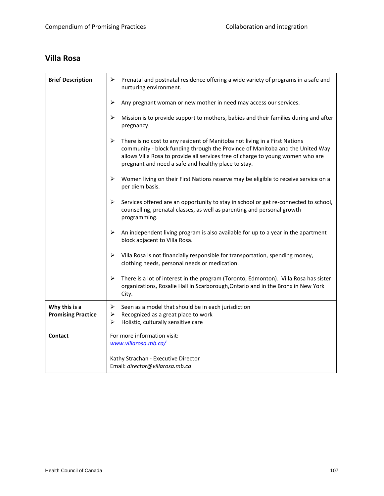#### **Villa Rosa**

| <b>Brief Description</b>                   | Prenatal and postnatal residence offering a wide variety of programs in a safe and<br>≻<br>nurturing environment.                                                                                                                                                                                          |
|--------------------------------------------|------------------------------------------------------------------------------------------------------------------------------------------------------------------------------------------------------------------------------------------------------------------------------------------------------------|
|                                            | ➤<br>Any pregnant woman or new mother in need may access our services.                                                                                                                                                                                                                                     |
|                                            | ➤<br>Mission is to provide support to mothers, babies and their families during and after<br>pregnancy.                                                                                                                                                                                                    |
|                                            | ➤<br>There is no cost to any resident of Manitoba not living in a First Nations<br>community - block funding through the Province of Manitoba and the United Way<br>allows Villa Rosa to provide all services free of charge to young women who are<br>pregnant and need a safe and healthy place to stay. |
|                                            | Women living on their First Nations reserve may be eligible to receive service on a<br>➤<br>per diem basis.                                                                                                                                                                                                |
|                                            | Services offered are an opportunity to stay in school or get re-connected to school,<br>➤<br>counselling, prenatal classes, as well as parenting and personal growth<br>programming.                                                                                                                       |
|                                            | ➤<br>An independent living program is also available for up to a year in the apartment<br>block adjacent to Villa Rosa.                                                                                                                                                                                    |
|                                            | Villa Rosa is not financially responsible for transportation, spending money,<br>➤<br>clothing needs, personal needs or medication.                                                                                                                                                                        |
|                                            | ➤<br>There is a lot of interest in the program (Toronto, Edmonton). Villa Rosa has sister<br>organizations, Rosalie Hall in Scarborough, Ontario and in the Bronx in New York<br>City.                                                                                                                     |
| Why this is a<br><b>Promising Practice</b> | ➤<br>Seen as a model that should be in each jurisdiction<br>Recognized as a great place to work<br>➤<br>Holistic, culturally sensitive care<br>➤                                                                                                                                                           |
| Contact                                    | For more information visit:<br>www.villarosa.mb.ca/                                                                                                                                                                                                                                                        |
|                                            | Kathy Strachan - Executive Director<br>Email: director@villarosa.mb.ca                                                                                                                                                                                                                                     |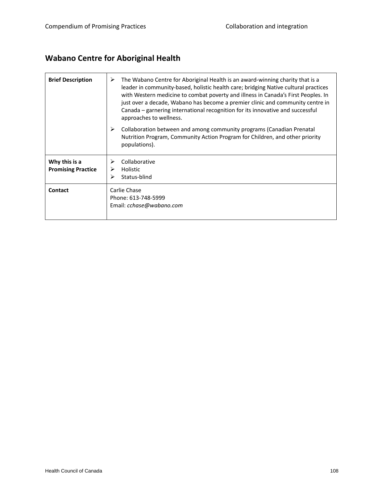# **Wabano Centre for Aboriginal Health**

| <b>Brief Description</b>                   | ⋗<br>The Wabano Centre for Aboriginal Health is an award-winning charity that is a<br>leader in community-based, holistic health care; bridging Native cultural practices<br>with Western medicine to combat poverty and illness in Canada's First Peoples. In<br>just over a decade, Wabano has become a premier clinic and community centre in<br>Canada – garnering international recognition for its innovative and successful<br>approaches to wellness. |
|--------------------------------------------|---------------------------------------------------------------------------------------------------------------------------------------------------------------------------------------------------------------------------------------------------------------------------------------------------------------------------------------------------------------------------------------------------------------------------------------------------------------|
|                                            | ➤<br>Collaboration between and among community programs (Canadian Prenatal<br>Nutrition Program, Community Action Program for Children, and other priority<br>populations).                                                                                                                                                                                                                                                                                   |
| Why this is a<br><b>Promising Practice</b> | Collaborative<br>Holistic<br>Status-blind                                                                                                                                                                                                                                                                                                                                                                                                                     |
| Contact                                    | Carlie Chase<br>Phone: 613-748-5999<br>Email: cchase@wabano.com                                                                                                                                                                                                                                                                                                                                                                                               |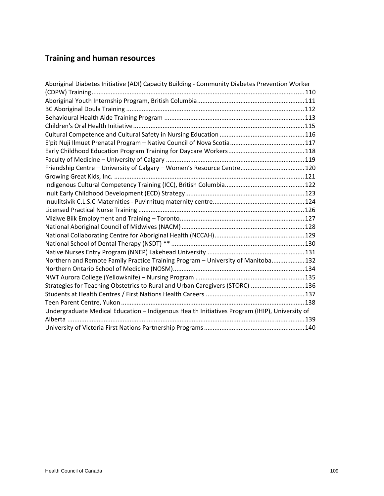# **Training and human resources**

| Aboriginal Diabetes Initiative (ADI) Capacity Building - Community Diabetes Prevention Worker |  |
|-----------------------------------------------------------------------------------------------|--|
|                                                                                               |  |
|                                                                                               |  |
|                                                                                               |  |
|                                                                                               |  |
|                                                                                               |  |
|                                                                                               |  |
|                                                                                               |  |
|                                                                                               |  |
|                                                                                               |  |
|                                                                                               |  |
|                                                                                               |  |
|                                                                                               |  |
|                                                                                               |  |
|                                                                                               |  |
|                                                                                               |  |
|                                                                                               |  |
|                                                                                               |  |
|                                                                                               |  |
|                                                                                               |  |
|                                                                                               |  |
| Northern and Remote Family Practice Training Program - University of Manitoba 132             |  |
|                                                                                               |  |
|                                                                                               |  |
| Strategies for Teaching Obstetrics to Rural and Urban Caregivers (STORC)  136                 |  |
|                                                                                               |  |
|                                                                                               |  |
| Undergraduate Medical Education - Indigenous Health Initiatives Program (IHIP), University of |  |
|                                                                                               |  |
|                                                                                               |  |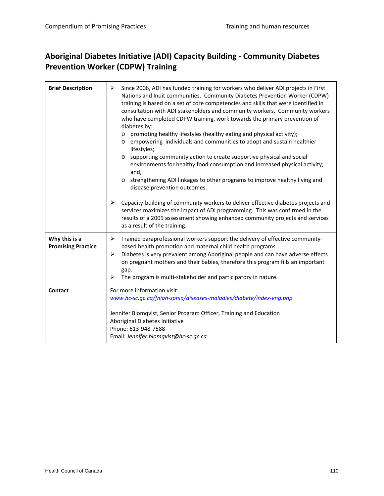#### **Aboriginal Diabetes Initiative (ADI) Capacity Building ‐ Community Diabetes Prevention Worker (CDPW) Training**

| <b>Brief Description</b>                   | Since 2006, ADI has funded training for workers who deliver ADI projects in First<br>➤<br>Nations and Inuit communities. Community Diabetes Prevention Worker (CDPW)<br>training is based on a set of core competencies and skills that were identified in<br>consultation with ADI stakeholders and community workers. Community workers<br>who have completed CDPW training, work towards the primary prevention of<br>diabetes by:<br>promoting healthy lifestyles (healthy eating and physical activity);<br>$\circ$<br>empowering individuals and communities to adopt and sustain healthier<br>$\circ$<br>lifestyles;<br>supporting community action to create supportive physical and social<br>$\circ$<br>environments for healthy food consumption and increased physical activity;<br>and,<br>strengthening ADI linkages to other programs to improve healthy living and<br>$\circ$<br>disease prevention outcomes. |
|--------------------------------------------|-------------------------------------------------------------------------------------------------------------------------------------------------------------------------------------------------------------------------------------------------------------------------------------------------------------------------------------------------------------------------------------------------------------------------------------------------------------------------------------------------------------------------------------------------------------------------------------------------------------------------------------------------------------------------------------------------------------------------------------------------------------------------------------------------------------------------------------------------------------------------------------------------------------------------------|
|                                            | ➤<br>Capacity-building of community workers to deliver effective diabetes projects and<br>services maximizes the impact of ADI programming. This was confirmed in the<br>results of a 2009 assessment showing enhanced community projects and services<br>as a result of the training.                                                                                                                                                                                                                                                                                                                                                                                                                                                                                                                                                                                                                                        |
| Why this is a<br><b>Promising Practice</b> | ➤<br>Trained paraprofessional workers support the delivery of effective community-<br>based health promotion and maternal child health programs.<br>Diabetes is very prevalent among Aboriginal people and can have adverse effects<br>➤<br>on pregnant mothers and their babies, therefore this program fills an important<br>gap.<br>➤<br>The program is multi-stakeholder and participatory in nature.                                                                                                                                                                                                                                                                                                                                                                                                                                                                                                                     |
| Contact                                    | For more information visit:<br>www.hc-sc.gc.ca/fniah-spnia/diseases-maladies/diabete/index-eng.php<br>Jennifer Blomqvist, Senior Program Officer, Training and Education<br>Aboriginal Diabetes Initiative<br>Phone: 613-948-7588<br>Email: Jennifer.blomqvist@hc-sc.gc.ca                                                                                                                                                                                                                                                                                                                                                                                                                                                                                                                                                                                                                                                    |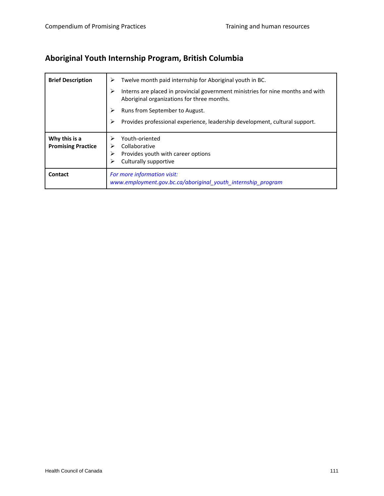# **Aboriginal Youth Internship Program, British Columbia**

| <b>Brief Description</b>                   | Twelve month paid internship for Aboriginal youth in BC.<br>⋗                                                                      |
|--------------------------------------------|------------------------------------------------------------------------------------------------------------------------------------|
|                                            | ≻<br>Interns are placed in provincial government ministries for nine months and with<br>Aboriginal organizations for three months. |
|                                            | Runs from September to August.<br>➤                                                                                                |
|                                            | Provides professional experience, leadership development, cultural support.                                                        |
| Why this is a<br><b>Promising Practice</b> | Youth-oriented<br>➢<br>Collaborative<br>Provides youth with career options<br>≻<br>Culturally supportive<br>➤                      |
| <b>Contact</b>                             | For more information visit:<br>www.employment.gov.bc.ca/aboriginal youth internship program                                        |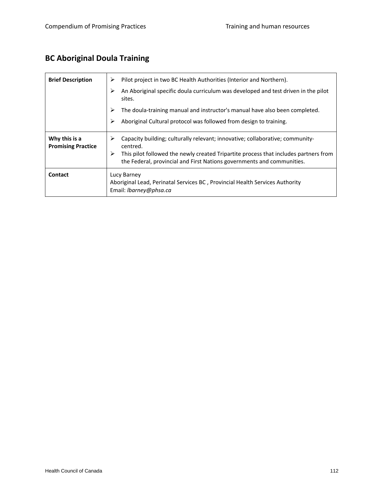# **BC Aboriginal Doula Training**

| <b>Brief Description</b>                   | Pilot project in two BC Health Authorities (Interior and Northern).<br>⋗                                                                                            |
|--------------------------------------------|---------------------------------------------------------------------------------------------------------------------------------------------------------------------|
|                                            | An Aboriginal specific doula curriculum was developed and test driven in the pilot<br>➢<br>sites.                                                                   |
|                                            | The doula-training manual and instructor's manual have also been completed.<br>➤                                                                                    |
|                                            | Aboriginal Cultural protocol was followed from design to training.<br>⋗                                                                                             |
| Why this is a<br><b>Promising Practice</b> | Capacity building; culturally relevant; innovative; collaborative; community-<br>⋗<br>centred.                                                                      |
|                                            | ➤<br>This pilot followed the newly created Tripartite process that includes partners from<br>the Federal, provincial and First Nations governments and communities. |
| Contact                                    | Lucy Barney<br>Aboriginal Lead, Perinatal Services BC, Provincial Health Services Authority<br>Email: <i>Ibarney@phsa.ca</i>                                        |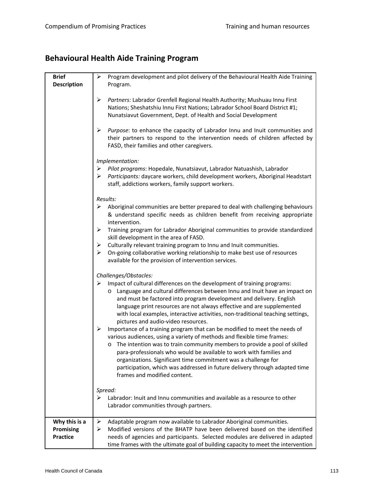# **Behavioural Health Aide Training Program**

| <b>Brief</b><br><b>Description</b>            | ≻<br>Program development and pilot delivery of the Behavioural Health Aide Training<br>Program.                                                                                                                                                                                                                                                                                                                                                                                                  |
|-----------------------------------------------|--------------------------------------------------------------------------------------------------------------------------------------------------------------------------------------------------------------------------------------------------------------------------------------------------------------------------------------------------------------------------------------------------------------------------------------------------------------------------------------------------|
|                                               | ➤<br>Partners: Labrador Grenfell Regional Health Authority; Mushuau Innu First<br>Nations; Sheshatshiu Innu First Nations; Labrador School Board District #1;<br>Nunatsiavut Government, Dept. of Health and Social Development                                                                                                                                                                                                                                                                  |
|                                               | ➤<br>Purpose: to enhance the capacity of Labrador Innu and Inuit communities and<br>their partners to respond to the intervention needs of children affected by<br>FASD, their families and other caregivers.                                                                                                                                                                                                                                                                                    |
|                                               | Implementation:<br>> Pilot programs: Hopedale, Nunatsiavut, Labrador Natuashish, Labrador<br>Participants: daycare workers, child development workers, Aboriginal Headstart<br>➤<br>staff, addictions workers, family support workers.                                                                                                                                                                                                                                                           |
|                                               | Results:<br>$\triangleright$ Aboriginal communities are better prepared to deal with challenging behaviours<br>& understand specific needs as children benefit from receiving appropriate                                                                                                                                                                                                                                                                                                        |
|                                               | intervention.<br>➤<br>Training program for Labrador Aboriginal communities to provide standardized<br>skill development in the area of FASD.<br>Culturally relevant training program to Innu and Inuit communities.<br>➤<br>On-going collaborative working relationship to make best use of resources<br>➤<br>available for the provision of intervention services.                                                                                                                              |
|                                               | Challenges/Obstacles:<br>Impact of cultural differences on the development of training programs:<br>➤<br>o Language and cultural differences between Innu and Inuit have an impact on<br>and must be factored into program development and delivery. English<br>language print resources are not always effective and are supplemented<br>with local examples, interactive activities, non-traditional teaching settings,<br>pictures and audio-video resources.                                 |
|                                               | Importance of a training program that can be modified to meet the needs of<br>➤<br>various audiences, using a variety of methods and flexible time frames:<br>o The intention was to train community members to provide a pool of skilled<br>para-professionals who would be available to work with families and<br>organizations. Significant time commitment was a challenge for<br>participation, which was addressed in future delivery through adapted time<br>frames and modified content. |
|                                               | Spread:<br>Labrador: Inuit and Innu communities and available as a resource to other<br>➤<br>Labrador communities through partners.                                                                                                                                                                                                                                                                                                                                                              |
| Why this is a<br>Promising<br><b>Practice</b> | Adaptable program now available to Labrador Aboriginal communities.<br>➤<br>Modified versions of the BHATP have been delivered based on the identified<br>➤<br>needs of agencies and participants. Selected modules are delivered in adapted<br>time frames with the ultimate goal of building capacity to meet the intervention                                                                                                                                                                 |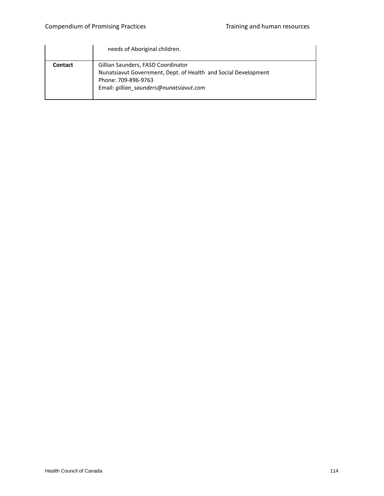|         | needs of Aboriginal children.                                                                                                                                          |
|---------|------------------------------------------------------------------------------------------------------------------------------------------------------------------------|
| Contact | Gillian Saunders, FASD Coordinator<br>Nunatsiavut Government, Dept. of Health and Social Development<br>Phone: 709-896-9763<br>Email: gillian saunders@nunatsiavut.com |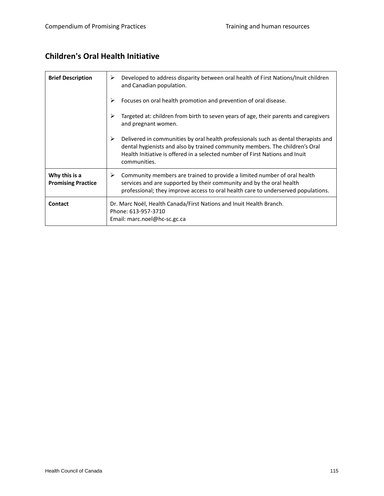#### **Children's Oral Health Initiative**

| <b>Brief Description</b>                   | Developed to address disparity between oral health of First Nations/Inuit children<br>➤<br>and Canadian population.                                                                                                                                                      |
|--------------------------------------------|--------------------------------------------------------------------------------------------------------------------------------------------------------------------------------------------------------------------------------------------------------------------------|
|                                            | Focuses on oral health promotion and prevention of oral disease.<br>≻                                                                                                                                                                                                    |
|                                            | Targeted at: children from birth to seven years of age, their parents and caregivers<br>≻<br>and pregnant women.                                                                                                                                                         |
|                                            | ≻<br>Delivered in communities by oral health professionals such as dental therapists and<br>dental hygienists and also by trained community members. The children's Oral<br>Health Initiative is offered in a selected number of First Nations and Inuit<br>communities. |
| Why this is a<br><b>Promising Practice</b> | Community members are trained to provide a limited number of oral health<br>➤<br>services and are supported by their community and by the oral health<br>professional; they improve access to oral health care to underserved populations.                               |
| <b>Contact</b>                             | Dr. Marc Noël, Health Canada/First Nations and Inuit Health Branch.<br>Phone: 613-957-3710<br>Email: marc.noel@hc-sc.gc.ca                                                                                                                                               |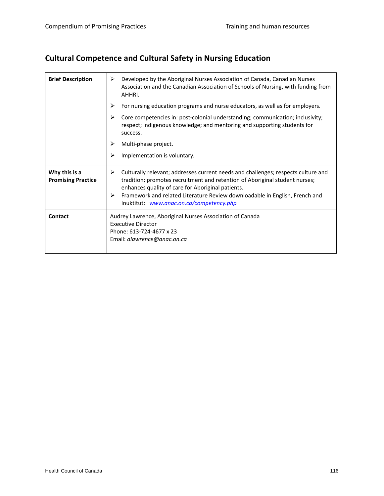# **Cultural Competence and Cultural Safety in Nursing Education**

| <b>Brief Description</b>                   | Developed by the Aboriginal Nurses Association of Canada, Canadian Nurses<br>➤<br>Association and the Canadian Association of Schools of Nursing, with funding from<br>AHHRI.                                                                                                                                                                              |
|--------------------------------------------|------------------------------------------------------------------------------------------------------------------------------------------------------------------------------------------------------------------------------------------------------------------------------------------------------------------------------------------------------------|
|                                            | For nursing education programs and nurse educators, as well as for employers.<br>⋗                                                                                                                                                                                                                                                                         |
|                                            | Core competencies in: post-colonial understanding; communication; inclusivity;<br>⋗<br>respect; indigenous knowledge; and mentoring and supporting students for<br>success.                                                                                                                                                                                |
|                                            | ⋗<br>Multi-phase project.                                                                                                                                                                                                                                                                                                                                  |
|                                            | ⋗<br>Implementation is voluntary.                                                                                                                                                                                                                                                                                                                          |
| Why this is a<br><b>Promising Practice</b> | Culturally relevant; addresses current needs and challenges; respects culture and<br>➤<br>tradition; promotes recruitment and retention of Aboriginal student nurses;<br>enhances quality of care for Aboriginal patients.<br>➤<br>Framework and related Literature Review downloadable in English, French and<br>Inuktitut: www.anac.on.ca/competency.php |
| Contact                                    | Audrey Lawrence, Aboriginal Nurses Association of Canada<br><b>Executive Director</b><br>Phone: 613-724-4677 x 23<br>Email: alawrence@anac.on.ca                                                                                                                                                                                                           |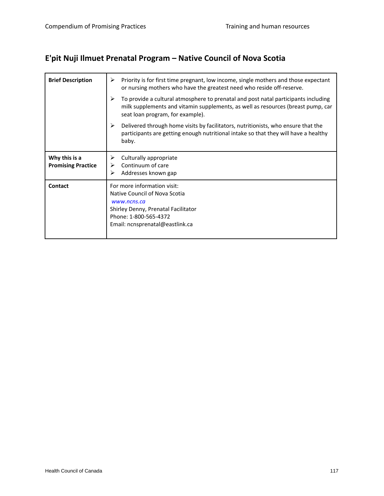# **E'pit Nuji Ilmuet Prenatal Program – Native Council of Nova Scotia**

| <b>Brief Description</b>                   | Priority is for first time pregnant, low income, single mothers and those expectant<br>≻<br>or nursing mothers who have the greatest need who reside off-reserve.                                               |
|--------------------------------------------|-----------------------------------------------------------------------------------------------------------------------------------------------------------------------------------------------------------------|
|                                            | ⋗<br>To provide a cultural atmosphere to prenatal and post natal participants including<br>milk supplements and vitamin supplements, as well as resources (breast pump, car<br>seat loan program, for example). |
|                                            | ≻<br>Delivered through home visits by facilitators, nutritionists, who ensure that the<br>participants are getting enough nutritional intake so that they will have a healthy<br>baby.                          |
| Why this is a<br><b>Promising Practice</b> | Culturally appropriate<br>⋗<br>Continuum of care<br>Addresses known gap                                                                                                                                         |
| Contact                                    | For more information visit:<br>Native Council of Nova Scotia<br>www.ncns.ca<br>Shirley Denny, Prenatal Facilitator<br>Phone: 1-800-565-4372<br>Email: ncnsprenatal@eastlink.ca                                  |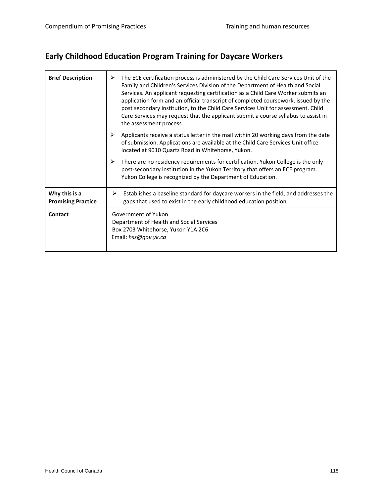# **Early Childhood Education Program Training for Daycare Workers**

| <b>Brief Description</b>                   | The ECE certification process is administered by the Child Care Services Unit of the<br>⋗<br>Family and Children's Services Division of the Department of Health and Social<br>Services. An applicant requesting certification as a Child Care Worker submits an<br>application form and an official transcript of completed coursework, issued by the<br>post secondary institution, to the Child Care Services Unit for assessment. Child<br>Care Services may request that the applicant submit a course syllabus to assist in<br>the assessment process. |
|--------------------------------------------|--------------------------------------------------------------------------------------------------------------------------------------------------------------------------------------------------------------------------------------------------------------------------------------------------------------------------------------------------------------------------------------------------------------------------------------------------------------------------------------------------------------------------------------------------------------|
|                                            | ➤<br>Applicants receive a status letter in the mail within 20 working days from the date<br>of submission. Applications are available at the Child Care Services Unit office<br>located at 9010 Quartz Road in Whitehorse, Yukon.                                                                                                                                                                                                                                                                                                                            |
|                                            | ➤<br>There are no residency requirements for certification. Yukon College is the only<br>post-secondary institution in the Yukon Territory that offers an ECE program.<br>Yukon College is recognized by the Department of Education.                                                                                                                                                                                                                                                                                                                        |
| Why this is a<br><b>Promising Practice</b> | Establishes a baseline standard for daycare workers in the field, and addresses the<br>➤<br>gaps that used to exist in the early childhood education position.                                                                                                                                                                                                                                                                                                                                                                                               |
| Contact                                    | Government of Yukon<br>Department of Health and Social Services<br>Box 2703 Whitehorse, Yukon Y1A 2C6<br>Email: hss@gov.yk.ca                                                                                                                                                                                                                                                                                                                                                                                                                                |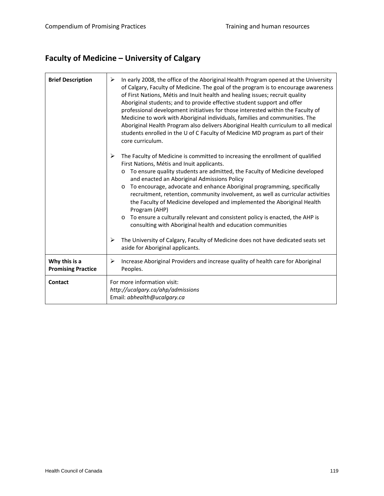# **Faculty of Medicine – University of Calgary**

| <b>Brief Description</b>                   | In early 2008, the office of the Aboriginal Health Program opened at the University<br>➤<br>of Calgary, Faculty of Medicine. The goal of the program is to encourage awareness<br>of First Nations, Métis and Inuit health and healing issues; recruit quality<br>Aboriginal students; and to provide effective student support and offer<br>professional development initiatives for those interested within the Faculty of<br>Medicine to work with Aboriginal individuals, families and communities. The<br>Aboriginal Health Program also delivers Aboriginal Health curriculum to all medical<br>students enrolled in the U of C Faculty of Medicine MD program as part of their<br>core curriculum. |
|--------------------------------------------|-----------------------------------------------------------------------------------------------------------------------------------------------------------------------------------------------------------------------------------------------------------------------------------------------------------------------------------------------------------------------------------------------------------------------------------------------------------------------------------------------------------------------------------------------------------------------------------------------------------------------------------------------------------------------------------------------------------|
|                                            | ➤<br>The Faculty of Medicine is committed to increasing the enrollment of qualified<br>First Nations, Métis and Inuit applicants.<br>To ensure quality students are admitted, the Faculty of Medicine developed<br>and enacted an Aboriginal Admissions Policy<br>To encourage, advocate and enhance Aboriginal programming, specifically<br>recruitment, retention, community involvement, as well as curricular activities<br>the Faculty of Medicine developed and implemented the Aboriginal Health<br>Program (AHP)<br>To ensure a culturally relevant and consistent policy is enacted, the AHP is<br>consulting with Aboriginal health and education communities                                   |
|                                            | The University of Calgary, Faculty of Medicine does not have dedicated seats set<br>➤<br>aside for Aboriginal applicants.                                                                                                                                                                                                                                                                                                                                                                                                                                                                                                                                                                                 |
| Why this is a<br><b>Promising Practice</b> | Increase Aboriginal Providers and increase quality of health care for Aboriginal<br>➤<br>Peoples.                                                                                                                                                                                                                                                                                                                                                                                                                                                                                                                                                                                                         |
| Contact                                    | For more information visit:<br>http://ucalgary.ca/ahp/admissions<br>Email: abhealth@ucalgary.ca                                                                                                                                                                                                                                                                                                                                                                                                                                                                                                                                                                                                           |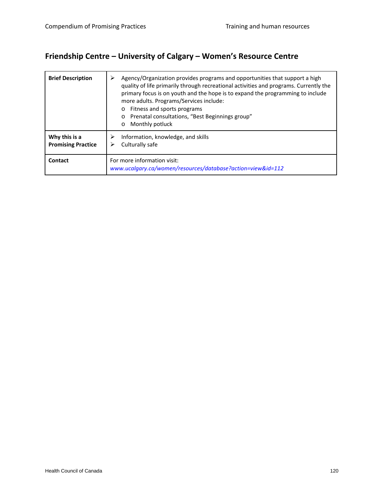# **Friendship Centre – University of Calgary – Women's Resource Centre**

| <b>Brief Description</b>                   | Agency/Organization provides programs and opportunities that support a high<br>≻<br>quality of life primarily through recreational activities and programs. Currently the<br>primary focus is on youth and the hope is to expand the programming to include<br>more adults. Programs/Services include:<br>Fitness and sports programs<br>Prenatal consultations, "Best Beginnings group"<br>$\circ$<br>Monthly potluck<br>$\circ$ |
|--------------------------------------------|-----------------------------------------------------------------------------------------------------------------------------------------------------------------------------------------------------------------------------------------------------------------------------------------------------------------------------------------------------------------------------------------------------------------------------------|
| Why this is a<br><b>Promising Practice</b> | Information, knowledge, and skills<br>Culturally safe                                                                                                                                                                                                                                                                                                                                                                             |
| Contact                                    | For more information visit:<br>www.ucalgary.ca/women/resources/database?action=view&id=112                                                                                                                                                                                                                                                                                                                                        |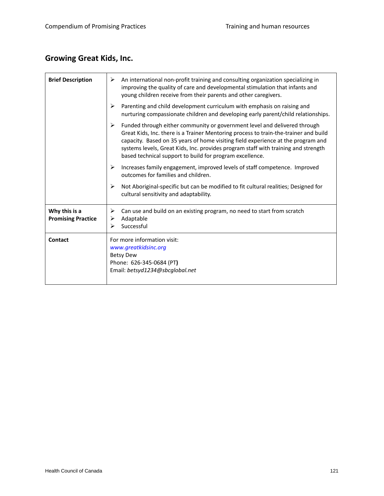# **Growing Great Kids, Inc.**

| <b>Brief Description</b>                   | An international non-profit training and consulting organization specializing in<br>➤<br>improving the quality of care and developmental stimulation that infants and<br>young children receive from their parents and other caregivers.                                                                                                                                                                     |
|--------------------------------------------|--------------------------------------------------------------------------------------------------------------------------------------------------------------------------------------------------------------------------------------------------------------------------------------------------------------------------------------------------------------------------------------------------------------|
|                                            | Parenting and child development curriculum with emphasis on raising and<br>➤<br>nurturing compassionate children and developing early parent/child relationships.                                                                                                                                                                                                                                            |
|                                            | Funded through either community or government level and delivered through<br>➤<br>Great Kids, Inc. there is a Trainer Mentoring process to train-the-trainer and build<br>capacity. Based on 35 years of home visiting field experience at the program and<br>systems levels, Great Kids, Inc. provides program staff with training and strength<br>based technical support to build for program excellence. |
|                                            | ➤<br>Increases family engagement, improved levels of staff competence. Improved<br>outcomes for families and children.                                                                                                                                                                                                                                                                                       |
|                                            | ➤<br>Not Aboriginal-specific but can be modified to fit cultural realities; Designed for<br>cultural sensitivity and adaptability.                                                                                                                                                                                                                                                                           |
| Why this is a<br><b>Promising Practice</b> | Can use and build on an existing program, no need to start from scratch<br>➤<br>Adaptable<br>➤<br>Successful<br>➤                                                                                                                                                                                                                                                                                            |
| Contact                                    | For more information visit:<br>www.greatkidsinc.org<br><b>Betsy Dew</b><br>Phone: 626-345-0684 (PT)<br>Email: betsyd1234@sbcglobal.net                                                                                                                                                                                                                                                                       |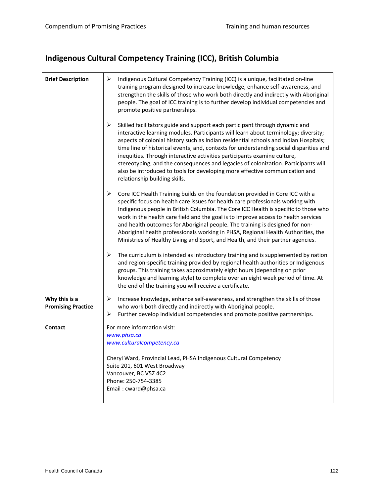# **Indigenous Cultural Competency Training (ICC), British Columbia**

| <b>Brief Description</b>                   | ➤<br>Indigenous Cultural Competency Training (ICC) is a unique, facilitated on-line<br>training program designed to increase knowledge, enhance self-awareness, and<br>strengthen the skills of those who work both directly and indirectly with Aboriginal<br>people. The goal of ICC training is to further develop individual competencies and<br>promote positive partnerships.                                                                                                                                                                                                                                                         |
|--------------------------------------------|---------------------------------------------------------------------------------------------------------------------------------------------------------------------------------------------------------------------------------------------------------------------------------------------------------------------------------------------------------------------------------------------------------------------------------------------------------------------------------------------------------------------------------------------------------------------------------------------------------------------------------------------|
|                                            | ➤<br>Skilled facilitators guide and support each participant through dynamic and<br>interactive learning modules. Participants will learn about terminology; diversity;<br>aspects of colonial history such as Indian residential schools and Indian Hospitals;<br>time line of historical events; and, contexts for understanding social disparities and<br>inequities. Through interactive activities participants examine culture,<br>stereotyping, and the consequences and legacies of colonization. Participants will<br>also be introduced to tools for developing more effective communication and<br>relationship building skills. |
|                                            | ➤<br>Core ICC Health Training builds on the foundation provided in Core ICC with a<br>specific focus on health care issues for health care professionals working with<br>Indigenous people in British Columbia. The Core ICC Health is specific to those who<br>work in the health care field and the goal is to improve access to health services<br>and health outcomes for Aboriginal people. The training is designed for non-<br>Aboriginal health professionals working in PHSA, Regional Health Authorities, the<br>Ministries of Healthy Living and Sport, and Health, and their partner agencies.                                  |
|                                            | The curriculum is intended as introductory training and is supplemented by nation<br>➤<br>and region-specific training provided by regional health authorities or Indigenous<br>groups. This training takes approximately eight hours (depending on prior<br>knowledge and learning style) to complete over an eight week period of time. At<br>the end of the training you will receive a certificate.                                                                                                                                                                                                                                     |
| Why this is a<br><b>Promising Practice</b> | Increase knowledge, enhance self-awareness, and strengthen the skills of those<br>➤<br>who work both directly and indirectly with Aboriginal people.<br>➤<br>Further develop individual competencies and promote positive partnerships.                                                                                                                                                                                                                                                                                                                                                                                                     |
| <b>Contact</b>                             | For more information visit:<br>www.phsa.ca<br>www.culturalcompetency.ca                                                                                                                                                                                                                                                                                                                                                                                                                                                                                                                                                                     |
|                                            | Cheryl Ward, Provincial Lead, PHSA Indigenous Cultural Competency<br>Suite 201, 601 West Broadway<br>Vancouver, BC V5Z 4C2<br>Phone: 250-754-3385<br>Email: cward@phsa.ca                                                                                                                                                                                                                                                                                                                                                                                                                                                                   |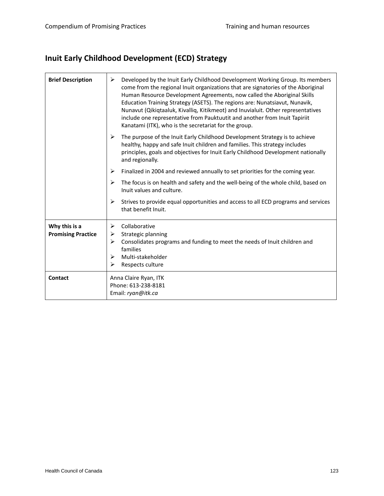# **Inuit Early Childhood Development (ECD) Strategy**

| <b>Brief Description</b>                   | Developed by the Inuit Early Childhood Development Working Group. Its members<br>➤<br>come from the regional Inuit organizations that are signatories of the Aboriginal<br>Human Resource Development Agreements, now called the Aboriginal Skills<br>Education Training Strategy (ASETS). The regions are: Nunatsiavut, Nunavik,<br>Nunavut (Qikiqtaaluk, Kivalliq, Kitikmeot) and Inuvialuit. Other representatives<br>include one representative from Pauktuutit and another from Inuit Tapiriit<br>Kanatami (ITK), who is the secretariat for the group. |
|--------------------------------------------|--------------------------------------------------------------------------------------------------------------------------------------------------------------------------------------------------------------------------------------------------------------------------------------------------------------------------------------------------------------------------------------------------------------------------------------------------------------------------------------------------------------------------------------------------------------|
|                                            | ➤<br>The purpose of the Inuit Early Childhood Development Strategy is to achieve<br>healthy, happy and safe Inuit children and families. This strategy includes<br>principles, goals and objectives for Inuit Early Childhood Development nationally<br>and regionally.                                                                                                                                                                                                                                                                                      |
|                                            | Finalized in 2004 and reviewed annually to set priorities for the coming year.<br>➤                                                                                                                                                                                                                                                                                                                                                                                                                                                                          |
|                                            | ➤<br>The focus is on health and safety and the well-being of the whole child, based on<br>Inuit values and culture.                                                                                                                                                                                                                                                                                                                                                                                                                                          |
|                                            | ➤<br>Strives to provide equal opportunities and access to all ECD programs and services<br>that benefit Inuit.                                                                                                                                                                                                                                                                                                                                                                                                                                               |
| Why this is a<br><b>Promising Practice</b> | Collaborative<br>➤<br>Strategic planning<br>➤<br>Consolidates programs and funding to meet the needs of Inuit children and<br>➤<br>families<br>Multi-stakeholder<br>➤<br>➤<br>Respects culture                                                                                                                                                                                                                                                                                                                                                               |
| Contact                                    | Anna Claire Ryan, ITK<br>Phone: 613-238-8181<br>Email: ryan@itk.ca                                                                                                                                                                                                                                                                                                                                                                                                                                                                                           |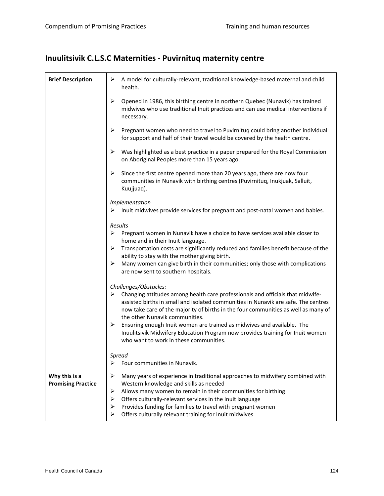# **Inuulitsivik C.L.S.C Maternities ‐ Puvirnituq maternity centre**

| <b>Brief Description</b>  | ➤<br>A model for culturally-relevant, traditional knowledge-based maternal and child<br>health.                                                                                                                                                                                                   |
|---------------------------|---------------------------------------------------------------------------------------------------------------------------------------------------------------------------------------------------------------------------------------------------------------------------------------------------|
|                           | ➤<br>Opened in 1986, this birthing centre in northern Quebec (Nunavik) has trained<br>midwives who use traditional Inuit practices and can use medical interventions if<br>necessary.                                                                                                             |
|                           | $\blacktriangleright$<br>Pregnant women who need to travel to Puvirnituq could bring another individual<br>for support and half of their travel would be covered by the health centre.                                                                                                            |
|                           | $\blacktriangleright$<br>Was highlighted as a best practice in a paper prepared for the Royal Commission<br>on Aboriginal Peoples more than 15 years ago.                                                                                                                                         |
|                           | ➤<br>Since the first centre opened more than 20 years ago, there are now four<br>communities in Nunavik with birthing centres (Puvirnituq, Inukjuak, Salluit,<br>Kuujjuaq).                                                                                                                       |
|                           | Implementation                                                                                                                                                                                                                                                                                    |
|                           | Inuit midwives provide services for pregnant and post-natal women and babies.<br>➤                                                                                                                                                                                                                |
|                           | Results                                                                                                                                                                                                                                                                                           |
|                           | Pregnant women in Nunavik have a choice to have services available closer to<br>➤<br>home and in their Inuit language.                                                                                                                                                                            |
|                           | ➤<br>Transportation costs are significantly reduced and families benefit because of the<br>ability to stay with the mother giving birth.                                                                                                                                                          |
|                           | ➤<br>Many women can give birth in their communities; only those with complications<br>are now sent to southern hospitals.                                                                                                                                                                         |
|                           | Challenges/Obstacles:                                                                                                                                                                                                                                                                             |
|                           | Changing attitudes among health care professionals and officials that midwife-<br>➤<br>assisted births in small and isolated communities in Nunavik are safe. The centres<br>now take care of the majority of births in the four communities as well as many of<br>the other Nunavik communities. |
|                           | ➤<br>Ensuring enough Inuit women are trained as midwives and available. The<br>Inuulitsivik Midwifery Education Program now provides training for Inuit women<br>who want to work in these communities.                                                                                           |
|                           | Spread                                                                                                                                                                                                                                                                                            |
|                           | ➤<br>Four communities in Nunavik.                                                                                                                                                                                                                                                                 |
| Why this is a             | ➤<br>Many years of experience in traditional approaches to midwifery combined with                                                                                                                                                                                                                |
| <b>Promising Practice</b> | Western knowledge and skills as needed<br>➤<br>Allows many women to remain in their communities for birthing                                                                                                                                                                                      |
|                           | ➤<br>Offers culturally-relevant services in the Inuit language                                                                                                                                                                                                                                    |
|                           | Provides funding for families to travel with pregnant women<br>➤                                                                                                                                                                                                                                  |
|                           | Offers culturally relevant training for Inuit midwives<br>⋗                                                                                                                                                                                                                                       |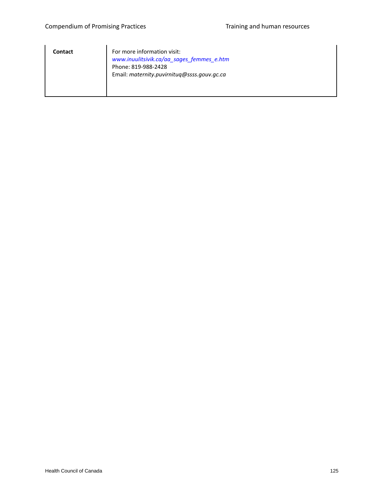| <b>Contact</b> | For more information visit:<br>www.inuulitsivik.ca/aa_sages_femmes_e.htm<br>Phone: 819-988-2428<br>Email: maternity.puvirnituq@ssss.gouv.gc.ca |
|----------------|------------------------------------------------------------------------------------------------------------------------------------------------|
|                |                                                                                                                                                |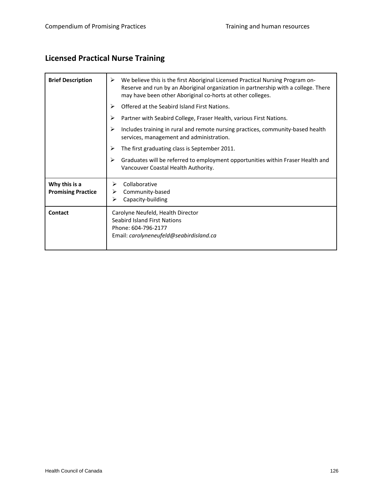# **Licensed Practical Nurse Training**

| <b>Brief Description</b>                   | We believe this is the first Aboriginal Licensed Practical Nursing Program on-<br>➤<br>Reserve and run by an Aboriginal organization in partnership with a college. There<br>may have been other Aboriginal co-horts at other colleges. |
|--------------------------------------------|-----------------------------------------------------------------------------------------------------------------------------------------------------------------------------------------------------------------------------------------|
|                                            | Offered at the Seabird Island First Nations.<br>⋗                                                                                                                                                                                       |
|                                            | ➤<br>Partner with Seabird College, Fraser Health, various First Nations.                                                                                                                                                                |
|                                            | ➤<br>Includes training in rural and remote nursing practices, community-based health<br>services, management and administration.                                                                                                        |
|                                            | ⋗<br>The first graduating class is September 2011.                                                                                                                                                                                      |
|                                            | ⋗<br>Graduates will be referred to employment opportunities within Fraser Health and<br>Vancouver Coastal Health Authority.                                                                                                             |
| Why this is a<br><b>Promising Practice</b> | Collaborative<br>⋗<br>Community-based<br>➤<br>Capacity-building<br>➤                                                                                                                                                                    |
| <b>Contact</b>                             | Carolyne Neufeld, Health Director<br><b>Seabird Island First Nations</b><br>Phone: 604-796-2177<br>Email: carolyneneufeld@seabirdisland.ca                                                                                              |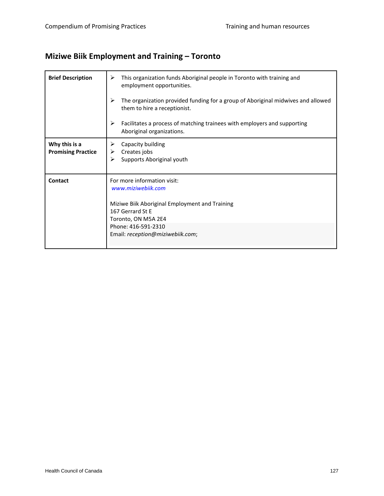# **Miziwe Biik Employment and Training – Toronto**

| <b>Brief Description</b>                   | This organization funds Aboriginal people in Toronto with training and<br>➤<br>employment opportunities.<br>⋗<br>The organization provided funding for a group of Aboriginal midwives and allowed<br>them to hire a receptionist.<br>➤<br>Facilitates a process of matching trainees with employers and supporting<br>Aboriginal organizations. |
|--------------------------------------------|-------------------------------------------------------------------------------------------------------------------------------------------------------------------------------------------------------------------------------------------------------------------------------------------------------------------------------------------------|
| Why this is a<br><b>Promising Practice</b> | Capacity building<br>➤<br>Creates jobs<br>➤<br>Supports Aboriginal youth<br>⋗                                                                                                                                                                                                                                                                   |
| Contact                                    | For more information visit:<br>www.miziwebiik.com<br>Miziwe Biik Aboriginal Employment and Training<br>167 Gerrard St E<br>Toronto, ON M5A 2E4<br>Phone: 416-591-2310<br>Email: reception@miziwebiik.com;                                                                                                                                       |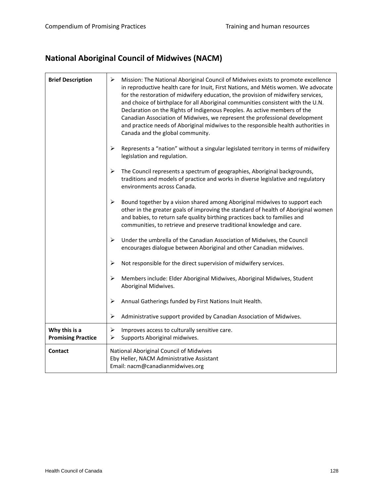# **National Aboriginal Council of Midwives (NACM)**

| <b>Brief Description</b>                   | $\blacktriangleright$<br>Mission: The National Aboriginal Council of Midwives exists to promote excellence<br>in reproductive health care for Inuit, First Nations, and Métis women. We advocate<br>for the restoration of midwifery education, the provision of midwifery services,<br>and choice of birthplace for all Aboriginal communities consistent with the U.N.<br>Declaration on the Rights of Indigenous Peoples. As active members of the<br>Canadian Association of Midwives, we represent the professional development<br>and practice needs of Aboriginal midwives to the responsible health authorities in<br>Canada and the global community. |
|--------------------------------------------|----------------------------------------------------------------------------------------------------------------------------------------------------------------------------------------------------------------------------------------------------------------------------------------------------------------------------------------------------------------------------------------------------------------------------------------------------------------------------------------------------------------------------------------------------------------------------------------------------------------------------------------------------------------|
|                                            | $\blacktriangleright$<br>Represents a "nation" without a singular legislated territory in terms of midwifery<br>legislation and regulation.                                                                                                                                                                                                                                                                                                                                                                                                                                                                                                                    |
|                                            | ➤<br>The Council represents a spectrum of geographies, Aboriginal backgrounds,<br>traditions and models of practice and works in diverse legislative and regulatory<br>environments across Canada.                                                                                                                                                                                                                                                                                                                                                                                                                                                             |
|                                            | ➤<br>Bound together by a vision shared among Aboriginal midwives to support each<br>other in the greater goals of improving the standard of health of Aboriginal women<br>and babies, to return safe quality birthing practices back to families and<br>communities, to retrieve and preserve traditional knowledge and care.                                                                                                                                                                                                                                                                                                                                  |
|                                            | ➤<br>Under the umbrella of the Canadian Association of Midwives, the Council<br>encourages dialogue between Aboriginal and other Canadian midwives.                                                                                                                                                                                                                                                                                                                                                                                                                                                                                                            |
|                                            | $\blacktriangleright$<br>Not responsible for the direct supervision of midwifery services.                                                                                                                                                                                                                                                                                                                                                                                                                                                                                                                                                                     |
|                                            | $\blacktriangleright$<br>Members include: Elder Aboriginal Midwives, Aboriginal Midwives, Student<br>Aboriginal Midwives.                                                                                                                                                                                                                                                                                                                                                                                                                                                                                                                                      |
|                                            | ➤<br>Annual Gatherings funded by First Nations Inuit Health.                                                                                                                                                                                                                                                                                                                                                                                                                                                                                                                                                                                                   |
|                                            | Administrative support provided by Canadian Association of Midwives.<br>➤                                                                                                                                                                                                                                                                                                                                                                                                                                                                                                                                                                                      |
| Why this is a<br><b>Promising Practice</b> | Improves access to culturally sensitive care.<br>$\blacktriangleright$<br>➤<br>Supports Aboriginal midwives.                                                                                                                                                                                                                                                                                                                                                                                                                                                                                                                                                   |
| <b>Contact</b>                             | National Aboriginal Council of Midwives<br>Eby Heller, NACM Administrative Assistant<br>Email: nacm@canadianmidwives.org                                                                                                                                                                                                                                                                                                                                                                                                                                                                                                                                       |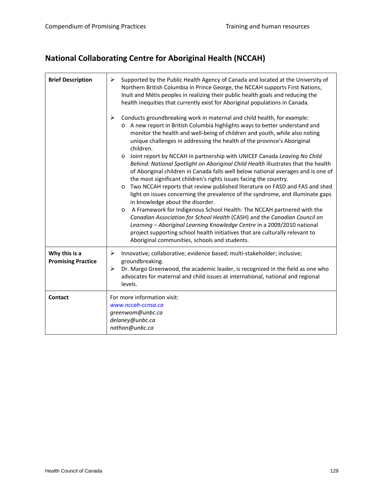# **National Collaborating Centre for Aboriginal Health (NCCAH)**

| <b>Brief Description</b>                   | ➤<br>Supported by the Public Health Agency of Canada and located at the University of<br>Northern British Columbia in Prince George, the NCCAH supports First Nations,<br>Inuit and Métis peoples in realizing their public health goals and reducing the<br>health inequities that currently exist for Aboriginal populations in Canada.                                                                                                                                                                                                                                                                                                                                                                                                                                                                                                                                                                                                                                                                                                                                                                                                                                                                                                                                                 |
|--------------------------------------------|-------------------------------------------------------------------------------------------------------------------------------------------------------------------------------------------------------------------------------------------------------------------------------------------------------------------------------------------------------------------------------------------------------------------------------------------------------------------------------------------------------------------------------------------------------------------------------------------------------------------------------------------------------------------------------------------------------------------------------------------------------------------------------------------------------------------------------------------------------------------------------------------------------------------------------------------------------------------------------------------------------------------------------------------------------------------------------------------------------------------------------------------------------------------------------------------------------------------------------------------------------------------------------------------|
|                                            | $\blacktriangleright$<br>Conducts groundbreaking work in maternal and child health, for example:<br>o A new report in British Columbia highlights ways to better understand and<br>monitor the health and well-being of children and youth, while also noting<br>unique challenges in addressing the health of the province's Aboriginal<br>children.<br>Joint report by NCCAH in partnership with UNICEF Canada Leaving No Child<br>$\circ$<br>Behind: National Spotlight on Aboriginal Child Health illustrates that the health<br>of Aboriginal children in Canada falls well below national averages and is one of<br>the most significant children's rights issues facing the country.<br>Two NCCAH reports that review published literature on FASD and FAS and shed<br>$\circ$<br>light on issues concerning the prevalence of the syndrome, and illuminate gaps<br>in knowledge about the disorder.<br>A Framework for Indigenous School Health: The NCCAH partnered with the<br>$\circ$<br>Canadian Association for School Health (CASH) and the Canadian Council on<br>Learning - Aboriginal Learning Knowledge Centre in a 2009/2010 national<br>project supporting school health initiatives that are culturally relevant to<br>Aboriginal communities, schools and students. |
| Why this is a<br><b>Promising Practice</b> | ➤<br>Innovative; collaborative; evidence based; multi-stakeholder; inclusive;<br>groundbreaking.<br>Dr. Margo Greenwood, the academic leader, is recognized in the field as one who<br>➤<br>advocates for maternal and child issues at international, national and regional<br>levels.                                                                                                                                                                                                                                                                                                                                                                                                                                                                                                                                                                                                                                                                                                                                                                                                                                                                                                                                                                                                    |
| <b>Contact</b>                             | For more information visit:<br>www.nccah-ccnsa.ca<br>greenwom@unbc.ca<br>delaney@unbc.ca<br>nathan@unbc.ca                                                                                                                                                                                                                                                                                                                                                                                                                                                                                                                                                                                                                                                                                                                                                                                                                                                                                                                                                                                                                                                                                                                                                                                |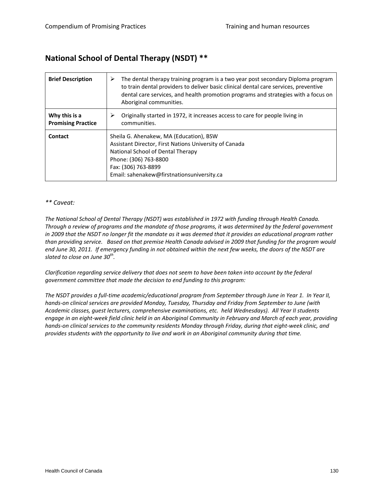#### **National School of Dental Therapy (NSDT) \*\***

| <b>Brief Description</b>                   | The dental therapy training program is a two year post secondary Diploma program<br>➤<br>to train dental providers to deliver basic clinical dental care services, preventive<br>dental care services, and health promotion programs and strategies with a focus on<br>Aboriginal communities. |
|--------------------------------------------|------------------------------------------------------------------------------------------------------------------------------------------------------------------------------------------------------------------------------------------------------------------------------------------------|
| Why this is a<br><b>Promising Practice</b> | Originally started in 1972, it increases access to care for people living in<br>⋗<br>communities.                                                                                                                                                                                              |
| Contact                                    | Sheila G. Ahenakew, MA (Education), BSW<br>Assistant Director, First Nations University of Canada<br>National School of Dental Therapy<br>Phone: (306) 763-8800<br>Fax: (306) 763-8899<br>Email: sahenakew@firstnationsuniversity.ca                                                           |

#### *\*\* Caveat:*

*The National School of Dental Therapy (NSDT) was established in 1972 with funding through Health Canada.* Through a review of programs and the mandate of those programs, it was determined by the federal government in 2009 that the NSDT no longer fit the mandate as it was deemed that it provides an educational program rather than providing service. Based on that premise Health Canada advised in 2009 that funding for the program would end June 30, 2011. If emergency funding in not obtained within the next few weeks, the doors of the NSDT are *slated to close on June 30th.*

Clarification regarding service delivery that does not seem to have been taken into account by the federal *government committee that made the decision to end funding to this program:*

The NSDT provides a full-time academic/educational program from September through June in Year 1. In Year II, *hands‐on clinical services are provided Monday, Tuesday, Thursday and Friday from September to June (with Academic classes, guest lecturers, comprehensive examinations, etc. held Wednesdays). All Year II students* engage in an eight-week field clinic held in an Aboriginal Community in February and March of each year, providing hands-on clinical services to the community residents Monday through Friday, during that eight-week clinic, and *provides students with the opportunity to live and work in an Aboriginal community during that time.*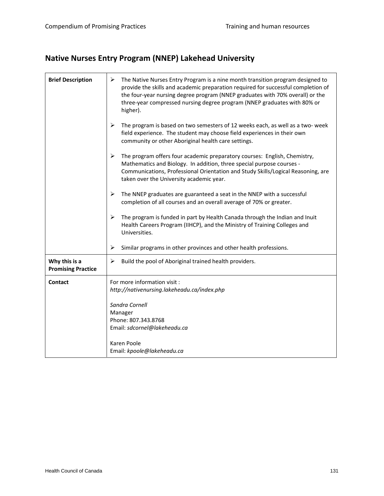# **Native Nurses Entry Program (NNEP) Lakehead University**

| <b>Brief Description</b>                   | ➤<br>The Native Nurses Entry Program is a nine month transition program designed to<br>provide the skills and academic preparation required for successful completion of<br>the four-year nursing degree program (NNEP graduates with 70% overall) or the<br>three-year compressed nursing degree program (NNEP graduates with 80% or<br>higher). |
|--------------------------------------------|---------------------------------------------------------------------------------------------------------------------------------------------------------------------------------------------------------------------------------------------------------------------------------------------------------------------------------------------------|
|                                            | ➤<br>The program is based on two semesters of 12 weeks each, as well as a two- week<br>field experience. The student may choose field experiences in their own<br>community or other Aboriginal health care settings.                                                                                                                             |
|                                            | The program offers four academic preparatory courses: English, Chemistry,<br>➤<br>Mathematics and Biology. In addition, three special purpose courses -<br>Communications, Professional Orientation and Study Skills/Logical Reasoning, are<br>taken over the University academic year.                                                           |
|                                            | ➤<br>The NNEP graduates are guaranteed a seat in the NNEP with a successful<br>completion of all courses and an overall average of 70% or greater.                                                                                                                                                                                                |
|                                            | ➤<br>The program is funded in part by Health Canada through the Indian and Inuit<br>Health Careers Program (IIHCP), and the Ministry of Training Colleges and<br>Universities.                                                                                                                                                                    |
|                                            | ➤<br>Similar programs in other provinces and other health professions.                                                                                                                                                                                                                                                                            |
| Why this is a<br><b>Promising Practice</b> | Build the pool of Aboriginal trained health providers.<br>➤                                                                                                                                                                                                                                                                                       |
| <b>Contact</b>                             | For more information visit :<br>http://nativenursing.lakeheadu.ca/index.php                                                                                                                                                                                                                                                                       |
|                                            | Sandra Cornell<br>Manager                                                                                                                                                                                                                                                                                                                         |
|                                            | Phone: 807.343.8768                                                                                                                                                                                                                                                                                                                               |
|                                            | Email: sdcornel@lakeheadu.ca                                                                                                                                                                                                                                                                                                                      |
|                                            | Karen Poole                                                                                                                                                                                                                                                                                                                                       |
|                                            | Email: kpoole@lakeheadu.ca                                                                                                                                                                                                                                                                                                                        |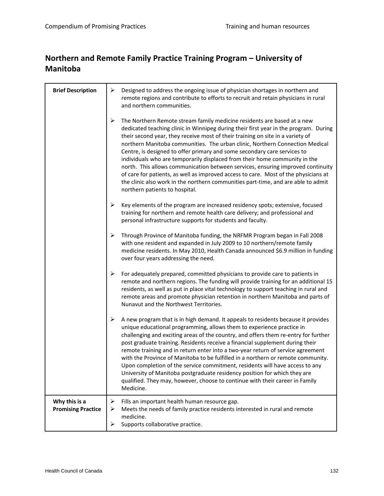#### **Northern and Remote Family Practice Training Program – University of Manitoba**

| <b>Brief Description</b>                   | ➤           | Designed to address the ongoing issue of physician shortages in northern and<br>remote regions and contribute to efforts to recruit and retain physicians in rural<br>and northern communities.                                                                                                                                                                                                                                                                                                                                                                                                                                                                                                                                                                                              |
|--------------------------------------------|-------------|----------------------------------------------------------------------------------------------------------------------------------------------------------------------------------------------------------------------------------------------------------------------------------------------------------------------------------------------------------------------------------------------------------------------------------------------------------------------------------------------------------------------------------------------------------------------------------------------------------------------------------------------------------------------------------------------------------------------------------------------------------------------------------------------|
|                                            | ➤           | The Northern Remote stream family medicine residents are based at a new<br>dedicated teaching clinic in Winnipeg during their first year in the program. During<br>their second year, they receive most of their training on site in a variety of<br>northern Manitoba communities. The urban clinic, Northern Connection Medical<br>Centre, is designed to offer primary and some secondary care services to<br>individuals who are temporarily displaced from their home community in the<br>north. This allows communication between services, ensuring improved continuity<br>of care for patients, as well as improved access to care. Most of the physicians at<br>the clinic also work in the northern communities part-time, and are able to admit<br>northern patients to hospital. |
|                                            | ➤           | Key elements of the program are increased residency spots; extensive, focused<br>training for northern and remote health care delivery; and professional and<br>personal infrastructure supports for students and faculty.                                                                                                                                                                                                                                                                                                                                                                                                                                                                                                                                                                   |
|                                            | ➤           | Through Province of Manitoba funding, the NRFMR Program began in Fall 2008<br>with one resident and expanded in July 2009 to 10 northern/remote family<br>medicine residents. In May 2010, Health Canada announced \$6.9 million in funding<br>over four years addressing the need.                                                                                                                                                                                                                                                                                                                                                                                                                                                                                                          |
|                                            | ➤           | For adequately prepared, committed physicians to provide care to patients in<br>remote and northern regions. The funding will provide training for an additional 15<br>residents, as well as put in place vital technology to support teaching in rural and<br>remote areas and promote physician retention in northern Manitoba and parts of<br>Nunavut and the Northwest Territories.                                                                                                                                                                                                                                                                                                                                                                                                      |
|                                            | ➤           | A new program that is in high demand. It appeals to residents because it provides<br>unique educational programming, allows them to experience practice in<br>challenging and exciting areas of the country, and offers them re-entry for further<br>post graduate training. Residents receive a financial supplement during their<br>remote training and in return enter into a two-year return of service agreement<br>with the Province of Manitoba to be fulfilled in a northern or remote community.<br>Upon completion of the service commitment, residents will have access to any<br>University of Manitoba postgraduate residency position for which they are<br>qualified. They may, however, choose to continue with their career in Family<br>Medicine.                          |
| Why this is a<br><b>Promising Practice</b> | ➤<br>➤<br>➤ | Fills an important health human resource gap.<br>Meets the needs of family practice residents interested in rural and remote<br>medicine.<br>Supports collaborative practice.                                                                                                                                                                                                                                                                                                                                                                                                                                                                                                                                                                                                                |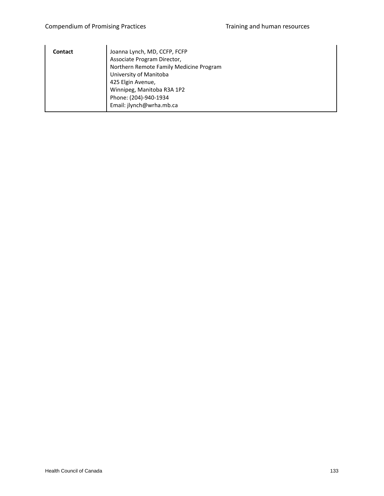| Contact | Joanna Lynch, MD, CCFP, FCFP            |
|---------|-----------------------------------------|
|         | Associate Program Director,             |
|         | Northern Remote Family Medicine Program |
|         | University of Manitoba                  |
|         | 425 Elgin Avenue,                       |
|         | Winnipeg, Manitoba R3A 1P2              |
|         | Phone: (204)-940-1934                   |
|         | Email: jlynch@wrha.mb.ca                |
|         |                                         |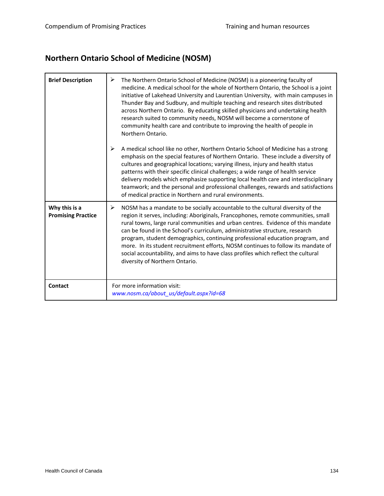# **Northern Ontario School of Medicine (NOSM)**

| <b>Brief Description</b>                   | ➤<br>The Northern Ontario School of Medicine (NOSM) is a pioneering faculty of<br>medicine. A medical school for the whole of Northern Ontario, the School is a joint<br>initiative of Lakehead University and Laurentian University, with main campuses in<br>Thunder Bay and Sudbury, and multiple teaching and research sites distributed<br>across Northern Ontario. By educating skilled physicians and undertaking health<br>research suited to community needs, NOSM will become a cornerstone of<br>community health care and contribute to improving the health of people in<br>Northern Ontario.                               |
|--------------------------------------------|------------------------------------------------------------------------------------------------------------------------------------------------------------------------------------------------------------------------------------------------------------------------------------------------------------------------------------------------------------------------------------------------------------------------------------------------------------------------------------------------------------------------------------------------------------------------------------------------------------------------------------------|
|                                            | $\blacktriangleright$<br>A medical school like no other, Northern Ontario School of Medicine has a strong<br>emphasis on the special features of Northern Ontario. These include a diversity of<br>cultures and geographical locations; varying illness, injury and health status<br>patterns with their specific clinical challenges; a wide range of health service<br>delivery models which emphasize supporting local health care and interdisciplinary<br>teamwork; and the personal and professional challenges, rewards and satisfactions<br>of medical practice in Northern and rural environments.                              |
| Why this is a<br><b>Promising Practice</b> | NOSM has a mandate to be socially accountable to the cultural diversity of the<br>➤<br>region it serves, including: Aboriginals, Francophones, remote communities, small<br>rural towns, large rural communities and urban centres. Evidence of this mandate<br>can be found in the School's curriculum, administrative structure, research<br>program, student demographics, continuing professional education program, and<br>more. In its student recruitment efforts, NOSM continues to follow its mandate of<br>social accountability, and aims to have class profiles which reflect the cultural<br>diversity of Northern Ontario. |
| Contact                                    | For more information visit:<br>www.nosm.ca/about us/default.aspx?id=68                                                                                                                                                                                                                                                                                                                                                                                                                                                                                                                                                                   |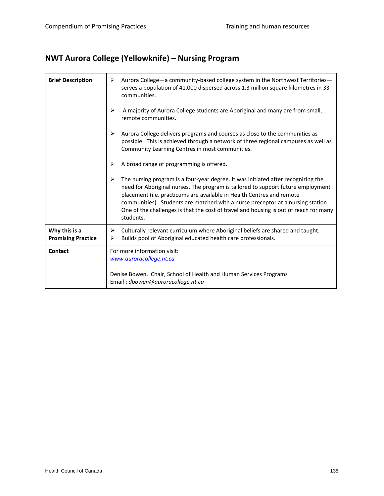# **NWT Aurora College (Yellowknife) – Nursing Program**

| <b>Brief Description</b>                   | Aurora College - a community-based college system in the Northwest Territories -<br>⋗<br>serves a population of 41,000 dispersed across 1.3 million square kilometres in 33<br>communities.                                                                                                                                                                                                                                             |
|--------------------------------------------|-----------------------------------------------------------------------------------------------------------------------------------------------------------------------------------------------------------------------------------------------------------------------------------------------------------------------------------------------------------------------------------------------------------------------------------------|
|                                            | ➤<br>A majority of Aurora College students are Aboriginal and many are from small,<br>remote communities.                                                                                                                                                                                                                                                                                                                               |
|                                            | ➤<br>Aurora College delivers programs and courses as close to the communities as<br>possible. This is achieved through a network of three regional campuses as well as<br>Community Learning Centres in most communities.                                                                                                                                                                                                               |
|                                            | A broad range of programming is offered.<br>➤                                                                                                                                                                                                                                                                                                                                                                                           |
|                                            | The nursing program is a four-year degree. It was initiated after recognizing the<br>need for Aboriginal nurses. The program is tailored to support future employment<br>placement (i.e. practicums are available in Health Centres and remote<br>communities). Students are matched with a nurse preceptor at a nursing station.<br>One of the challenges is that the cost of travel and housing is out of reach for many<br>students. |
| Why this is a<br><b>Promising Practice</b> | Culturally relevant curriculum where Aboriginal beliefs are shared and taught.<br>➤<br>Builds pool of Aboriginal educated health care professionals.<br>⋗                                                                                                                                                                                                                                                                               |
| Contact                                    | For more information visit:<br>www.auroracollege.nt.ca                                                                                                                                                                                                                                                                                                                                                                                  |
|                                            | Denise Bowen, Chair, School of Health and Human Services Programs<br>Email: dbowen@auroracollege.nt.ca                                                                                                                                                                                                                                                                                                                                  |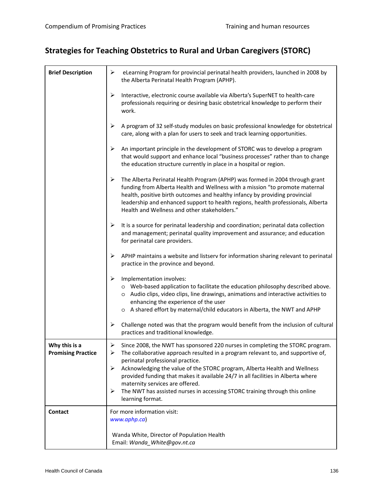# **Strategies for Teaching Obstetrics to Rural and Urban Caregivers (STORC)**

| <b>Brief Description</b>                   | eLearning Program for provincial perinatal health providers, launched in 2008 by<br>➤<br>the Alberta Perinatal Health Program (APHP).                                                                                                                                                                                                                                                                                   |
|--------------------------------------------|-------------------------------------------------------------------------------------------------------------------------------------------------------------------------------------------------------------------------------------------------------------------------------------------------------------------------------------------------------------------------------------------------------------------------|
|                                            | ➤<br>Interactive, electronic course available via Alberta's SuperNET to health-care<br>professionals requiring or desiring basic obstetrical knowledge to perform their<br>work.                                                                                                                                                                                                                                        |
|                                            | A program of 32 self-study modules on basic professional knowledge for obstetrical<br>➤<br>care, along with a plan for users to seek and track learning opportunities.                                                                                                                                                                                                                                                  |
|                                            | ➤<br>An important principle in the development of STORC was to develop a program<br>that would support and enhance local "business processes" rather than to change<br>the education structure currently in place in a hospital or region.                                                                                                                                                                              |
|                                            | ➤<br>The Alberta Perinatal Health Program (APHP) was formed in 2004 through grant<br>funding from Alberta Health and Wellness with a mission "to promote maternal<br>health, positive birth outcomes and healthy infancy by providing provincial<br>leadership and enhanced support to health regions, health professionals, Alberta<br>Health and Wellness and other stakeholders."                                    |
|                                            | It is a source for perinatal leadership and coordination; perinatal data collection<br>➤<br>and management; perinatal quality improvement and assurance; and education<br>for perinatal care providers.                                                                                                                                                                                                                 |
|                                            | ➤<br>APHP maintains a website and listserv for information sharing relevant to perinatal<br>practice in the province and beyond.                                                                                                                                                                                                                                                                                        |
|                                            | ➤<br>Implementation involves:<br>o Web-based application to facilitate the education philosophy described above.<br>o Audio clips, video clips, line drawings, animations and interactive activities to<br>enhancing the experience of the user<br>o A shared effort by maternal/child educators in Alberta, the NWT and APHP                                                                                           |
|                                            | Challenge noted was that the program would benefit from the inclusion of cultural<br>➤<br>practices and traditional knowledge.                                                                                                                                                                                                                                                                                          |
| Why this is a<br><b>Promising Practice</b> | ➤<br>Since 2008, the NWT has sponsored 220 nurses in completing the STORC program<br>The collaborative approach resulted in a program relevant to, and supportive of,<br>➤<br>perinatal professional practice.<br>Acknowledging the value of the STORC program, Alberta Health and Wellness<br>➤<br>provided funding that makes it available 24/7 in all facilities in Alberta where<br>maternity services are offered. |
|                                            | The NWT has assisted nurses in accessing STORC training through this online<br>➤<br>learning format.                                                                                                                                                                                                                                                                                                                    |
| Contact                                    | For more information visit:<br>www.aphp.ca)                                                                                                                                                                                                                                                                                                                                                                             |
|                                            | Wanda White, Director of Population Health<br>Email: Wanda_White@gov.nt.ca                                                                                                                                                                                                                                                                                                                                              |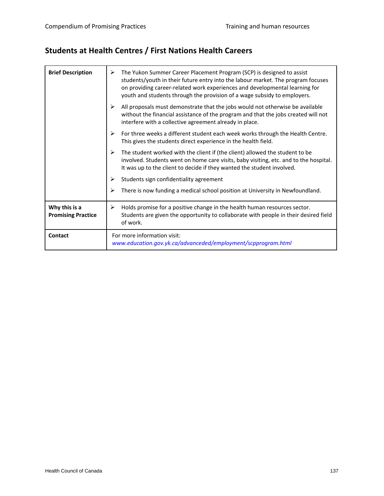# **Students at Health Centres / First Nations Health Careers**

| <b>Brief Description</b>                   | The Yukon Summer Career Placement Program (SCP) is designed to assist<br>≻<br>students/youth in their future entry into the labour market. The program focuses<br>on providing career-related work experiences and developmental learning for<br>youth and students through the provision of a wage subsidy to employers. |
|--------------------------------------------|---------------------------------------------------------------------------------------------------------------------------------------------------------------------------------------------------------------------------------------------------------------------------------------------------------------------------|
|                                            | ⋗<br>All proposals must demonstrate that the jobs would not otherwise be available<br>without the financial assistance of the program and that the jobs created will not<br>interfere with a collective agreement already in place.                                                                                       |
|                                            | For three weeks a different student each week works through the Health Centre.<br>⋗<br>This gives the students direct experience in the health field.                                                                                                                                                                     |
|                                            | The student worked with the client if (the client) allowed the student to be<br>⋗<br>involved. Students went on home care visits, baby visiting, etc. and to the hospital.<br>It was up to the client to decide if they wanted the student involved.                                                                      |
|                                            | Students sign confidentiality agreement<br>⋗                                                                                                                                                                                                                                                                              |
|                                            | There is now funding a medical school position at University in Newfoundland.<br>⋗                                                                                                                                                                                                                                        |
| Why this is a<br><b>Promising Practice</b> | Holds promise for a positive change in the health human resources sector.<br>≻<br>Students are given the opportunity to collaborate with people in their desired field<br>of work.                                                                                                                                        |
| <b>Contact</b>                             | For more information visit:<br>www.education.gov.yk.ca/advanceded/employment/scpprogram.html                                                                                                                                                                                                                              |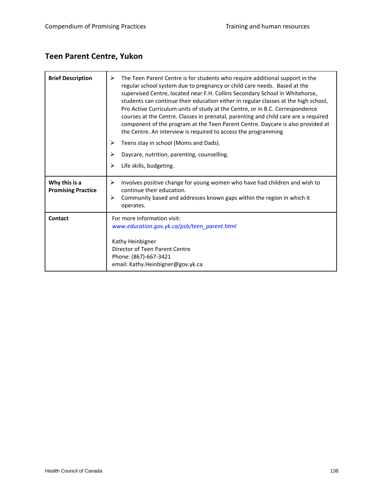# **Teen Parent Centre, Yukon**

| <b>Brief Description</b>                   | The Teen Parent Centre is for students who require additional support in the<br>➤<br>regular school system due to pregnancy or child care needs. Based at the<br>supervised Centre, located near F.H. Collins Secondary School in Whitehorse,<br>students can continue their education either in regular classes at the high school,<br>Pro Active Curriculum units of study at the Centre, or in B.C. Correspondence<br>courses at the Centre. Classes in prenatal, parenting and child care are a required<br>component of the program at the Teen Parent Centre. Daycare is also provided at<br>the Centre. An interview is required to access the programming |
|--------------------------------------------|-------------------------------------------------------------------------------------------------------------------------------------------------------------------------------------------------------------------------------------------------------------------------------------------------------------------------------------------------------------------------------------------------------------------------------------------------------------------------------------------------------------------------------------------------------------------------------------------------------------------------------------------------------------------|
|                                            | Teens stay in school (Moms and Dads).<br>⋗                                                                                                                                                                                                                                                                                                                                                                                                                                                                                                                                                                                                                        |
|                                            | Daycare, nutrition, parenting, counselling.<br>⋗                                                                                                                                                                                                                                                                                                                                                                                                                                                                                                                                                                                                                  |
|                                            | Life skills, budgeting.<br>⋗                                                                                                                                                                                                                                                                                                                                                                                                                                                                                                                                                                                                                                      |
| Why this is a<br><b>Promising Practice</b> | Involves positive change for young women who have had children and wish to<br>⋗<br>continue their education.<br>Community based and addresses known gaps within the region in which it<br>⋗<br>operates.                                                                                                                                                                                                                                                                                                                                                                                                                                                          |
| Contact                                    | For more information visit:<br>www.education.gov.yk.ca/psb/teen parent.html<br>Kathy Heinbigner<br>Director of Teen Parent Centre<br>Phone: (867)-667-3421<br>email: Kathy.Heinbigner@gov.yk.ca                                                                                                                                                                                                                                                                                                                                                                                                                                                                   |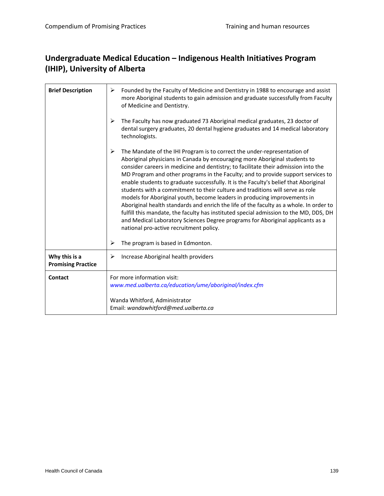#### **Undergraduate Medical Education – Indigenous Health Initiatives Program (IHIP), University of Alberta**

|                                            | Wanda Whitford, Administrator<br>Email: wandawhitford@med.ualberta.ca                                                                                                                                                                                                                                                                                                                                                                                                                                                                                                                                                                                                                                                                                                                                                                                                                                      |
|--------------------------------------------|------------------------------------------------------------------------------------------------------------------------------------------------------------------------------------------------------------------------------------------------------------------------------------------------------------------------------------------------------------------------------------------------------------------------------------------------------------------------------------------------------------------------------------------------------------------------------------------------------------------------------------------------------------------------------------------------------------------------------------------------------------------------------------------------------------------------------------------------------------------------------------------------------------|
| Contact                                    | For more information visit:<br>www.med.ualberta.ca/education/ume/aboriginal/index.cfm                                                                                                                                                                                                                                                                                                                                                                                                                                                                                                                                                                                                                                                                                                                                                                                                                      |
| Why this is a<br><b>Promising Practice</b> | ➤<br>Increase Aboriginal health providers                                                                                                                                                                                                                                                                                                                                                                                                                                                                                                                                                                                                                                                                                                                                                                                                                                                                  |
|                                            | ➤<br>The program is based in Edmonton.                                                                                                                                                                                                                                                                                                                                                                                                                                                                                                                                                                                                                                                                                                                                                                                                                                                                     |
|                                            | ➤<br>The Mandate of the IHI Program is to correct the under-representation of<br>Aboriginal physicians in Canada by encouraging more Aboriginal students to<br>consider careers in medicine and dentistry; to facilitate their admission into the<br>MD Program and other programs in the Faculty; and to provide support services to<br>enable students to graduate successfully. It is the Faculty's belief that Aboriginal<br>students with a commitment to their culture and traditions will serve as role<br>models for Aboriginal youth, become leaders in producing improvements in<br>Aboriginal health standards and enrich the life of the faculty as a whole. In order to<br>fulfill this mandate, the faculty has instituted special admission to the MD, DDS, DH<br>and Medical Laboratory Sciences Degree programs for Aboriginal applicants as a<br>national pro-active recruitment policy. |
|                                            | ➤<br>The Faculty has now graduated 73 Aboriginal medical graduates, 23 doctor of<br>dental surgery graduates, 20 dental hygiene graduates and 14 medical laboratory<br>technologists.                                                                                                                                                                                                                                                                                                                                                                                                                                                                                                                                                                                                                                                                                                                      |
| <b>Brief Description</b>                   | ➤<br>Founded by the Faculty of Medicine and Dentistry in 1988 to encourage and assist<br>more Aboriginal students to gain admission and graduate successfully from Faculty<br>of Medicine and Dentistry.                                                                                                                                                                                                                                                                                                                                                                                                                                                                                                                                                                                                                                                                                                   |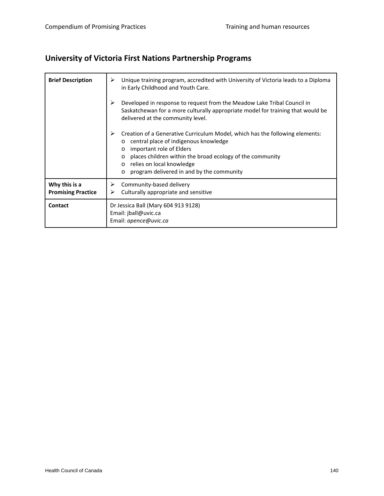# **University of Victoria First Nations Partnership Programs**

| <b>Brief Description</b>                   | Unique training program, accredited with University of Victoria leads to a Diploma<br>⋗<br>in Early Childhood and Youth Care.<br>⋗<br>Developed in response to request from the Meadow Lake Tribal Council in                                                     |
|--------------------------------------------|-------------------------------------------------------------------------------------------------------------------------------------------------------------------------------------------------------------------------------------------------------------------|
|                                            | Saskatchewan for a more culturally appropriate model for training that would be<br>delivered at the community level.                                                                                                                                              |
|                                            | Creation of a Generative Curriculum Model, which has the following elements:<br>central place of indigenous knowledge<br>important role of Elders<br>$\circ$<br>places children within the broad ecology of the community<br>relies on local knowledge<br>$\circ$ |
|                                            | program delivered in and by the community<br>$\Omega$                                                                                                                                                                                                             |
| Why this is a<br><b>Promising Practice</b> | Community-based delivery<br>➤<br>Culturally appropriate and sensitive<br>⋗                                                                                                                                                                                        |
| Contact                                    | Dr Jessica Ball (Mary 604 913 9128)<br>Email: jball@uvic.ca<br>Email: apence@uvic.ca                                                                                                                                                                              |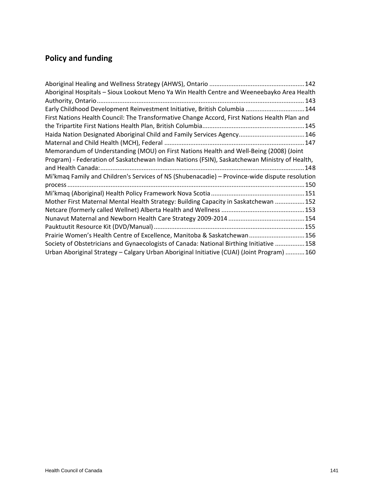# **Policy and funding**

| Aboriginal Hospitals - Sioux Lookout Meno Ya Win Health Centre and Weeneebayko Area Health     |  |
|------------------------------------------------------------------------------------------------|--|
|                                                                                                |  |
| Early Childhood Development Reinvestment Initiative, British Columbia  144                     |  |
| First Nations Health Council: The Transformative Change Accord, First Nations Health Plan and  |  |
|                                                                                                |  |
| Haida Nation Designated Aboriginal Child and Family Services Agency 146                        |  |
|                                                                                                |  |
| Memorandum of Understanding (MOU) on First Nations Health and Well-Being (2008) (Joint         |  |
| Program) - Federation of Saskatchewan Indian Nations (FSIN), Saskatchewan Ministry of Health,  |  |
|                                                                                                |  |
| Mi'kmag Family and Children's Services of NS (Shubenacadie) - Province-wide dispute resolution |  |
|                                                                                                |  |
|                                                                                                |  |
| Mother First Maternal Mental Health Strategy: Building Capacity in Saskatchewan 152            |  |
|                                                                                                |  |
|                                                                                                |  |
|                                                                                                |  |
| Prairie Women's Health Centre of Excellence, Manitoba & Saskatchewan 156                       |  |
| Society of Obstetricians and Gynaecologists of Canada: National Birthing Initiative 158        |  |
| Urban Aboriginal Strategy - Calgary Urban Aboriginal Initiative (CUAI) (Joint Program)  160    |  |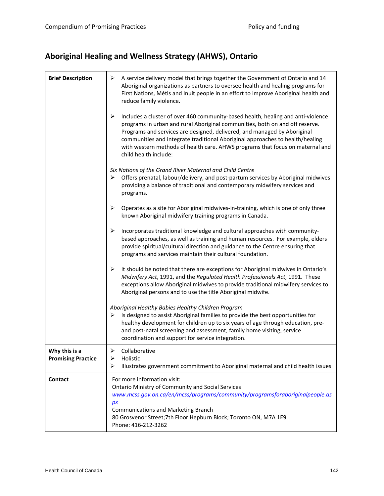# **Aboriginal Healing and Wellness Strategy (AHWS), Ontario**

| <b>Brief Description</b>                   | A service delivery model that brings together the Government of Ontario and 14<br>➤<br>Aboriginal organizations as partners to oversee health and healing programs for<br>First Nations, Métis and Inuit people in an effort to improve Aboriginal health and<br>reduce family violence.                                                                                                                                                     |
|--------------------------------------------|----------------------------------------------------------------------------------------------------------------------------------------------------------------------------------------------------------------------------------------------------------------------------------------------------------------------------------------------------------------------------------------------------------------------------------------------|
|                                            | ➤<br>Includes a cluster of over 460 community-based health, healing and anti-violence<br>programs in urban and rural Aboriginal communities, both on and off reserve.<br>Programs and services are designed, delivered, and managed by Aboriginal<br>communities and integrate traditional Aboriginal approaches to health/healing<br>with western methods of health care. AHWS programs that focus on maternal and<br>child health include: |
|                                            | Six Nations of the Grand River Maternal and Child Centre<br>Offers prenatal, labour/delivery, and post-partum services by Aboriginal midwives<br>➤<br>providing a balance of traditional and contemporary midwifery services and<br>programs.                                                                                                                                                                                                |
|                                            | ➤<br>Operates as a site for Aboriginal midwives-in-training, which is one of only three<br>known Aboriginal midwifery training programs in Canada.                                                                                                                                                                                                                                                                                           |
|                                            | ➤<br>Incorporates traditional knowledge and cultural approaches with community-<br>based approaches, as well as training and human resources. For example, elders<br>provide spiritual/cultural direction and guidance to the Centre ensuring that<br>programs and services maintain their cultural foundation.                                                                                                                              |
|                                            | ➤<br>It should be noted that there are exceptions for Aboriginal midwives in Ontario's<br>Midwifery Act, 1991, and the Regulated Health Professionals Act, 1991. These<br>exceptions allow Aboriginal midwives to provide traditional midwifery services to<br>Aboriginal persons and to use the title Aboriginal midwife.                                                                                                                   |
|                                            | Aboriginal Healthy Babies Healthy Children Program<br>Is designed to assist Aboriginal families to provide the best opportunities for<br>➤<br>healthy development for children up to six years of age through education, pre-<br>and post-natal screening and assessment, family home visiting, service<br>coordination and support for service integration.                                                                                 |
| Why this is a<br><b>Promising Practice</b> | $\triangleright$ Collaborative<br>➤<br>Holistic<br>⋗<br>Illustrates government commitment to Aboriginal maternal and child health issues                                                                                                                                                                                                                                                                                                     |
| Contact                                    | For more information visit:<br><b>Ontario Ministry of Community and Social Services</b><br>www.mcss.gov.on.ca/en/mcss/programs/community/programsforaboriginalpeople.as<br>px<br><b>Communications and Marketing Branch</b><br>80 Grosvenor Street; 7th Floor Hepburn Block; Toronto ON, M7A 1E9<br>Phone: 416-212-3262                                                                                                                      |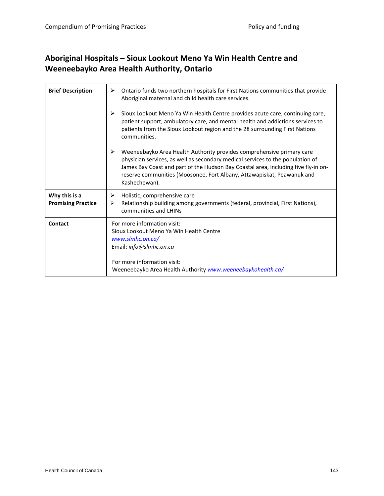#### **Aboriginal Hospitals – Sioux Lookout Meno Ya Win Health Centre and Weeneebayko Area Health Authority, Ontario**

| <b>Brief Description</b>                   | ➤<br>Ontario funds two northern hospitals for First Nations communities that provide<br>Aboriginal maternal and child health care services.                                                                                                                                                                                                   |
|--------------------------------------------|-----------------------------------------------------------------------------------------------------------------------------------------------------------------------------------------------------------------------------------------------------------------------------------------------------------------------------------------------|
|                                            | ➤<br>Sioux Lookout Meno Ya Win Health Centre provides acute care, continuing care,<br>patient support, ambulatory care, and mental health and addictions services to<br>patients from the Sioux Lookout region and the 28 surrounding First Nations<br>communities.                                                                           |
|                                            | ⋗<br>Weeneebayko Area Health Authority provides comprehensive primary care<br>physician services, as well as secondary medical services to the population of<br>James Bay Coast and part of the Hudson Bay Coastal area, including five fly-in on-<br>reserve communities (Moosonee, Fort Albany, Attawapiskat, Peawanuk and<br>Kashechewan). |
| Why this is a<br><b>Promising Practice</b> | Holistic, comprehensive care<br>➤<br>Relationship building among governments (federal, provincial, First Nations),<br>⋗<br>communities and LHINs                                                                                                                                                                                              |
| Contact                                    | For more information visit:<br>Sioux Lookout Meno Ya Win Health Centre<br>www.slmhc.on.ca/<br>Email: info@slmhc.on.ca<br>For more information visit:<br>Weeneebayko Area Health Authority www.weeneebaykohealth.ca/                                                                                                                           |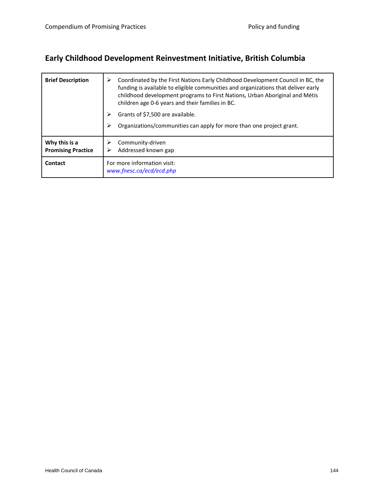# **Early Childhood Development Reinvestment Initiative, British Columbia**

| <b>Brief Description</b>                   | Coordinated by the First Nations Early Childhood Development Council in BC, the<br>➤<br>funding is available to eligible communities and organizations that deliver early<br>childhood development programs to First Nations, Urban Aboriginal and Métis<br>children age 0-6 years and their families in BC.<br>Grants of \$7,500 are available.<br>Organizations/communities can apply for more than one project grant. |
|--------------------------------------------|--------------------------------------------------------------------------------------------------------------------------------------------------------------------------------------------------------------------------------------------------------------------------------------------------------------------------------------------------------------------------------------------------------------------------|
| Why this is a<br><b>Promising Practice</b> | Community-driven<br>Addressed known gap                                                                                                                                                                                                                                                                                                                                                                                  |
| Contact                                    | For more information visit:<br>www.fnesc.ca/ecd/ecd.php                                                                                                                                                                                                                                                                                                                                                                  |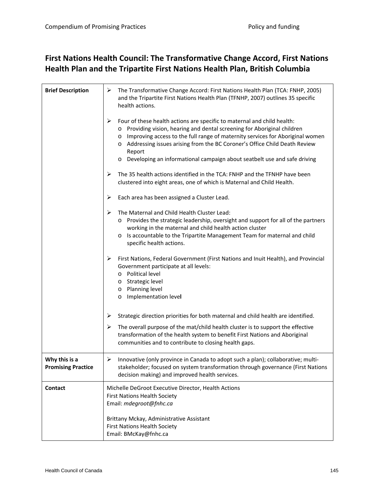#### **First Nations Health Council: The Transformative Change Accord, First Nations Health Plan and the Tripartite First Nations Health Plan, British Columbia**

| <b>Brief Description</b>                   | ➤<br>The Transformative Change Accord: First Nations Health Plan (TCA: FNHP, 2005)<br>and the Tripartite First Nations Health Plan (TFNHP, 2007) outlines 35 specific<br>health actions.                                                                                                                                                                                                                                             |
|--------------------------------------------|--------------------------------------------------------------------------------------------------------------------------------------------------------------------------------------------------------------------------------------------------------------------------------------------------------------------------------------------------------------------------------------------------------------------------------------|
|                                            | Four of these health actions are specific to maternal and child health:<br>➤<br>Providing vision, hearing and dental screening for Aboriginal children<br>$\circ$<br>Improving access to the full range of maternity services for Aboriginal women<br>O<br>Addressing issues arising from the BC Coroner's Office Child Death Review<br>O<br>Report<br>Developing an informational campaign about seatbelt use and safe driving<br>O |
|                                            | The 35 health actions identified in the TCA: FNHP and the TFNHP have been<br>➤<br>clustered into eight areas, one of which is Maternal and Child Health.                                                                                                                                                                                                                                                                             |
|                                            | ➤<br>Each area has been assigned a Cluster Lead.                                                                                                                                                                                                                                                                                                                                                                                     |
|                                            | ➤<br>The Maternal and Child Health Cluster Lead:<br>Provides the strategic leadership, oversight and support for all of the partners<br>$\circ$<br>working in the maternal and child health action cluster<br>Is accountable to the Tripartite Management Team for maternal and child<br>$\circ$<br>specific health actions.                                                                                                         |
|                                            | First Nations, Federal Government (First Nations and Inuit Health), and Provincial<br>➤<br>Government participate at all levels:<br>Political level<br>$\circ$<br>o Strategic level<br>Planning level<br>$\circ$<br>Implementation level<br>O                                                                                                                                                                                        |
|                                            | Strategic direction priorities for both maternal and child health are identified.<br>➤                                                                                                                                                                                                                                                                                                                                               |
|                                            | The overall purpose of the mat/child health cluster is to support the effective<br>➤<br>transformation of the health system to benefit First Nations and Aboriginal<br>communities and to contribute to closing health gaps.                                                                                                                                                                                                         |
| Why this is a<br><b>Promising Practice</b> | Innovative (only province in Canada to adopt such a plan); collaborative; multi-<br>➤<br>stakeholder; focused on system transformation through governance (First Nations<br>decision making) and improved health services.                                                                                                                                                                                                           |
| Contact                                    | Michelle DeGroot Executive Director, Health Actions<br><b>First Nations Health Society</b><br>Email: mdegroot@fnhc.ca                                                                                                                                                                                                                                                                                                                |
|                                            | Brittany Mckay, Administrative Assistant<br><b>First Nations Health Society</b><br>Email: BMcKay@fnhc.ca                                                                                                                                                                                                                                                                                                                             |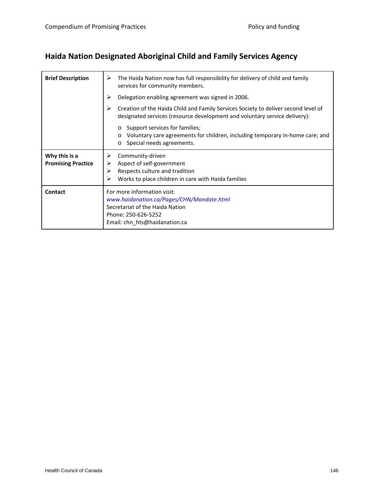# **Haida Nation Designated Aboriginal Child and Family Services Agency**

| <b>Brief Description</b>                   | The Haida Nation now has full responsibility for delivery of child and family<br>⋗<br>services for community members.                                                         |
|--------------------------------------------|-------------------------------------------------------------------------------------------------------------------------------------------------------------------------------|
|                                            | ⋗<br>Delegation enabling agreement was signed in 2006.                                                                                                                        |
|                                            | Creation of the Haida Child and Family Services Society to deliver second level of<br>⋗<br>designated services (resource development and voluntary service delivery):         |
|                                            | Support services for families;<br>$\circ$<br>Voluntary care agreements for children, including temporary in-home care; and<br>$\circ$<br>Special needs agreements.<br>$\circ$ |
| Why this is a<br><b>Promising Practice</b> | Community-driven<br>➤<br>Aspect of self-government<br>⋗<br>Respects culture and tradition<br>⋗<br>Works to place children in care with Haida families<br>⋗                    |
| Contact                                    | For more information visit:<br>www.haidanation.ca/Pages/CHN/Mandate.html<br>Secretariat of the Haida Nation<br>Phone: 250-626-5252<br>Email: chn_hts@haidanation.ca           |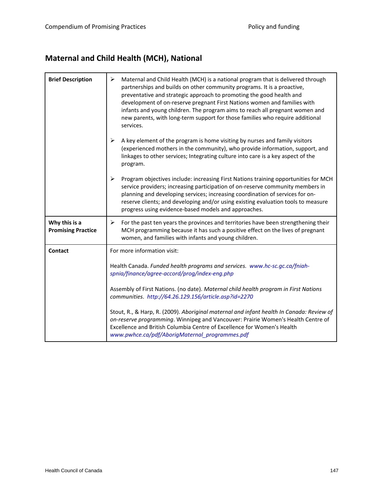# **Maternal and Child Health (MCH), National**

| <b>Brief Description</b>                   | ➤<br>Maternal and Child Health (MCH) is a national program that is delivered through<br>partnerships and builds on other community programs. It is a proactive,<br>preventative and strategic approach to promoting the good health and<br>development of on-reserve pregnant First Nations women and families with<br>infants and young children. The program aims to reach all pregnant women and<br>new parents, with long-term support for those families who require additional<br>services. |
|--------------------------------------------|---------------------------------------------------------------------------------------------------------------------------------------------------------------------------------------------------------------------------------------------------------------------------------------------------------------------------------------------------------------------------------------------------------------------------------------------------------------------------------------------------|
|                                            | ➤<br>A key element of the program is home visiting by nurses and family visitors<br>(experienced mothers in the community), who provide information, support, and<br>linkages to other services; Integrating culture into care is a key aspect of the<br>program.                                                                                                                                                                                                                                 |
|                                            | $\blacktriangleright$<br>Program objectives include: increasing First Nations training opportunities for MCH<br>service providers; increasing participation of on-reserve community members in<br>planning and developing services; increasing coordination of services for on-<br>reserve clients; and developing and/or using existing evaluation tools to measure<br>progress using evidence-based models and approaches.                                                                      |
| Why this is a<br><b>Promising Practice</b> | ➤<br>For the past ten years the provinces and territories have been strengthening their<br>MCH programming because it has such a positive effect on the lives of pregnant<br>women, and families with infants and young children.                                                                                                                                                                                                                                                                 |
| <b>Contact</b>                             | For more information visit:                                                                                                                                                                                                                                                                                                                                                                                                                                                                       |
|                                            | Health Canada. Funded health programs and services. www.hc-sc.gc.ca/fniah-<br>spnia/finance/agree-accord/prog/index-eng.php                                                                                                                                                                                                                                                                                                                                                                       |
|                                            | Assembly of First Nations. (no date). Maternal child health program in First Nations<br>communities. http://64.26.129.156/article.asp?id=2270                                                                                                                                                                                                                                                                                                                                                     |
|                                            | Stout, R., & Harp, R. (2009). Aboriginal maternal and infant health In Canada: Review of<br>on-reserve programming. Winnipeg and Vancouver: Prairie Women's Health Centre of<br>Excellence and British Columbia Centre of Excellence for Women's Health<br>www.pwhce.ca/pdf/AborigMaternal_programmes.pdf                                                                                                                                                                                         |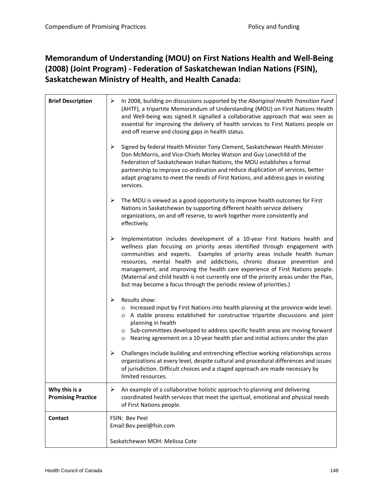### **Memorandum of Understanding (MOU) on First Nations Health and Well‐Being (2008) (Joint Program) ‐ Federation of Saskatchewan Indian Nations (FSIN), Saskatchewan Ministry of Health, and Health Canada:**

| <b>Brief Description</b>                   | In 2008, building on discussions supported by the Aboriginal Health Transition Fund<br>➤<br>(AHTF), a tripartite Memorandum of Understanding (MOU) on First Nations Health<br>and Well-being was signed. It signalled a collaborative approach that was seen as<br>essential for improving the delivery of health services to First Nations people on<br>and off reserve and closing gaps in health status.                                                                                                                                                          |
|--------------------------------------------|----------------------------------------------------------------------------------------------------------------------------------------------------------------------------------------------------------------------------------------------------------------------------------------------------------------------------------------------------------------------------------------------------------------------------------------------------------------------------------------------------------------------------------------------------------------------|
|                                            | ➤<br>Signed by federal Health Minister Tony Clement, Saskatchewan Health Minister<br>Don McMorris, and Vice-Chiefs Morley Watson and Guy Lonechild of the<br>Federation of Saskatchewan Indian Nations, the MOU establishes a formal<br>partnership to improve co-ordination and reduce duplication of services, better<br>adapt programs to meet the needs of First Nations, and address gaps in existing<br>services.                                                                                                                                              |
|                                            | ➤<br>The MOU is viewed as a good opportunity to improve health outcomes for First<br>Nations in Saskatchewan by supporting different health service delivery<br>organizations, on and off reserve, to work together more consistently and<br>effectively.                                                                                                                                                                                                                                                                                                            |
|                                            | ➤<br>Implementation includes development of a 10-year First Nations health and<br>wellness plan focusing on priority areas identified through engagement with<br>communities and experts. Examples of priority areas include health human<br>resources, mental health and addictions, chronic disease prevention and<br>management, and improving the health care experience of First Nations people.<br>(Maternal and child health is not currently one of the priority areas under the Plan,<br>but may become a focus through the periodic review of priorities.) |
|                                            | Results show:<br>$\blacktriangleright$<br>o Increased input by First Nations into health planning at the province-wide level.<br>o A stable process established for constructive tripartite discussions and joint<br>planning in health<br>o Sub-committees developed to address specific health areas are moving forward<br>o Nearing agreement on a 10-year health plan and initial actions under the plan                                                                                                                                                         |
|                                            | Challenges include building and entrenching effective working relationships across<br>≻<br>organizations at every level, despite cultural and procedural differences and issues<br>of jurisdiction. Difficult choices and a staged approach are made necessary by<br>limited resources.                                                                                                                                                                                                                                                                              |
| Why this is a<br><b>Promising Practice</b> | ➤<br>An example of a collaborative holistic approach to planning and delivering<br>coordinated health services that meet the spiritual, emotional and physical needs<br>of First Nations people.                                                                                                                                                                                                                                                                                                                                                                     |
| <b>Contact</b>                             | <b>FSIN: Bev Peel</b><br>Email:Bev.peel@fsin.com                                                                                                                                                                                                                                                                                                                                                                                                                                                                                                                     |
|                                            | Saskatchewan MOH: Melissa Cote                                                                                                                                                                                                                                                                                                                                                                                                                                                                                                                                       |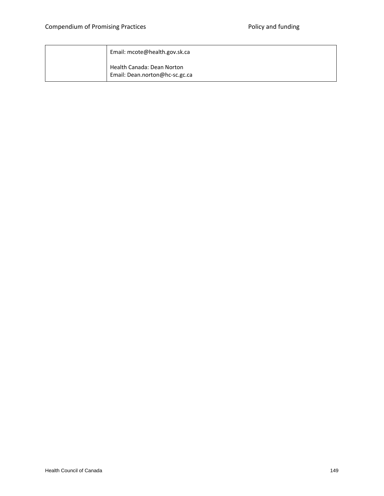| Email: mcote@health.gov.sk.ca                                |
|--------------------------------------------------------------|
| Health Canada: Dean Norton<br>Email: Dean.norton@hc-sc.gc.ca |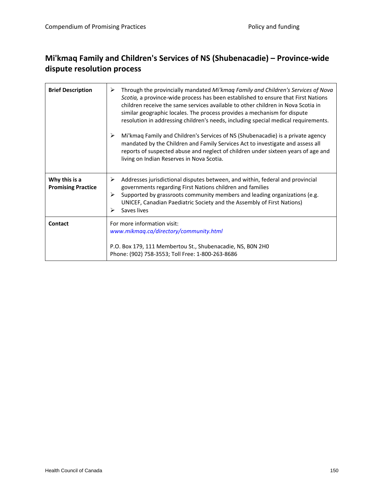### **Mi'kmaq Family and Children's Services of NS (Shubenacadie) – Province‐wide dispute resolution process**

| <b>Brief Description</b>                   | Through the provincially mandated Mi'kmaq Family and Children's Services of Nova<br>➤<br>Scotia, a province-wide process has been established to ensure that First Nations<br>children receive the same services available to other children in Nova Scotia in<br>similar geographic locales. The process provides a mechanism for dispute<br>resolution in addressing children's needs, including special medical requirements.<br>Mi'kmaq Family and Children's Services of NS (Shubenacadie) is a private agency<br>➤<br>mandated by the Children and Family Services Act to investigate and assess all<br>reports of suspected abuse and neglect of children under sixteen years of age and<br>living on Indian Reserves in Nova Scotia. |
|--------------------------------------------|----------------------------------------------------------------------------------------------------------------------------------------------------------------------------------------------------------------------------------------------------------------------------------------------------------------------------------------------------------------------------------------------------------------------------------------------------------------------------------------------------------------------------------------------------------------------------------------------------------------------------------------------------------------------------------------------------------------------------------------------|
| Why this is a<br><b>Promising Practice</b> | Addresses jurisdictional disputes between, and within, federal and provincial<br>➤<br>governments regarding First Nations children and families<br>Supported by grassroots community members and leading organizations (e.g.<br>⋗<br>UNICEF, Canadian Paediatric Society and the Assembly of First Nations)<br>Saves lives<br>➤                                                                                                                                                                                                                                                                                                                                                                                                              |
| Contact                                    | For more information visit:<br>www.mikmaq.ca/directory/community.html<br>P.O. Box 179, 111 Membertou St., Shubenacadie, NS, BON 2HO<br>Phone: (902) 758-3553; Toll Free: 1-800-263-8686                                                                                                                                                                                                                                                                                                                                                                                                                                                                                                                                                      |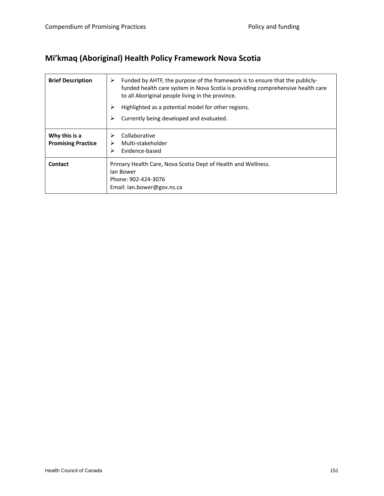# **Mi'kmaq (Aboriginal) Health Policy Framework Nova Scotia**

| <b>Brief Description</b>                   | Funded by AHTF, the purpose of the framework is to ensure that the publicly-<br>➤<br>funded health care system in Nova Scotia is providing comprehensive health care<br>to all Aboriginal people living in the province. |
|--------------------------------------------|--------------------------------------------------------------------------------------------------------------------------------------------------------------------------------------------------------------------------|
|                                            | ⋗<br>Highlighted as a potential model for other regions.                                                                                                                                                                 |
|                                            | Currently being developed and evaluated.<br>➤                                                                                                                                                                            |
| Why this is a<br><b>Promising Practice</b> | Collaborative<br>⋗<br>Multi-stakeholder<br>➤<br>Evidence-based                                                                                                                                                           |
| Contact                                    | Primary Health Care, Nova Scotia Dept of Health and Wellness.<br>lan Bower<br>Phone: 902-424-3076<br>Email: Ian.bower@gov.ns.ca                                                                                          |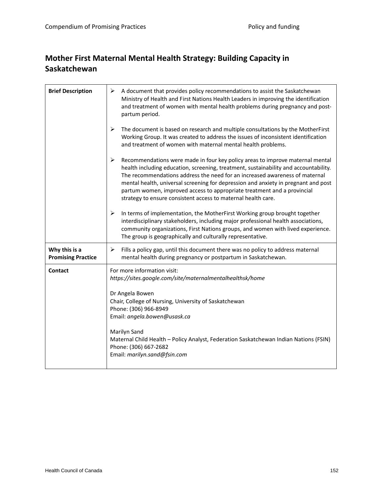### **Mother First Maternal Mental Health Strategy: Building Capacity in Saskatchewan**

| <b>Brief Description</b>                   | A document that provides policy recommendations to assist the Saskatchewan<br>➤<br>Ministry of Health and First Nations Health Leaders in improving the identification<br>and treatment of women with mental health problems during pregnancy and post-<br>partum period.                                                                                                                                                                                                                   |
|--------------------------------------------|---------------------------------------------------------------------------------------------------------------------------------------------------------------------------------------------------------------------------------------------------------------------------------------------------------------------------------------------------------------------------------------------------------------------------------------------------------------------------------------------|
|                                            | $\blacktriangleright$<br>The document is based on research and multiple consultations by the MotherFirst<br>Working Group. It was created to address the issues of inconsistent identification<br>and treatment of women with maternal mental health problems.                                                                                                                                                                                                                              |
|                                            | ➤<br>Recommendations were made in four key policy areas to improve maternal mental<br>health including education, screening, treatment, sustainability and accountability.<br>The recommendations address the need for an increased awareness of maternal<br>mental health, universal screening for depression and anxiety in pregnant and post<br>partum women, improved access to appropriate treatment and a provincial<br>strategy to ensure consistent access to maternal health care. |
|                                            | In terms of implementation, the MotherFirst Working group brought together<br>➤<br>interdisciplinary stakeholders, including major professional health associations,<br>community organizations, First Nations groups, and women with lived experience.<br>The group is geographically and culturally representative.                                                                                                                                                                       |
| Why this is a<br><b>Promising Practice</b> | Fills a policy gap, until this document there was no policy to address maternal<br>➤<br>mental health during pregnancy or postpartum in Saskatchewan.                                                                                                                                                                                                                                                                                                                                       |
| Contact                                    | For more information visit:<br>https://sites.google.com/site/maternalmentalhealthsk/home<br>Dr Angela Bowen<br>Chair, College of Nursing, University of Saskatchewan<br>Phone: (306) 966-8949<br>Email: angela.bowen@usask.ca<br>Marilyn Sand<br>Maternal Child Health - Policy Analyst, Federation Saskatchewan Indian Nations (FSIN)<br>Phone: (306) 667-2682<br>Email: marilyn.sand@fsin.com                                                                                             |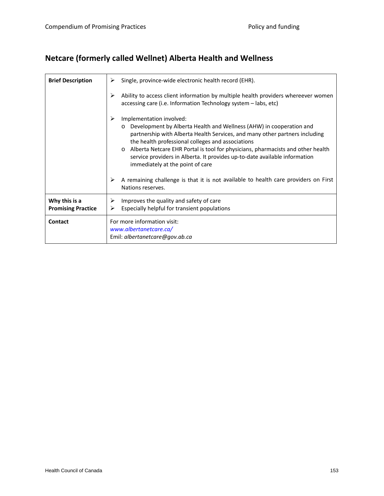# **Netcare (formerly called Wellnet) Alberta Health and Wellness**

| <b>Brief Description</b>                   | Single, province-wide electronic health record (EHR).<br>≻                                                                                                                                                                                                                                                                                                                                                                                               |
|--------------------------------------------|----------------------------------------------------------------------------------------------------------------------------------------------------------------------------------------------------------------------------------------------------------------------------------------------------------------------------------------------------------------------------------------------------------------------------------------------------------|
|                                            | Ability to access client information by multiple health providers whereever women<br>≻<br>accessing care (i.e. Information Technology system – labs, etc)                                                                                                                                                                                                                                                                                                |
|                                            | ≻<br>Implementation involved:<br>Development by Alberta Health and Wellness (AHW) in cooperation and<br>$\circ$<br>partnership with Alberta Health Services, and many other partners including<br>the health professional colleges and associations<br>Alberta Netcare EHR Portal is tool for physicians, pharmacists and other health<br>service providers in Alberta. It provides up-to-date available information<br>immediately at the point of care |
|                                            | ≻<br>A remaining challenge is that it is not available to health care providers on First<br>Nations reserves.                                                                                                                                                                                                                                                                                                                                            |
| Why this is a<br><b>Promising Practice</b> | Improves the quality and safety of care<br>➤<br>Especially helpful for transient populations<br>➤                                                                                                                                                                                                                                                                                                                                                        |
| Contact                                    | For more information visit:<br>www.albertanetcare.ca/<br>Emil: albertanetcare@gov.ab.ca                                                                                                                                                                                                                                                                                                                                                                  |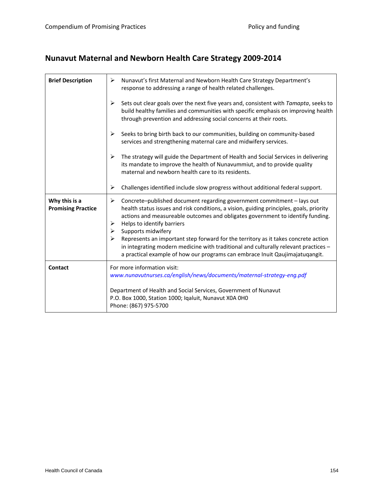# **Nunavut Maternal and Newborn Health Care Strategy 2009‐2014**

| <b>Brief Description</b>                   | Nunavut's first Maternal and Newborn Health Care Strategy Department's<br>➤<br>response to addressing a range of health related challenges.                                                                                                                                                                            |
|--------------------------------------------|------------------------------------------------------------------------------------------------------------------------------------------------------------------------------------------------------------------------------------------------------------------------------------------------------------------------|
|                                            | ➤<br>Sets out clear goals over the next five years and, consistent with Tamapta, seeks to<br>build healthy families and communities with specific emphasis on improving health<br>through prevention and addressing social concerns at their roots.                                                                    |
|                                            | Seeks to bring birth back to our communities, building on community-based<br>➤<br>services and strengthening maternal care and midwifery services.                                                                                                                                                                     |
|                                            | The strategy will guide the Department of Health and Social Services in delivering<br>➤<br>its mandate to improve the health of Nunavummiut, and to provide quality<br>maternal and newborn health care to its residents.                                                                                              |
|                                            | Challenges identified include slow progress without additional federal support.<br>➤                                                                                                                                                                                                                                   |
| Why this is a<br><b>Promising Practice</b> | Concrete-published document regarding government commitment - lays out<br>➤<br>health status issues and risk conditions, a vision, guiding principles, goals, priority<br>actions and measureable outcomes and obligates government to identify funding.<br>Helps to identify barriers<br>➤<br>Supports midwifery<br>➤ |
|                                            | Represents an important step forward for the territory as it takes concrete action<br>in integrating modern medicine with traditional and culturally relevant practices -<br>a practical example of how our programs can embrace Inuit Qaujimajatuqangit.                                                              |
| Contact                                    | For more information visit:<br>www.nunavutnurses.ca/english/news/documents/maternal-strategy-eng.pdf                                                                                                                                                                                                                   |
|                                            | Department of Health and Social Services, Government of Nunavut<br>P.O. Box 1000, Station 1000; Iqaluit, Nunavut X0A 0H0<br>Phone: (867) 975-5700                                                                                                                                                                      |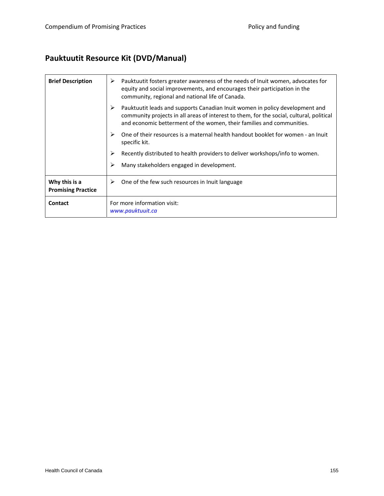# **Pauktuutit Resource Kit (DVD/Manual)**

| <b>Brief Description</b>                   | Pauktuutit fosters greater awareness of the needs of Inuit women, advocates for<br>➤<br>equity and social improvements, and encourages their participation in the<br>community, regional and national life of Canada.                             |  |
|--------------------------------------------|---------------------------------------------------------------------------------------------------------------------------------------------------------------------------------------------------------------------------------------------------|--|
|                                            | Pauktuutit leads and supports Canadian Inuit women in policy development and<br>community projects in all areas of interest to them, for the social, cultural, political<br>and economic betterment of the women, their families and communities. |  |
|                                            | One of their resources is a maternal health handout booklet for women - an Inuit<br>specific kit.                                                                                                                                                 |  |
|                                            | Recently distributed to health providers to deliver workshops/info to women.                                                                                                                                                                      |  |
|                                            | Many stakeholders engaged in development.<br>≻                                                                                                                                                                                                    |  |
| Why this is a<br><b>Promising Practice</b> | One of the few such resources in Inuit language<br>➤                                                                                                                                                                                              |  |
| Contact                                    | For more information visit:<br>www.pauktuuit.ca                                                                                                                                                                                                   |  |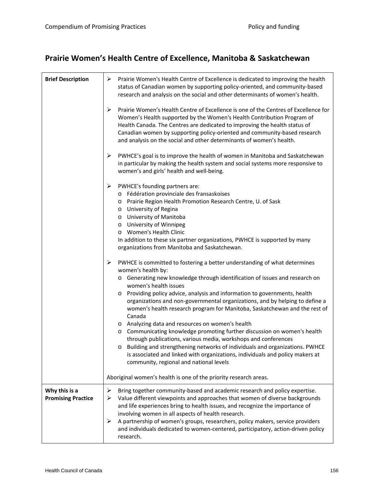# **Prairie Women's Health Centre of Excellence, Manitoba & Saskatchewan**

| <b>Brief Description</b>                   | Prairie Women's Health Centre of Excellence is dedicated to improving the health<br>➤<br>status of Canadian women by supporting policy-oriented, and community-based<br>research and analysis on the social and other determinants of women's health.                                                                                                                                                                                                                                                                                                                                                                                                                                                                                                                                                                                                                           |
|--------------------------------------------|---------------------------------------------------------------------------------------------------------------------------------------------------------------------------------------------------------------------------------------------------------------------------------------------------------------------------------------------------------------------------------------------------------------------------------------------------------------------------------------------------------------------------------------------------------------------------------------------------------------------------------------------------------------------------------------------------------------------------------------------------------------------------------------------------------------------------------------------------------------------------------|
|                                            | ➤<br>Prairie Women's Health Centre of Excellence is one of the Centres of Excellence for<br>Women's Health supported by the Women's Health Contribution Program of<br>Health Canada. The Centres are dedicated to improving the health status of<br>Canadian women by supporting policy-oriented and community-based research<br>and analysis on the social and other determinants of women's health.                                                                                                                                                                                                                                                                                                                                                                                                                                                                           |
|                                            | PWHCE's goal is to improve the health of women in Manitoba and Saskatchewan<br>➤<br>in particular by making the health system and social systems more responsive to<br>women's and girls' health and well-being.                                                                                                                                                                                                                                                                                                                                                                                                                                                                                                                                                                                                                                                                |
|                                            | PWHCE's founding partners are:<br>➤<br>o Fédération provinciale des fransaskoises<br>o Prairie Region Health Promotion Research Centre, U. of Sask<br>o University of Regina<br>o University of Manitoba<br>o University of Winnipeg<br>o Women's Health Clinic<br>In addition to these six partner organizations, PWHCE is supported by many<br>organizations from Manitoba and Saskatchewan.                                                                                                                                                                                                                                                                                                                                                                                                                                                                                  |
|                                            | PWHCE is committed to fostering a better understanding of what determines<br>➤<br>women's health by:<br>o Generating new knowledge through identification of issues and research on<br>women's health issues<br>Providing policy advice, analysis and information to governments, health<br>organizations and non-governmental organizations, and by helping to define a<br>women's health research program for Manitoba, Saskatchewan and the rest of<br>Canada<br>o Analyzing data and resources on women's health<br>o Communicating knowledge promoting further discussion on women's health<br>through publications, various media, workshops and conferences<br>o Building and strengthening networks of individuals and organizations. PWHCE<br>is associated and linked with organizations, individuals and policy makers at<br>community, regional and national levels |
|                                            | Aboriginal women's health is one of the priority research areas.                                                                                                                                                                                                                                                                                                                                                                                                                                                                                                                                                                                                                                                                                                                                                                                                                |
| Why this is a<br><b>Promising Practice</b> | ➤<br>Bring together community-based and academic research and policy expertise.<br>Value different viewpoints and approaches that women of diverse backgrounds<br>➤<br>and life experiences bring to health issues, and recognize the importance of<br>involving women in all aspects of health research.<br>A partnership of women's groups, researchers, policy makers, service providers<br>➤<br>and individuals dedicated to women-centered, participatory, action-driven policy                                                                                                                                                                                                                                                                                                                                                                                            |
|                                            | research.                                                                                                                                                                                                                                                                                                                                                                                                                                                                                                                                                                                                                                                                                                                                                                                                                                                                       |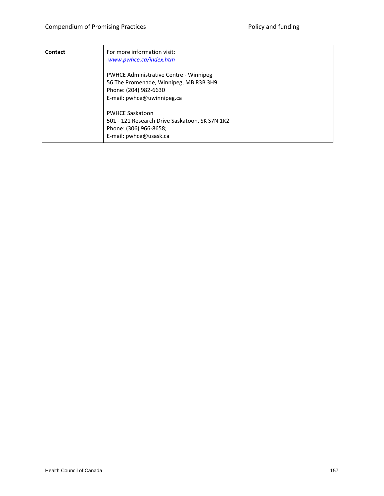| Contact | For more information visit:<br>www.pwhce.ca/index.htm                                                                                          |
|---------|------------------------------------------------------------------------------------------------------------------------------------------------|
|         | <b>PWHCE Administrative Centre - Winnipeg</b><br>56 The Promenade, Winnipeg, MB R3B 3H9<br>Phone: (204) 982-6630<br>E-mail: pwhce@uwinnipeg.ca |
|         | <b>PWHCE Saskatoon</b><br>501 - 121 Research Drive Saskatoon, SK S7N 1K2<br>Phone: (306) 966-8658;<br>E-mail: pwhce@usask.ca                   |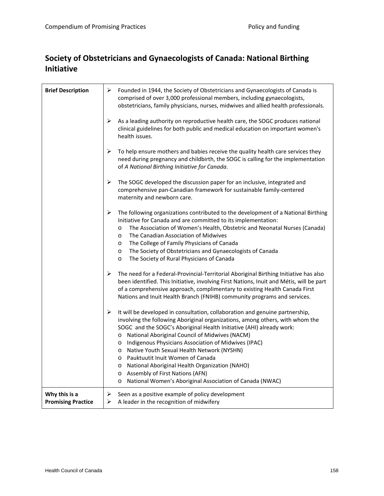### **Society of Obstetricians and Gynaecologists of Canada: National Birthing Initiative**

| <b>Brief Description</b>                   | ≻<br>Founded in 1944, the Society of Obstetricians and Gynaecologists of Canada is<br>comprised of over 3,000 professional members, including gynaecologists,<br>obstetricians, family physicians, nurses, midwives and allied health professionals.                                                                                                                                                                                                                                                                                                                                                           |
|--------------------------------------------|----------------------------------------------------------------------------------------------------------------------------------------------------------------------------------------------------------------------------------------------------------------------------------------------------------------------------------------------------------------------------------------------------------------------------------------------------------------------------------------------------------------------------------------------------------------------------------------------------------------|
|                                            | ➤<br>As a leading authority on reproductive health care, the SOGC produces national<br>clinical guidelines for both public and medical education on important women's<br>health issues.                                                                                                                                                                                                                                                                                                                                                                                                                        |
|                                            | ≻<br>To help ensure mothers and babies receive the quality health care services they<br>need during pregnancy and childbirth, the SOGC is calling for the implementation<br>of A National Birthing Initiative for Canada.                                                                                                                                                                                                                                                                                                                                                                                      |
|                                            | ➤<br>The SOGC developed the discussion paper for an inclusive, integrated and<br>comprehensive pan-Canadian framework for sustainable family-centered<br>maternity and newborn care.                                                                                                                                                                                                                                                                                                                                                                                                                           |
|                                            | ➤<br>The following organizations contributed to the development of a National Birthing<br>Initiative for Canada and are committed to its implementation:<br>The Association of Women's Health, Obstetric and Neonatal Nurses (Canada)<br>$\circ$<br>The Canadian Association of Midwives<br>$\circ$<br>The College of Family Physicians of Canada<br>$\circ$<br>The Society of Obstetricians and Gynaecologists of Canada<br>$\circ$<br>The Society of Rural Physicians of Canada<br>$\circ$                                                                                                                   |
|                                            | ⋗<br>The need for a Federal-Provincial-Territorial Aboriginal Birthing Initiative has also<br>been identified. This Initiative, involving First Nations, Inuit and Métis, will be part<br>of a comprehensive approach, complimentary to existing Health Canada First<br>Nations and Inuit Health Branch (FNIHB) community programs and services.                                                                                                                                                                                                                                                               |
|                                            | It will be developed in consultation, collaboration and genuine partnership,<br>➤<br>involving the following Aboriginal organizations, among others, with whom the<br>SOGC and the SOGC's Aboriginal Health Initiative (AHI) already work:<br>o National Aboriginal Council of Midwives (NACM)<br>o Indigenous Physicians Association of Midwives (IPAC)<br>o Native Youth Sexual Health Network (NYSHN)<br>o Pauktuutit Inuit Women of Canada<br>o National Aboriginal Health Organization (NAHO)<br>Assembly of First Nations (AFN)<br>$\circ$<br>o National Women's Aboriginal Association of Canada (NWAC) |
| Why this is a<br><b>Promising Practice</b> | Seen as a positive example of policy development<br>≻<br>A leader in the recognition of midwifery<br>➤                                                                                                                                                                                                                                                                                                                                                                                                                                                                                                         |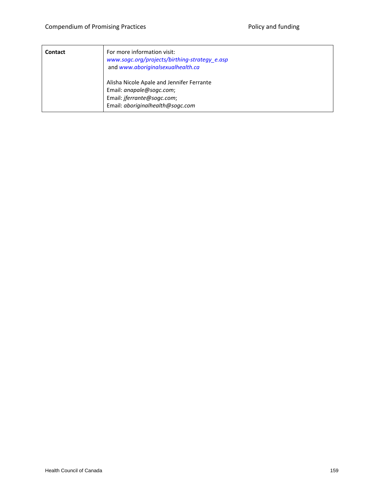| Contact | For more information visit:<br>www.sogc.org/projects/birthing-strategy_e.asp<br>and www.aboriginalsexualhealth.ca                               |
|---------|-------------------------------------------------------------------------------------------------------------------------------------------------|
|         | Alisha Nicole Apale and Jennifer Ferrante<br>Email: anapale@sogc.com;<br>Email: <i>jferrante@sogc.com</i> ;<br>Email: aboriginalhealth@sogc.com |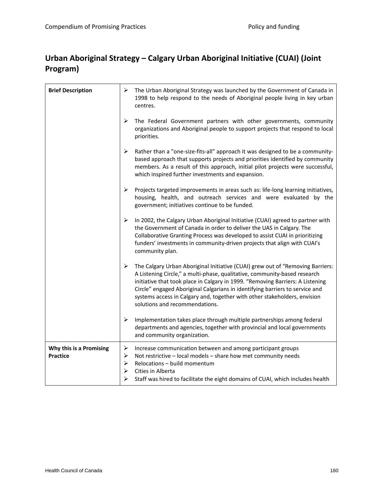### **Urban Aboriginal Strategy – Calgary Urban Aboriginal Initiative (CUAI) (Joint Program)**

| <b>Brief Description</b>                   | ➤                     | The Urban Aboriginal Strategy was launched by the Government of Canada in<br>1998 to help respond to the needs of Aboriginal people living in key urban<br>centres.                                                                                                                                                                                                                                                                          |
|--------------------------------------------|-----------------------|----------------------------------------------------------------------------------------------------------------------------------------------------------------------------------------------------------------------------------------------------------------------------------------------------------------------------------------------------------------------------------------------------------------------------------------------|
|                                            | $\blacktriangleright$ | The Federal Government partners with other governments, community<br>organizations and Aboriginal people to support projects that respond to local<br>priorities.                                                                                                                                                                                                                                                                            |
|                                            | ➤                     | Rather than a "one-size-fits-all" approach it was designed to be a community-<br>based approach that supports projects and priorities identified by community<br>members. As a result of this approach, initial pilot projects were successful,<br>which inspired further investments and expansion.                                                                                                                                         |
|                                            | ➤                     | Projects targeted improvements in areas such as: life-long learning initiatives,<br>housing, health, and outreach services and were evaluated by the<br>government; initiatives continue to be funded.                                                                                                                                                                                                                                       |
|                                            | $\blacktriangleright$ | In 2002, the Calgary Urban Aboriginal Initiative (CUAI) agreed to partner with<br>the Government of Canada in order to deliver the UAS in Calgary. The<br>Collaborative Granting Process was developed to assist CUAI in prioritizing<br>funders' investments in community-driven projects that align with CUAI's<br>community plan.                                                                                                         |
|                                            | ➤                     | The Calgary Urban Aboriginal Initiative (CUAI) grew out of "Removing Barriers:<br>A Listening Circle," a multi-phase, qualitative, community-based research<br>initiative that took place in Calgary in 1999. "Removing Barriers: A Listening<br>Circle" engaged Aboriginal Calgarians in identifying barriers to service and<br>systems access in Calgary and, together with other stakeholders, envision<br>solutions and recommendations. |
|                                            | ≻                     | Implementation takes place through multiple partnerships among federal<br>departments and agencies, together with provincial and local governments<br>and community organization.                                                                                                                                                                                                                                                            |
| Why this is a Promising<br><b>Practice</b> | ➤<br>➤<br>➤<br>⋗      | Increase communication between and among participant groups<br>Not restrictive - local models - share how met community needs<br>Relocations - build momentum<br>Cities in Alberta<br>Staff was hired to facilitate the eight domains of CUAI, which includes health                                                                                                                                                                         |